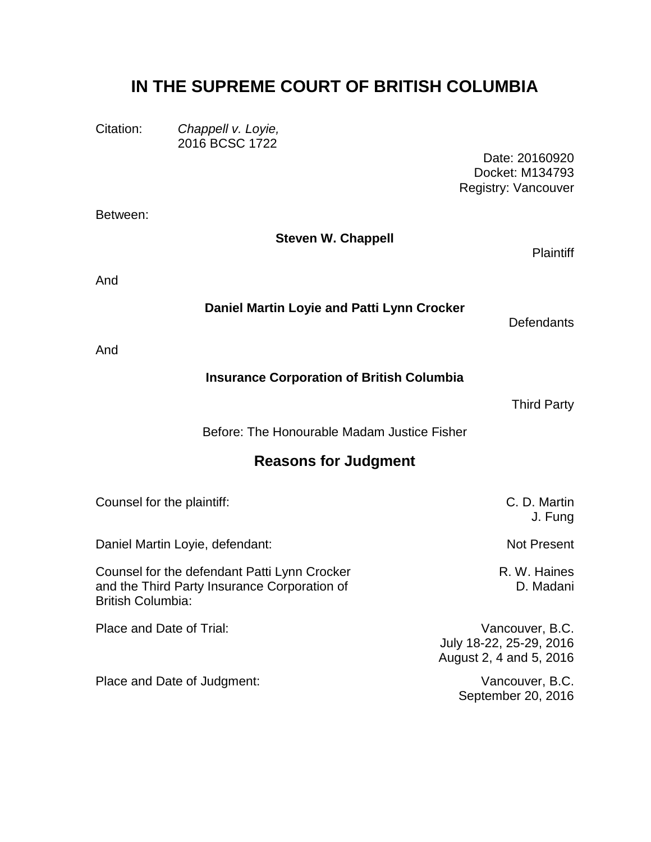# **IN THE SUPREME COURT OF BRITISH COLUMBIA**

Citation: *Chappell v. Loyie,* 2016 BCSC 1722

Between:

Date: 20160920 Docket: M134793 Registry: Vancouver

| <b>Steven W. Chappell</b>                                                                                                | <b>Plaintiff</b>                                                      |
|--------------------------------------------------------------------------------------------------------------------------|-----------------------------------------------------------------------|
| And                                                                                                                      |                                                                       |
| Daniel Martin Loyie and Patti Lynn Crocker                                                                               | <b>Defendants</b>                                                     |
| And                                                                                                                      |                                                                       |
| <b>Insurance Corporation of British Columbia</b>                                                                         |                                                                       |
|                                                                                                                          | <b>Third Party</b>                                                    |
| Before: The Honourable Madam Justice Fisher                                                                              |                                                                       |
| <b>Reasons for Judgment</b>                                                                                              |                                                                       |
| Counsel for the plaintiff:                                                                                               | C. D. Martin<br>J. Fung                                               |
| Daniel Martin Loyie, defendant:                                                                                          | <b>Not Present</b>                                                    |
| Counsel for the defendant Patti Lynn Crocker<br>and the Third Party Insurance Corporation of<br><b>British Columbia:</b> | R. W. Haines<br>D. Madani                                             |
| Place and Date of Trial:                                                                                                 | Vancouver, B.C.<br>July 18-22, 25-29, 2016<br>August 2, 4 and 5, 2016 |
| Place and Date of Judgment:                                                                                              | Vancouver, B.C.<br>September 20, 2016                                 |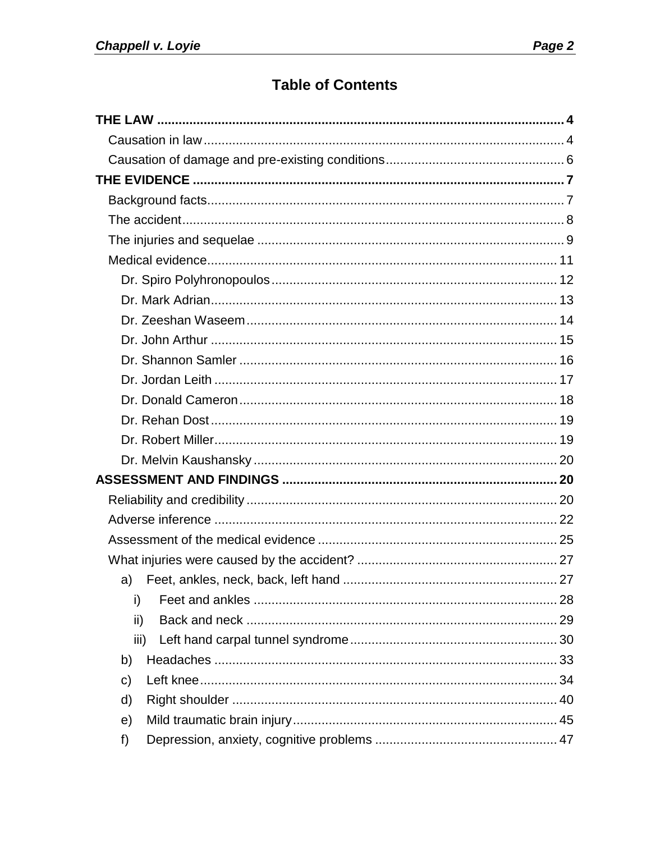## **Table of Contents**

| a)   |  |
|------|--|
| i)   |  |
| ii)  |  |
| iii) |  |
| b)   |  |
| C)   |  |
| d)   |  |
| e)   |  |
| f)   |  |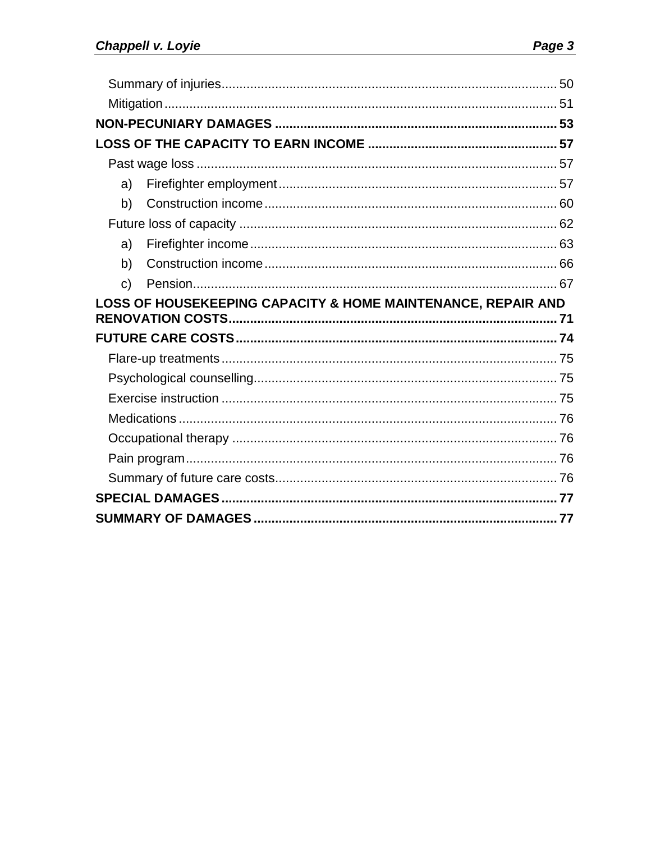| a)                                                           |  |
|--------------------------------------------------------------|--|
| b)                                                           |  |
|                                                              |  |
| a)                                                           |  |
| b)                                                           |  |
| C)                                                           |  |
|                                                              |  |
| LOSS OF HOUSEKEEPING CAPACITY & HOME MAINTENANCE, REPAIR AND |  |
|                                                              |  |
|                                                              |  |
|                                                              |  |
|                                                              |  |
|                                                              |  |
|                                                              |  |
|                                                              |  |
|                                                              |  |
|                                                              |  |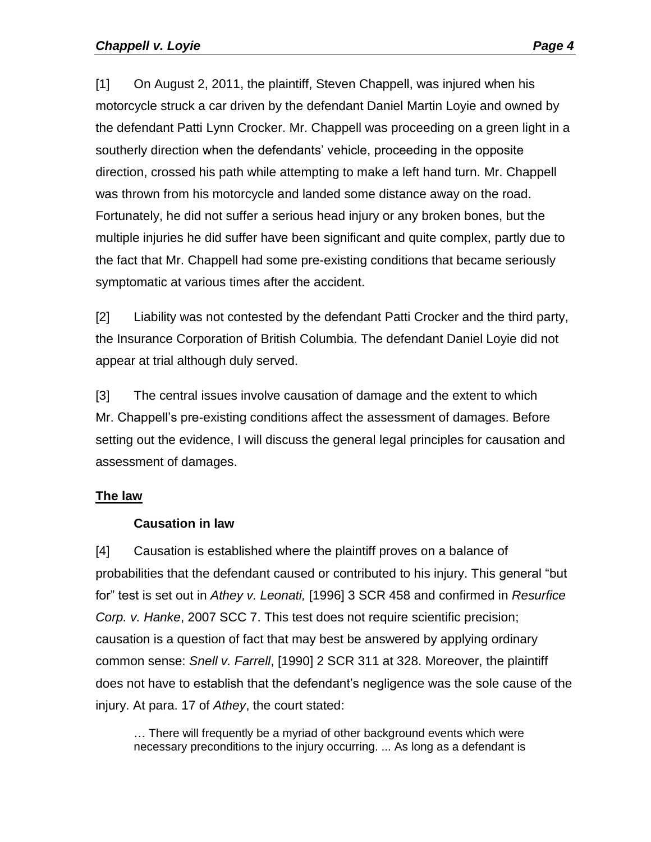[1] On August 2, 2011, the plaintiff, Steven Chappell, was injured when his motorcycle struck a car driven by the defendant Daniel Martin Loyie and owned by the defendant Patti Lynn Crocker. Mr. Chappell was proceeding on a green light in a southerly direction when the defendants' vehicle, proceeding in the opposite direction, crossed his path while attempting to make a left hand turn. Mr. Chappell was thrown from his motorcycle and landed some distance away on the road. Fortunately, he did not suffer a serious head injury or any broken bones, but the multiple injuries he did suffer have been significant and quite complex, partly due to the fact that Mr. Chappell had some pre-existing conditions that became seriously symptomatic at various times after the accident.

[2] Liability was not contested by the defendant Patti Crocker and the third party, the Insurance Corporation of British Columbia. The defendant Daniel Loyie did not appear at trial although duly served.

[3] The central issues involve causation of damage and the extent to which Mr. Chappell's pre-existing conditions affect the assessment of damages. Before setting out the evidence, I will discuss the general legal principles for causation and assessment of damages.

#### <span id="page-3-1"></span><span id="page-3-0"></span>**The law**

#### **Causation in law**

[4] Causation is established where the plaintiff proves on a balance of probabilities that the defendant caused or contributed to his injury. This general "but for" test is set out in *Athey v. Leonati,* [1996] 3 SCR 458 and confirmed in *Resurfice Corp. v. Hanke*, 2007 SCC 7. This test does not require scientific precision; causation is a question of fact that may best be answered by applying ordinary common sense: *Snell v. Farrell*, [1990] 2 SCR 311 at 328. Moreover, the plaintiff does not have to establish that the defendant's negligence was the sole cause of the injury. At para. 17 of *Athey*, the court stated:

... There will frequently be a myriad of other background events which were necessary preconditions to the injury occurring. ... As long as a defendant is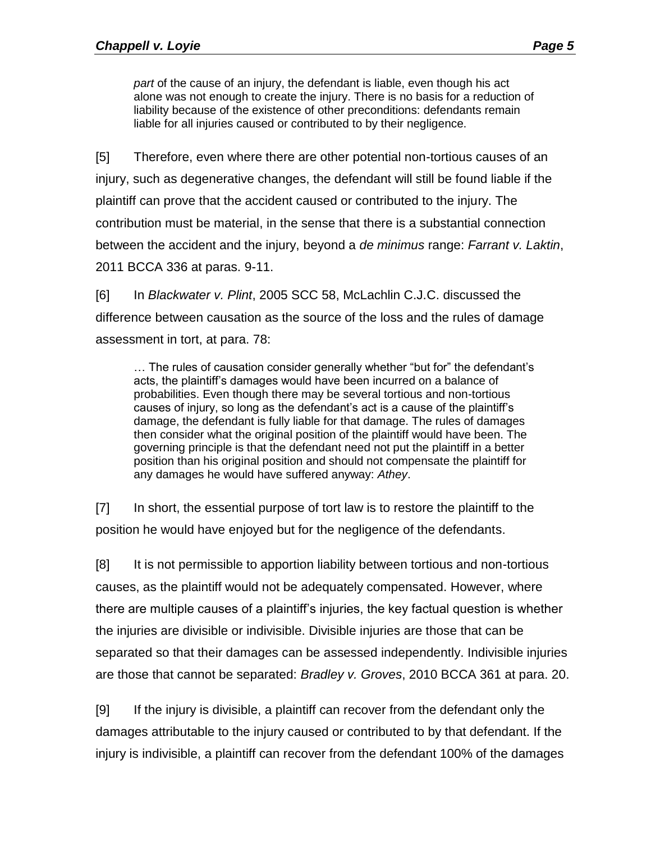*part* of the cause of an injury, the defendant is liable, even though his act alone was not enough to create the injury. There is no basis for a reduction of liability because of the existence of other preconditions: defendants remain liable for all injuries caused or contributed to by their negligence.

[5] Therefore, even where there are other potential non-tortious causes of an injury, such as degenerative changes, the defendant will still be found liable if the plaintiff can prove that the accident caused or contributed to the injury. The contribution must be material, in the sense that there is a substantial connection between the accident and the injury, beyond a *de minimus* range: *Farrant v. Laktin*, 2011 BCCA 336 at paras. 9-11.

[6] In *Blackwater v. Plint*, 2005 SCC 58, McLachlin C.J.C. discussed the difference between causation as the source of the loss and the rules of damage assessment in tort, at para. 78:

… The rules of causation consider generally whether "but for" the defendant's acts, the plaintiff's damages would have been incurred on a balance of probabilities. Even though there may be several tortious and non-tortious causes of injury, so long as the defendant's act is a cause of the plaintiff's damage, the defendant is fully liable for that damage. The rules of damages then consider what the original position of the plaintiff would have been. The governing principle is that the defendant need not put the plaintiff in a better position than his original position and should not compensate the plaintiff for any damages he would have suffered anyway: *Athey*.

[7] In short, the essential purpose of tort law is to restore the plaintiff to the position he would have enjoyed but for the negligence of the defendants.

[8] It is not permissible to apportion liability between tortious and non-tortious causes, as the plaintiff would not be adequately compensated. However, where there are multiple causes of a plaintiff's injuries, the key factual question is whether the injuries are divisible or indivisible. Divisible injuries are those that can be separated so that their damages can be assessed independently. Indivisible injuries are those that cannot be separated: *Bradley v. Groves*, 2010 BCCA 361 at para. 20.

[9] If the injury is divisible, a plaintiff can recover from the defendant only the damages attributable to the injury caused or contributed to by that defendant. If the injury is indivisible, a plaintiff can recover from the defendant 100% of the damages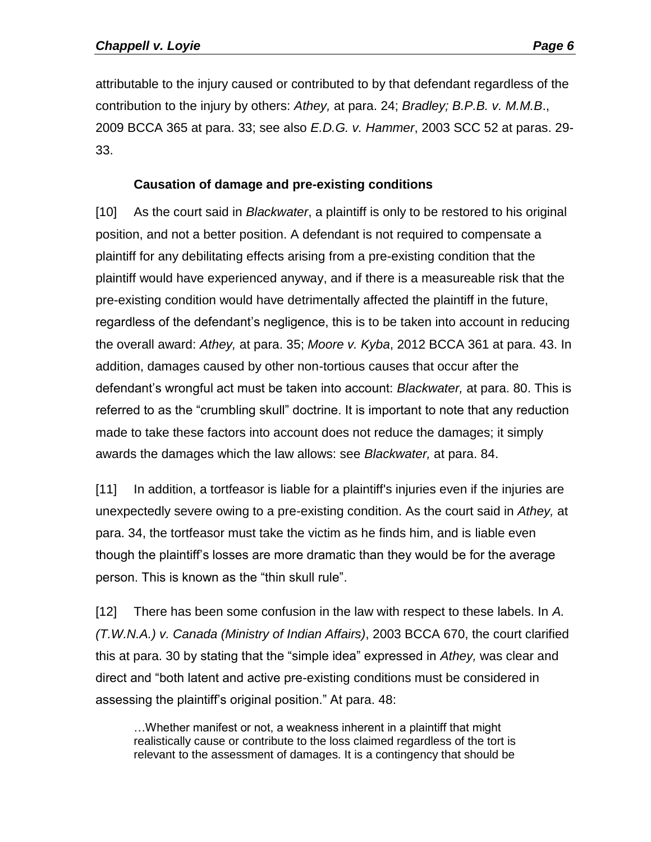attributable to the injury caused or contributed to by that defendant regardless of the contribution to the injury by others: *Athey,* at para. 24; *Bradley; B.P.B. v. M.M.B*., 2009 BCCA 365 at para. 33; see also *E.D.G. v. Hammer*, 2003 SCC 52 at paras. 29- 33.

#### **Causation of damage and pre-existing conditions**

<span id="page-5-0"></span>[10] As the court said in *Blackwater*, a plaintiff is only to be restored to his original position, and not a better position. A defendant is not required to compensate a plaintiff for any debilitating effects arising from a pre-existing condition that the plaintiff would have experienced anyway, and if there is a measureable risk that the pre-existing condition would have detrimentally affected the plaintiff in the future, regardless of the defendant's negligence, this is to be taken into account in reducing the overall award: *Athey,* at para. 35; *Moore v. Kyba*, 2012 BCCA 361 at para. 43. In addition, damages caused by other non-tortious causes that occur after the defendant's wrongful act must be taken into account: *Blackwater,* at para. 80. This is referred to as the "crumbling skull" doctrine. It is important to note that any reduction made to take these factors into account does not reduce the damages; it simply awards the damages which the law allows: see *Blackwater,* at para. 84.

[11] In addition, a tortfeasor is liable for a plaintiff's injuries even if the injuries are unexpectedly severe owing to a pre-existing condition. As the court said in *Athey,* at para. 34, the tortfeasor must take the victim as he finds him, and is liable even though the plaintiff's losses are more dramatic than they would be for the average person. This is known as the "thin skull rule".

[12] There has been some confusion in the law with respect to these labels. In *A. (T.W.N.A.) v. Canada (Ministry of Indian Affairs)*, 2003 BCCA 670, the court clarified this at para. 30 by stating that the "simple idea" expressed in *Athey,* was clear and direct and "both latent and active pre-existing conditions must be considered in assessing the plaintiff's original position." At para. 48:

…Whether manifest or not, a weakness inherent in a plaintiff that might realistically cause or contribute to the loss claimed regardless of the tort is relevant to the assessment of damages. It is a contingency that should be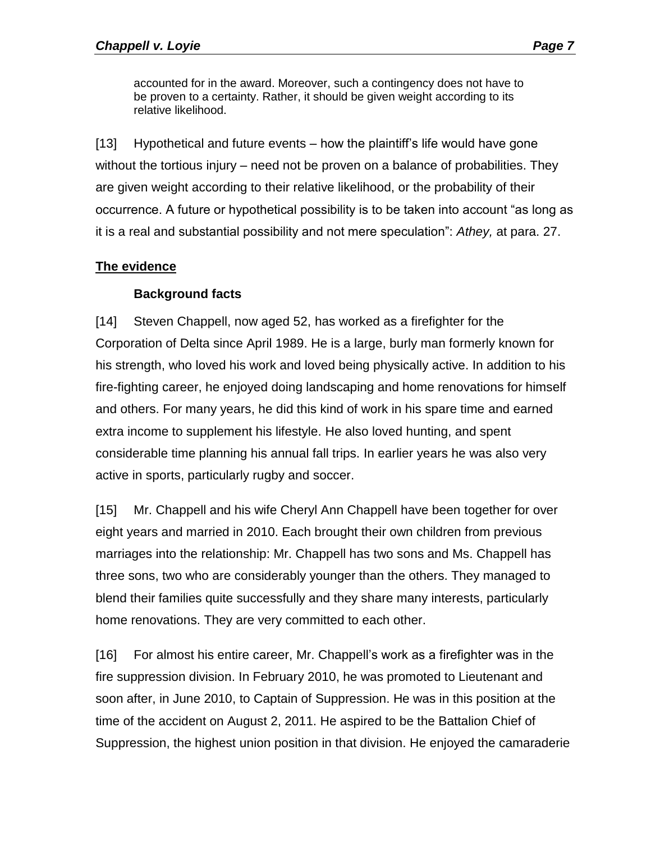accounted for in the award. Moreover, such a contingency does not have to be proven to a certainty. Rather, it should be given weight according to its relative likelihood.

[13] Hypothetical and future events – how the plaintiff's life would have gone without the tortious injury – need not be proven on a balance of probabilities. They are given weight according to their relative likelihood, or the probability of their occurrence. A future or hypothetical possibility is to be taken into account "as long as it is a real and substantial possibility and not mere speculation": *Athey,* at para. 27.

#### <span id="page-6-0"></span>**The evidence**

#### **Background facts**

<span id="page-6-1"></span>[14] Steven Chappell, now aged 52, has worked as a firefighter for the Corporation of Delta since April 1989. He is a large, burly man formerly known for his strength, who loved his work and loved being physically active. In addition to his fire-fighting career, he enjoyed doing landscaping and home renovations for himself and others. For many years, he did this kind of work in his spare time and earned extra income to supplement his lifestyle. He also loved hunting, and spent considerable time planning his annual fall trips. In earlier years he was also very active in sports, particularly rugby and soccer.

[15] Mr. Chappell and his wife Cheryl Ann Chappell have been together for over eight years and married in 2010. Each brought their own children from previous marriages into the relationship: Mr. Chappell has two sons and Ms. Chappell has three sons, two who are considerably younger than the others. They managed to blend their families quite successfully and they share many interests, particularly home renovations. They are very committed to each other.

[16] For almost his entire career, Mr. Chappell's work as a firefighter was in the fire suppression division. In February 2010, he was promoted to Lieutenant and soon after, in June 2010, to Captain of Suppression. He was in this position at the time of the accident on August 2, 2011. He aspired to be the Battalion Chief of Suppression, the highest union position in that division. He enjoyed the camaraderie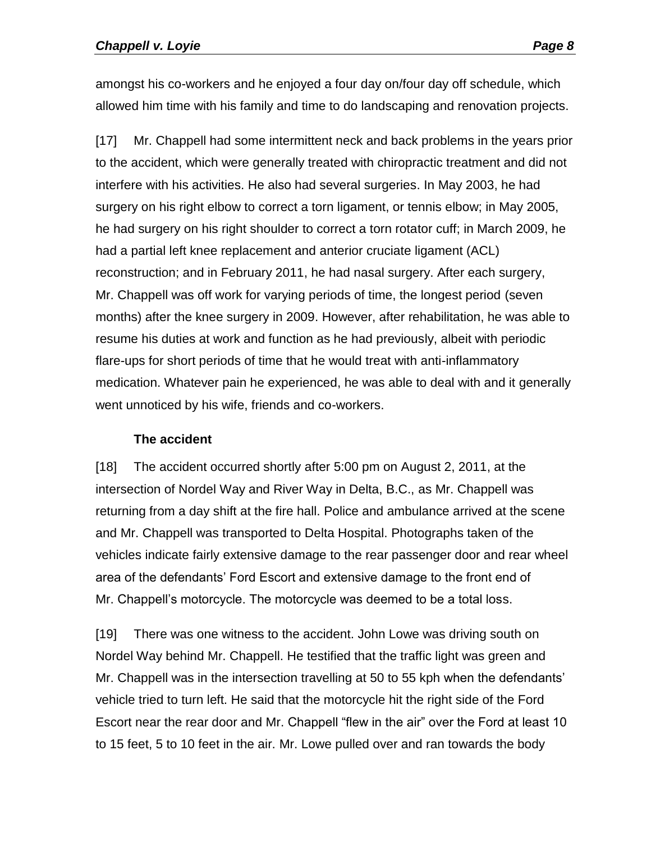amongst his co-workers and he enjoyed a four day on/four day off schedule, which allowed him time with his family and time to do landscaping and renovation projects.

[17] Mr. Chappell had some intermittent neck and back problems in the years prior to the accident, which were generally treated with chiropractic treatment and did not interfere with his activities. He also had several surgeries. In May 2003, he had surgery on his right elbow to correct a torn ligament, or tennis elbow; in May 2005, he had surgery on his right shoulder to correct a torn rotator cuff; in March 2009, he had a partial left knee replacement and anterior cruciate ligament (ACL) reconstruction; and in February 2011, he had nasal surgery. After each surgery, Mr. Chappell was off work for varying periods of time, the longest period (seven months) after the knee surgery in 2009. However, after rehabilitation, he was able to resume his duties at work and function as he had previously, albeit with periodic flare-ups for short periods of time that he would treat with anti-inflammatory medication. Whatever pain he experienced, he was able to deal with and it generally went unnoticed by his wife, friends and co-workers.

#### **The accident**

<span id="page-7-0"></span>[18] The accident occurred shortly after 5:00 pm on August 2, 2011, at the intersection of Nordel Way and River Way in Delta, B.C., as Mr. Chappell was returning from a day shift at the fire hall. Police and ambulance arrived at the scene and Mr. Chappell was transported to Delta Hospital. Photographs taken of the vehicles indicate fairly extensive damage to the rear passenger door and rear wheel area of the defendants' Ford Escort and extensive damage to the front end of Mr. Chappell's motorcycle. The motorcycle was deemed to be a total loss.

[19] There was one witness to the accident. John Lowe was driving south on Nordel Way behind Mr. Chappell. He testified that the traffic light was green and Mr. Chappell was in the intersection travelling at 50 to 55 kph when the defendants' vehicle tried to turn left. He said that the motorcycle hit the right side of the Ford Escort near the rear door and Mr. Chappell "flew in the air" over the Ford at least 10 to 15 feet, 5 to 10 feet in the air. Mr. Lowe pulled over and ran towards the body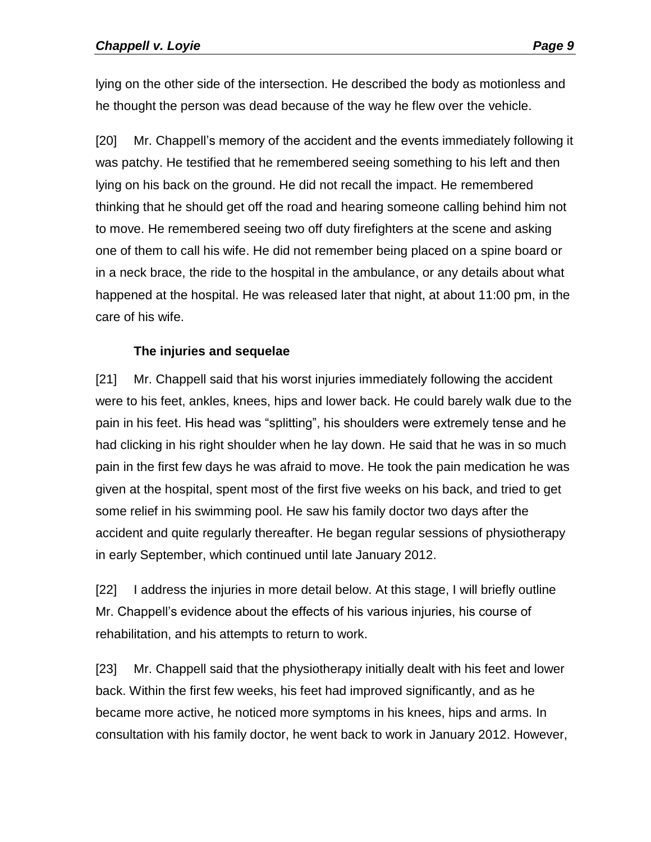lying on the other side of the intersection. He described the body as motionless and he thought the person was dead because of the way he flew over the vehicle.

[20] Mr. Chappell's memory of the accident and the events immediately following it was patchy. He testified that he remembered seeing something to his left and then lying on his back on the ground. He did not recall the impact. He remembered thinking that he should get off the road and hearing someone calling behind him not to move. He remembered seeing two off duty firefighters at the scene and asking one of them to call his wife. He did not remember being placed on a spine board or in a neck brace, the ride to the hospital in the ambulance, or any details about what happened at the hospital. He was released later that night, at about 11:00 pm, in the care of his wife.

#### **The injuries and sequelae**

<span id="page-8-0"></span>[21] Mr. Chappell said that his worst injuries immediately following the accident were to his feet, ankles, knees, hips and lower back. He could barely walk due to the pain in his feet. His head was "splitting", his shoulders were extremely tense and he had clicking in his right shoulder when he lay down. He said that he was in so much pain in the first few days he was afraid to move. He took the pain medication he was given at the hospital, spent most of the first five weeks on his back, and tried to get some relief in his swimming pool. He saw his family doctor two days after the accident and quite regularly thereafter. He began regular sessions of physiotherapy in early September, which continued until late January 2012.

[22] I address the injuries in more detail below. At this stage, I will briefly outline Mr. Chappell's evidence about the effects of his various injuries, his course of rehabilitation, and his attempts to return to work.

[23] Mr. Chappell said that the physiotherapy initially dealt with his feet and lower back. Within the first few weeks, his feet had improved significantly, and as he became more active, he noticed more symptoms in his knees, hips and arms. In consultation with his family doctor, he went back to work in January 2012. However,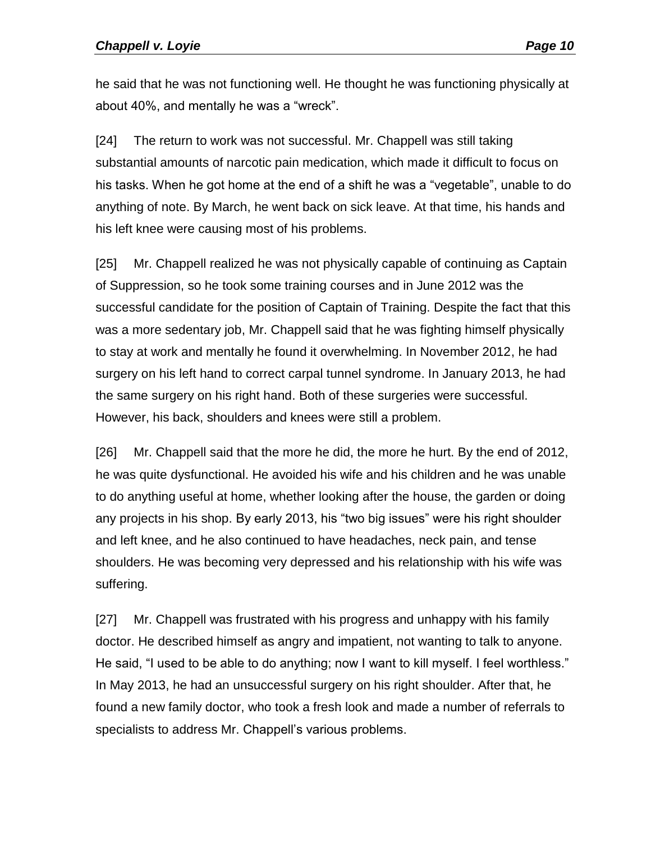he said that he was not functioning well. He thought he was functioning physically at about 40%, and mentally he was a "wreck".

[24] The return to work was not successful. Mr. Chappell was still taking substantial amounts of narcotic pain medication, which made it difficult to focus on his tasks. When he got home at the end of a shift he was a "vegetable", unable to do anything of note. By March, he went back on sick leave. At that time, his hands and his left knee were causing most of his problems.

[25] Mr. Chappell realized he was not physically capable of continuing as Captain of Suppression, so he took some training courses and in June 2012 was the successful candidate for the position of Captain of Training. Despite the fact that this was a more sedentary job, Mr. Chappell said that he was fighting himself physically to stay at work and mentally he found it overwhelming. In November 2012, he had surgery on his left hand to correct carpal tunnel syndrome. In January 2013, he had the same surgery on his right hand. Both of these surgeries were successful. However, his back, shoulders and knees were still a problem.

[26] Mr. Chappell said that the more he did, the more he hurt. By the end of 2012, he was quite dysfunctional. He avoided his wife and his children and he was unable to do anything useful at home, whether looking after the house, the garden or doing any projects in his shop. By early 2013, his "two big issues" were his right shoulder and left knee, and he also continued to have headaches, neck pain, and tense shoulders. He was becoming very depressed and his relationship with his wife was suffering.

[27] Mr. Chappell was frustrated with his progress and unhappy with his family doctor. He described himself as angry and impatient, not wanting to talk to anyone. He said, "I used to be able to do anything; now I want to kill myself. I feel worthless." In May 2013, he had an unsuccessful surgery on his right shoulder. After that, he found a new family doctor, who took a fresh look and made a number of referrals to specialists to address Mr. Chappell's various problems.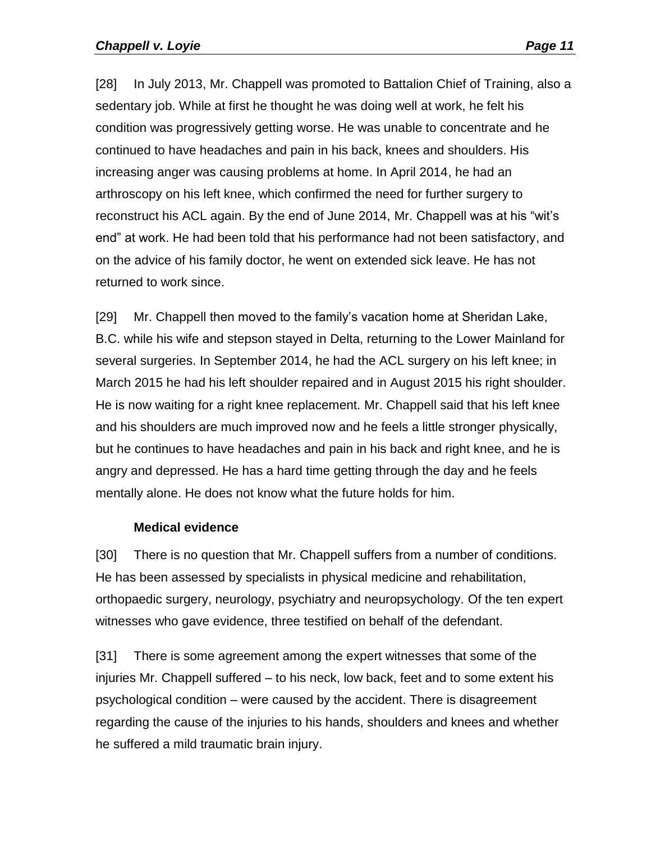[28] In July 2013, Mr. Chappell was promoted to Battalion Chief of Training, also a sedentary job. While at first he thought he was doing well at work, he felt his condition was progressively getting worse. He was unable to concentrate and he continued to have headaches and pain in his back, knees and shoulders. His increasing anger was causing problems at home. In April 2014, he had an arthroscopy on his left knee, which confirmed the need for further surgery to reconstruct his ACL again. By the end of June 2014, Mr. Chappell was at his "wit's end" at work. He had been told that his performance had not been satisfactory, and on the advice of his family doctor, he went on extended sick leave. He has not returned to work since.

[29] Mr. Chappell then moved to the family's vacation home at Sheridan Lake, B.C. while his wife and stepson stayed in Delta, returning to the Lower Mainland for several surgeries. In September 2014, he had the ACL surgery on his left knee; in March 2015 he had his left shoulder repaired and in August 2015 his right shoulder. He is now waiting for a right knee replacement. Mr. Chappell said that his left knee and his shoulders are much improved now and he feels a little stronger physically, but he continues to have headaches and pain in his back and right knee, and he is angry and depressed. He has a hard time getting through the day and he feels mentally alone. He does not know what the future holds for him.

#### **Medical evidence**

<span id="page-10-0"></span>[30] There is no question that Mr. Chappell suffers from a number of conditions. He has been assessed by specialists in physical medicine and rehabilitation, orthopaedic surgery, neurology, psychiatry and neuropsychology. Of the ten expert witnesses who gave evidence, three testified on behalf of the defendant.

[31] There is some agreement among the expert witnesses that some of the injuries Mr. Chappell suffered – to his neck, low back, feet and to some extent his psychological condition – were caused by the accident. There is disagreement regarding the cause of the injuries to his hands, shoulders and knees and whether he suffered a mild traumatic brain injury.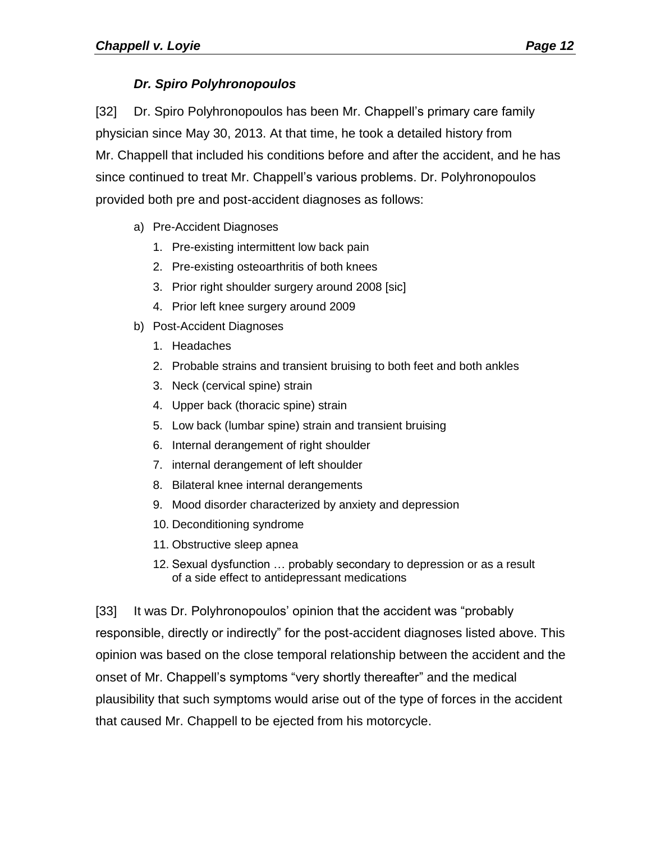## *Dr. Spiro Polyhronopoulos*

<span id="page-11-0"></span>[32] Dr. Spiro Polyhronopoulos has been Mr. Chappell's primary care family physician since May 30, 2013. At that time, he took a detailed history from Mr. Chappell that included his conditions before and after the accident, and he has since continued to treat Mr. Chappell's various problems. Dr. Polyhronopoulos provided both pre and post-accident diagnoses as follows:

- a) Pre-Accident Diagnoses
	- 1. Pre-existing intermittent low back pain
	- 2. Pre-existing osteoarthritis of both knees
	- 3. Prior right shoulder surgery around 2008 [sic]
	- 4. Prior left knee surgery around 2009
- b) Post-Accident Diagnoses
	- 1. Headaches
	- 2. Probable strains and transient bruising to both feet and both ankles
	- 3. Neck (cervical spine) strain
	- 4. Upper back (thoracic spine) strain
	- 5. Low back (lumbar spine) strain and transient bruising
	- 6. Internal derangement of right shoulder
	- 7. internal derangement of left shoulder
	- 8. Bilateral knee internal derangements
	- 9. Mood disorder characterized by anxiety and depression
	- 10. Deconditioning syndrome
	- 11. Obstructive sleep apnea
	- 12. Sexual dysfunction … probably secondary to depression or as a result of a side effect to antidepressant medications

[33] It was Dr. Polyhronopoulos' opinion that the accident was "probably responsible, directly or indirectly" for the post-accident diagnoses listed above. This opinion was based on the close temporal relationship between the accident and the onset of Mr. Chappell's symptoms "very shortly thereafter" and the medical plausibility that such symptoms would arise out of the type of forces in the accident that caused Mr. Chappell to be ejected from his motorcycle.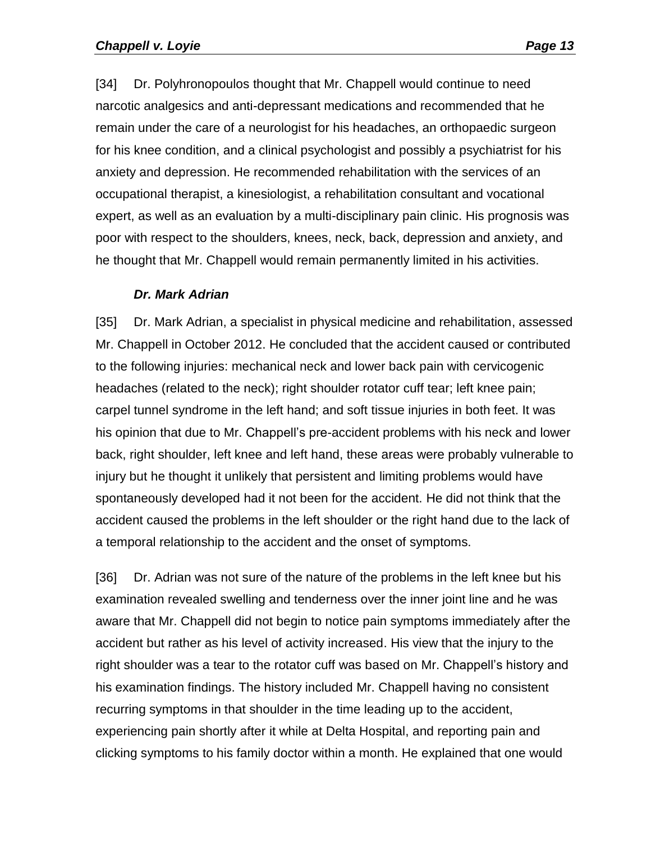[34] Dr. Polyhronopoulos thought that Mr. Chappell would continue to need narcotic analgesics and anti-depressant medications and recommended that he remain under the care of a neurologist for his headaches, an orthopaedic surgeon for his knee condition, and a clinical psychologist and possibly a psychiatrist for his anxiety and depression. He recommended rehabilitation with the services of an occupational therapist, a kinesiologist, a rehabilitation consultant and vocational expert, as well as an evaluation by a multi-disciplinary pain clinic. His prognosis was poor with respect to the shoulders, knees, neck, back, depression and anxiety, and he thought that Mr. Chappell would remain permanently limited in his activities.

#### *Dr. Mark Adrian*

<span id="page-12-0"></span>[35] Dr. Mark Adrian, a specialist in physical medicine and rehabilitation, assessed Mr. Chappell in October 2012. He concluded that the accident caused or contributed to the following injuries: mechanical neck and lower back pain with cervicogenic headaches (related to the neck); right shoulder rotator cuff tear; left knee pain; carpel tunnel syndrome in the left hand; and soft tissue injuries in both feet. It was his opinion that due to Mr. Chappell's pre-accident problems with his neck and lower back, right shoulder, left knee and left hand, these areas were probably vulnerable to injury but he thought it unlikely that persistent and limiting problems would have spontaneously developed had it not been for the accident. He did not think that the accident caused the problems in the left shoulder or the right hand due to the lack of a temporal relationship to the accident and the onset of symptoms.

[36] Dr. Adrian was not sure of the nature of the problems in the left knee but his examination revealed swelling and tenderness over the inner joint line and he was aware that Mr. Chappell did not begin to notice pain symptoms immediately after the accident but rather as his level of activity increased. His view that the injury to the right shoulder was a tear to the rotator cuff was based on Mr. Chappell's history and his examination findings. The history included Mr. Chappell having no consistent recurring symptoms in that shoulder in the time leading up to the accident, experiencing pain shortly after it while at Delta Hospital, and reporting pain and clicking symptoms to his family doctor within a month. He explained that one would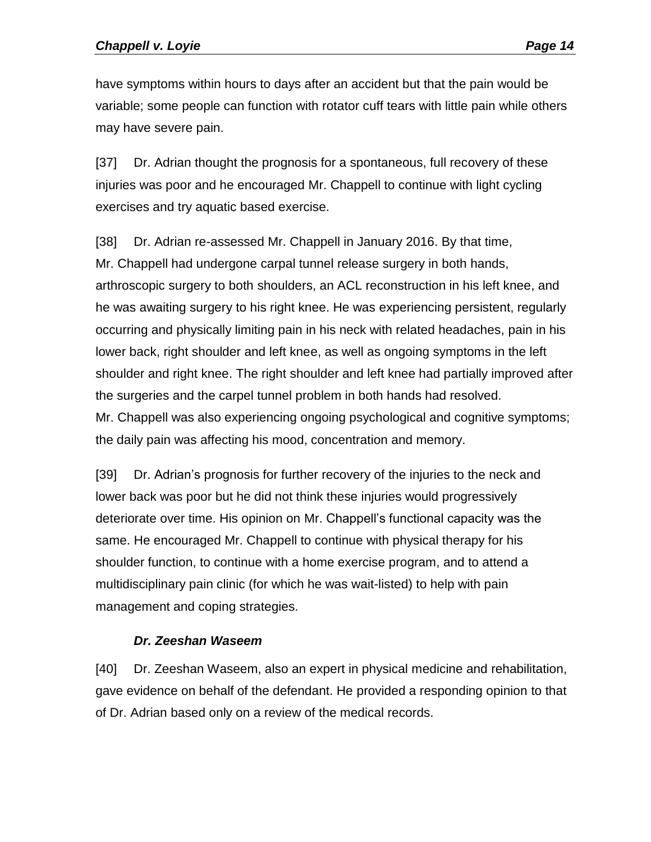have symptoms within hours to days after an accident but that the pain would be variable; some people can function with rotator cuff tears with little pain while others may have severe pain.

[37] Dr. Adrian thought the prognosis for a spontaneous, full recovery of these injuries was poor and he encouraged Mr. Chappell to continue with light cycling exercises and try aquatic based exercise.

[38] Dr. Adrian re-assessed Mr. Chappell in January 2016. By that time, Mr. Chappell had undergone carpal tunnel release surgery in both hands, arthroscopic surgery to both shoulders, an ACL reconstruction in his left knee, and he was awaiting surgery to his right knee. He was experiencing persistent, regularly occurring and physically limiting pain in his neck with related headaches, pain in his lower back, right shoulder and left knee, as well as ongoing symptoms in the left shoulder and right knee. The right shoulder and left knee had partially improved after the surgeries and the carpel tunnel problem in both hands had resolved. Mr. Chappell was also experiencing ongoing psychological and cognitive symptoms; the daily pain was affecting his mood, concentration and memory.

[39] Dr. Adrian's prognosis for further recovery of the injuries to the neck and lower back was poor but he did not think these injuries would progressively deteriorate over time. His opinion on Mr. Chappell's functional capacity was the same. He encouraged Mr. Chappell to continue with physical therapy for his shoulder function, to continue with a home exercise program, and to attend a multidisciplinary pain clinic (for which he was wait-listed) to help with pain management and coping strategies.

## *Dr. Zeeshan Waseem*

<span id="page-13-0"></span>[40] Dr. Zeeshan Waseem, also an expert in physical medicine and rehabilitation, gave evidence on behalf of the defendant. He provided a responding opinion to that of Dr. Adrian based only on a review of the medical records.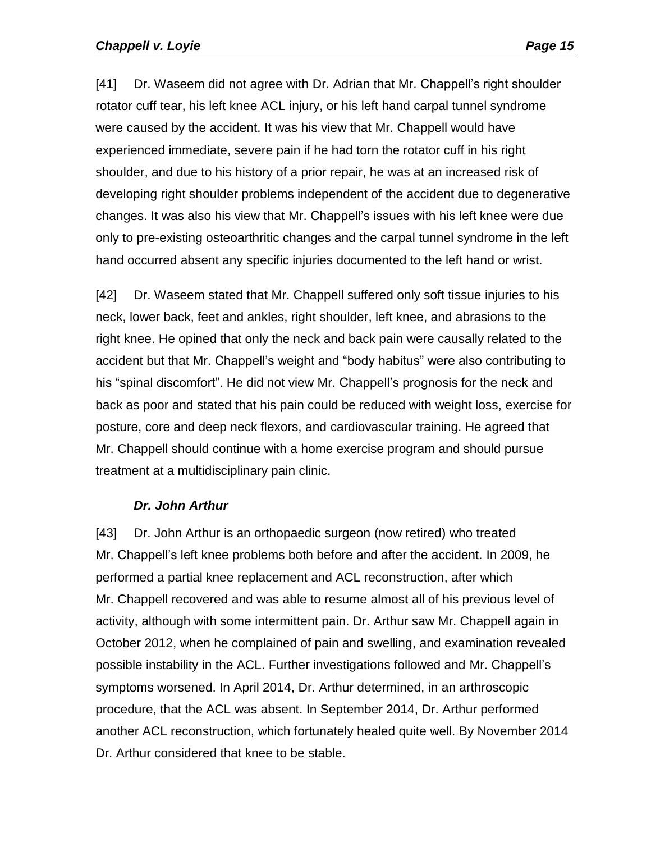[41] Dr. Waseem did not agree with Dr. Adrian that Mr. Chappell's right shoulder rotator cuff tear, his left knee ACL injury, or his left hand carpal tunnel syndrome were caused by the accident. It was his view that Mr. Chappell would have experienced immediate, severe pain if he had torn the rotator cuff in his right shoulder, and due to his history of a prior repair, he was at an increased risk of developing right shoulder problems independent of the accident due to degenerative changes. It was also his view that Mr. Chappell's issues with his left knee were due only to pre-existing osteoarthritic changes and the carpal tunnel syndrome in the left hand occurred absent any specific injuries documented to the left hand or wrist.

[42] Dr. Waseem stated that Mr. Chappell suffered only soft tissue injuries to his neck, lower back, feet and ankles, right shoulder, left knee, and abrasions to the right knee. He opined that only the neck and back pain were causally related to the accident but that Mr. Chappell's weight and "body habitus" were also contributing to his "spinal discomfort". He did not view Mr. Chappell's prognosis for the neck and back as poor and stated that his pain could be reduced with weight loss, exercise for posture, core and deep neck flexors, and cardiovascular training. He agreed that Mr. Chappell should continue with a home exercise program and should pursue treatment at a multidisciplinary pain clinic.

#### *Dr. John Arthur*

<span id="page-14-0"></span>[43] Dr. John Arthur is an orthopaedic surgeon (now retired) who treated Mr. Chappell's left knee problems both before and after the accident. In 2009, he performed a partial knee replacement and ACL reconstruction, after which Mr. Chappell recovered and was able to resume almost all of his previous level of activity, although with some intermittent pain. Dr. Arthur saw Mr. Chappell again in October 2012, when he complained of pain and swelling, and examination revealed possible instability in the ACL. Further investigations followed and Mr. Chappell's symptoms worsened. In April 2014, Dr. Arthur determined, in an arthroscopic procedure, that the ACL was absent. In September 2014, Dr. Arthur performed another ACL reconstruction, which fortunately healed quite well. By November 2014 Dr. Arthur considered that knee to be stable.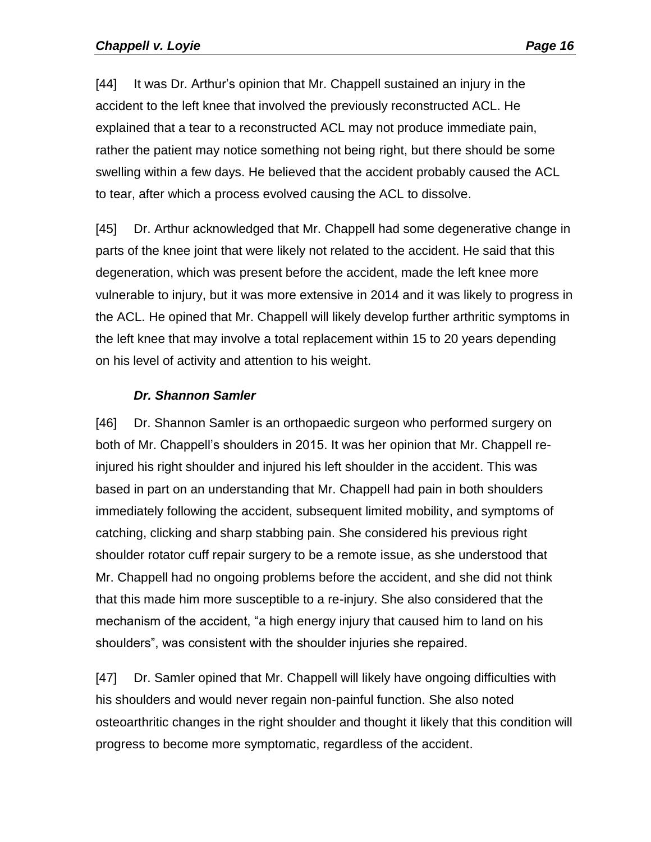[44] It was Dr. Arthur's opinion that Mr. Chappell sustained an injury in the accident to the left knee that involved the previously reconstructed ACL. He explained that a tear to a reconstructed ACL may not produce immediate pain, rather the patient may notice something not being right, but there should be some swelling within a few days. He believed that the accident probably caused the ACL to tear, after which a process evolved causing the ACL to dissolve.

[45] Dr. Arthur acknowledged that Mr. Chappell had some degenerative change in parts of the knee joint that were likely not related to the accident. He said that this degeneration, which was present before the accident, made the left knee more vulnerable to injury, but it was more extensive in 2014 and it was likely to progress in the ACL. He opined that Mr. Chappell will likely develop further arthritic symptoms in the left knee that may involve a total replacement within 15 to 20 years depending on his level of activity and attention to his weight.

#### *Dr. Shannon Samler*

<span id="page-15-0"></span>[46] Dr. Shannon Samler is an orthopaedic surgeon who performed surgery on both of Mr. Chappell's shoulders in 2015. It was her opinion that Mr. Chappell reinjured his right shoulder and injured his left shoulder in the accident. This was based in part on an understanding that Mr. Chappell had pain in both shoulders immediately following the accident, subsequent limited mobility, and symptoms of catching, clicking and sharp stabbing pain. She considered his previous right shoulder rotator cuff repair surgery to be a remote issue, as she understood that Mr. Chappell had no ongoing problems before the accident, and she did not think that this made him more susceptible to a re-injury. She also considered that the mechanism of the accident, "a high energy injury that caused him to land on his shoulders", was consistent with the shoulder injuries she repaired.

[47] Dr. Samler opined that Mr. Chappell will likely have ongoing difficulties with his shoulders and would never regain non-painful function. She also noted osteoarthritic changes in the right shoulder and thought it likely that this condition will progress to become more symptomatic, regardless of the accident.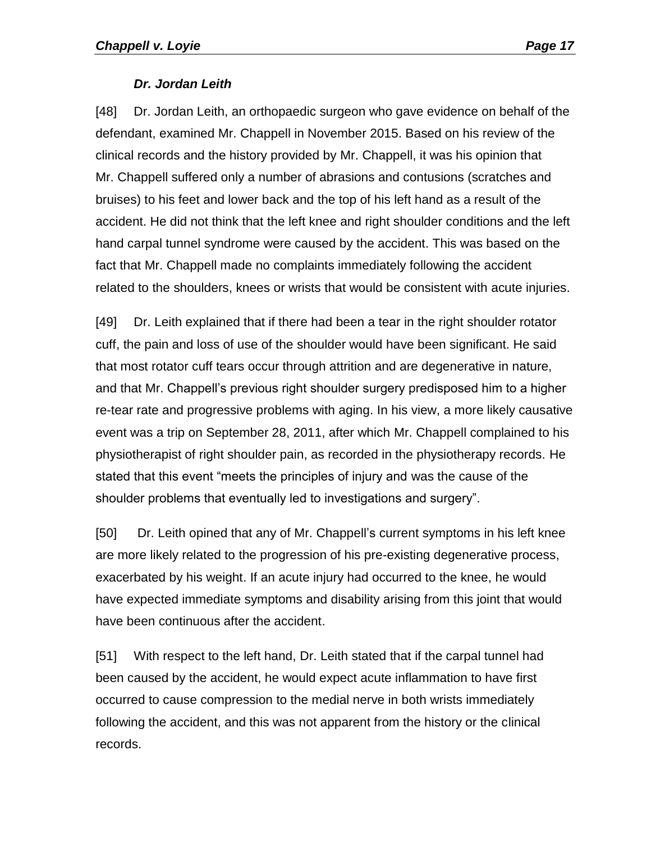#### *Dr. Jordan Leith*

<span id="page-16-0"></span>[48] Dr. Jordan Leith, an orthopaedic surgeon who gave evidence on behalf of the defendant, examined Mr. Chappell in November 2015. Based on his review of the clinical records and the history provided by Mr. Chappell, it was his opinion that Mr. Chappell suffered only a number of abrasions and contusions (scratches and bruises) to his feet and lower back and the top of his left hand as a result of the accident. He did not think that the left knee and right shoulder conditions and the left hand carpal tunnel syndrome were caused by the accident. This was based on the fact that Mr. Chappell made no complaints immediately following the accident related to the shoulders, knees or wrists that would be consistent with acute injuries.

[49] Dr. Leith explained that if there had been a tear in the right shoulder rotator cuff, the pain and loss of use of the shoulder would have been significant. He said that most rotator cuff tears occur through attrition and are degenerative in nature, and that Mr. Chappell's previous right shoulder surgery predisposed him to a higher re-tear rate and progressive problems with aging. In his view, a more likely causative event was a trip on September 28, 2011, after which Mr. Chappell complained to his physiotherapist of right shoulder pain, as recorded in the physiotherapy records. He stated that this event "meets the principles of injury and was the cause of the shoulder problems that eventually led to investigations and surgery".

[50] Dr. Leith opined that any of Mr. Chappell's current symptoms in his left knee are more likely related to the progression of his pre-existing degenerative process, exacerbated by his weight. If an acute injury had occurred to the knee, he would have expected immediate symptoms and disability arising from this joint that would have been continuous after the accident.

[51] With respect to the left hand, Dr. Leith stated that if the carpal tunnel had been caused by the accident, he would expect acute inflammation to have first occurred to cause compression to the medial nerve in both wrists immediately following the accident, and this was not apparent from the history or the clinical records.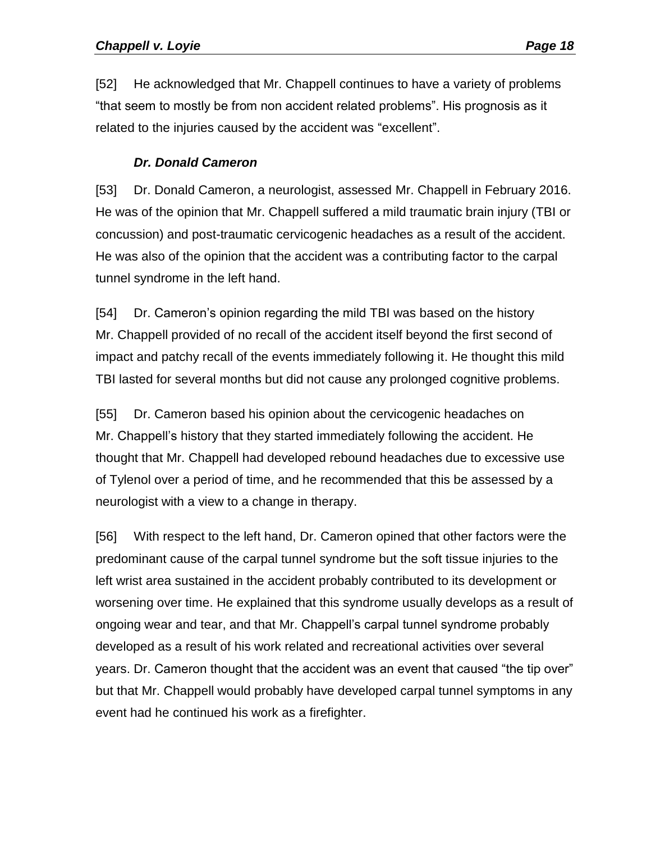[52] He acknowledged that Mr. Chappell continues to have a variety of problems "that seem to mostly be from non accident related problems". His prognosis as it related to the injuries caused by the accident was "excellent".

#### *Dr. Donald Cameron*

<span id="page-17-0"></span>[53] Dr. Donald Cameron, a neurologist, assessed Mr. Chappell in February 2016. He was of the opinion that Mr. Chappell suffered a mild traumatic brain injury (TBI or concussion) and post-traumatic cervicogenic headaches as a result of the accident. He was also of the opinion that the accident was a contributing factor to the carpal tunnel syndrome in the left hand.

[54] Dr. Cameron's opinion regarding the mild TBI was based on the history Mr. Chappell provided of no recall of the accident itself beyond the first second of impact and patchy recall of the events immediately following it. He thought this mild TBI lasted for several months but did not cause any prolonged cognitive problems.

[55] Dr. Cameron based his opinion about the cervicogenic headaches on Mr. Chappell's history that they started immediately following the accident. He thought that Mr. Chappell had developed rebound headaches due to excessive use of Tylenol over a period of time, and he recommended that this be assessed by a neurologist with a view to a change in therapy.

[56] With respect to the left hand, Dr. Cameron opined that other factors were the predominant cause of the carpal tunnel syndrome but the soft tissue injuries to the left wrist area sustained in the accident probably contributed to its development or worsening over time. He explained that this syndrome usually develops as a result of ongoing wear and tear, and that Mr. Chappell's carpal tunnel syndrome probably developed as a result of his work related and recreational activities over several years. Dr. Cameron thought that the accident was an event that caused "the tip over" but that Mr. Chappell would probably have developed carpal tunnel symptoms in any event had he continued his work as a firefighter.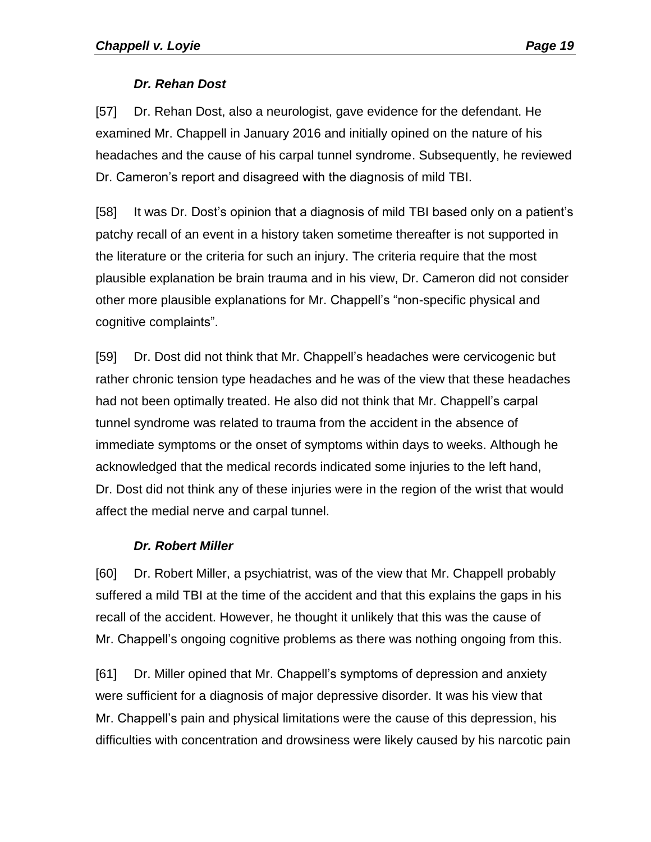#### *Dr. Rehan Dost*

<span id="page-18-0"></span>[57] Dr. Rehan Dost, also a neurologist, gave evidence for the defendant. He examined Mr. Chappell in January 2016 and initially opined on the nature of his headaches and the cause of his carpal tunnel syndrome. Subsequently, he reviewed Dr. Cameron's report and disagreed with the diagnosis of mild TBI.

[58] It was Dr. Dost's opinion that a diagnosis of mild TBI based only on a patient's patchy recall of an event in a history taken sometime thereafter is not supported in the literature or the criteria for such an injury. The criteria require that the most plausible explanation be brain trauma and in his view, Dr. Cameron did not consider other more plausible explanations for Mr. Chappell's "non-specific physical and cognitive complaints".

[59] Dr. Dost did not think that Mr. Chappell's headaches were cervicogenic but rather chronic tension type headaches and he was of the view that these headaches had not been optimally treated. He also did not think that Mr. Chappell's carpal tunnel syndrome was related to trauma from the accident in the absence of immediate symptoms or the onset of symptoms within days to weeks. Although he acknowledged that the medical records indicated some injuries to the left hand, Dr. Dost did not think any of these injuries were in the region of the wrist that would affect the medial nerve and carpal tunnel.

#### *Dr. Robert Miller*

<span id="page-18-1"></span>[60] Dr. Robert Miller, a psychiatrist, was of the view that Mr. Chappell probably suffered a mild TBI at the time of the accident and that this explains the gaps in his recall of the accident. However, he thought it unlikely that this was the cause of Mr. Chappell's ongoing cognitive problems as there was nothing ongoing from this.

[61] Dr. Miller opined that Mr. Chappell's symptoms of depression and anxiety were sufficient for a diagnosis of major depressive disorder. It was his view that Mr. Chappell's pain and physical limitations were the cause of this depression, his difficulties with concentration and drowsiness were likely caused by his narcotic pain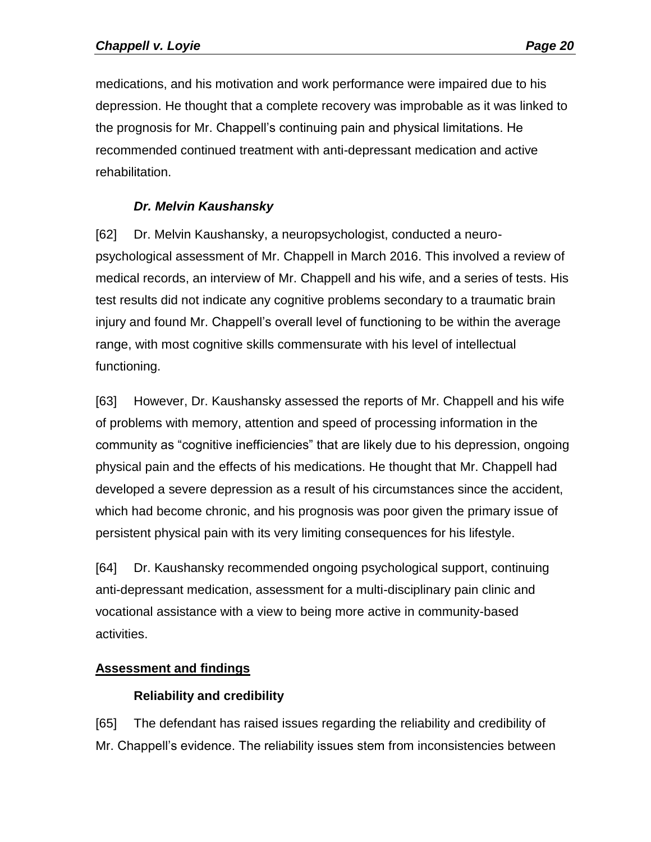medications, and his motivation and work performance were impaired due to his depression. He thought that a complete recovery was improbable as it was linked to the prognosis for Mr. Chappell's continuing pain and physical limitations. He recommended continued treatment with anti-depressant medication and active rehabilitation.

## *Dr. Melvin Kaushansky*

<span id="page-19-0"></span>[62] Dr. Melvin Kaushansky, a neuropsychologist, conducted a neuropsychological assessment of Mr. Chappell in March 2016. This involved a review of medical records, an interview of Mr. Chappell and his wife, and a series of tests. His test results did not indicate any cognitive problems secondary to a traumatic brain injury and found Mr. Chappell's overall level of functioning to be within the average range, with most cognitive skills commensurate with his level of intellectual functioning.

[63] However, Dr. Kaushansky assessed the reports of Mr. Chappell and his wife of problems with memory, attention and speed of processing information in the community as "cognitive inefficiencies" that are likely due to his depression, ongoing physical pain and the effects of his medications. He thought that Mr. Chappell had developed a severe depression as a result of his circumstances since the accident, which had become chronic, and his prognosis was poor given the primary issue of persistent physical pain with its very limiting consequences for his lifestyle.

[64] Dr. Kaushansky recommended ongoing psychological support, continuing anti-depressant medication, assessment for a multi-disciplinary pain clinic and vocational assistance with a view to being more active in community-based activities.

## <span id="page-19-2"></span><span id="page-19-1"></span>**Assessment and findings**

## **Reliability and credibility**

[65] The defendant has raised issues regarding the reliability and credibility of Mr. Chappell's evidence. The reliability issues stem from inconsistencies between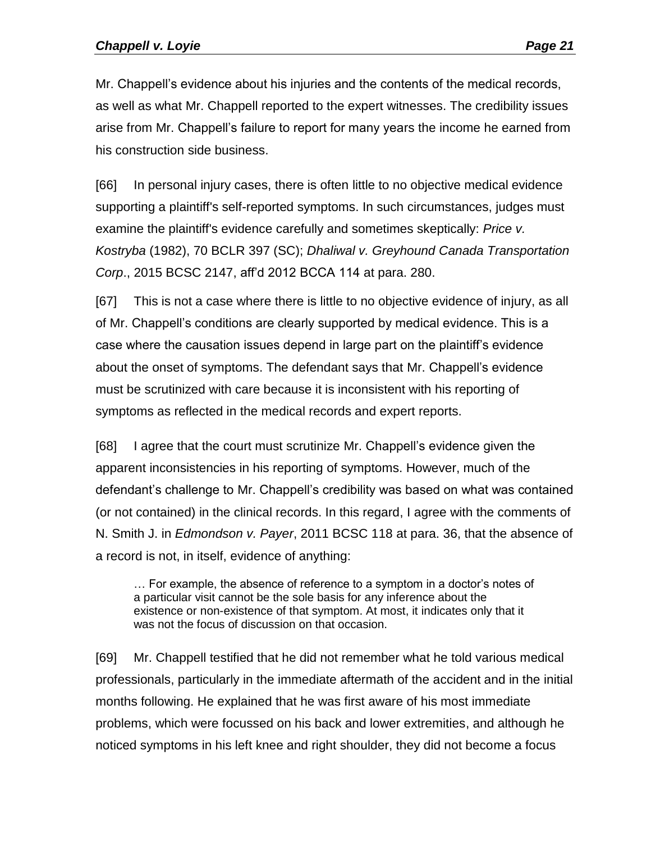Mr. Chappell's evidence about his injuries and the contents of the medical records, as well as what Mr. Chappell reported to the expert witnesses. The credibility issues arise from Mr. Chappell's failure to report for many years the income he earned from his construction side business.

[66] In personal injury cases, there is often little to no objective medical evidence supporting a plaintiff's self-reported symptoms. In such circumstances, judges must examine the plaintiff's evidence carefully and sometimes skeptically: *Price v. Kostryba* (1982), 70 BCLR 397 (SC); *Dhaliwal v. Greyhound Canada Transportation Corp*., 2015 BCSC 2147, aff'd 2012 BCCA 114 at para. 280.

[67] This is not a case where there is little to no objective evidence of injury, as all of Mr. Chappell's conditions are clearly supported by medical evidence. This is a case where the causation issues depend in large part on the plaintiff's evidence about the onset of symptoms. The defendant says that Mr. Chappell's evidence must be scrutinized with care because it is inconsistent with his reporting of symptoms as reflected in the medical records and expert reports.

[68] I agree that the court must scrutinize Mr. Chappell's evidence given the apparent inconsistencies in his reporting of symptoms. However, much of the defendant's challenge to Mr. Chappell's credibility was based on what was contained (or not contained) in the clinical records. In this regard, I agree with the comments of N. Smith J. in *Edmondson v. Payer*, 2011 BCSC 118 at para. 36, that the absence of a record is not, in itself, evidence of anything:

… For example, the absence of reference to a symptom in a doctor's notes of a particular visit cannot be the sole basis for any inference about the existence or non-existence of that symptom. At most, it indicates only that it was not the focus of discussion on that occasion.

[69] Mr. Chappell testified that he did not remember what he told various medical professionals, particularly in the immediate aftermath of the accident and in the initial months following. He explained that he was first aware of his most immediate problems, which were focussed on his back and lower extremities, and although he noticed symptoms in his left knee and right shoulder, they did not become a focus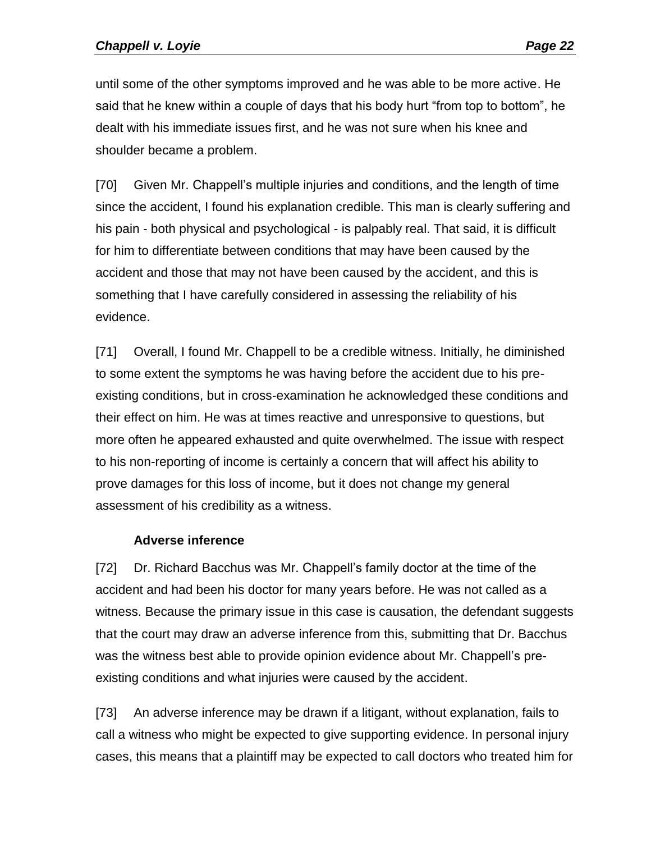until some of the other symptoms improved and he was able to be more active. He said that he knew within a couple of days that his body hurt "from top to bottom", he dealt with his immediate issues first, and he was not sure when his knee and shoulder became a problem.

[70] Given Mr. Chappell's multiple injuries and conditions, and the length of time since the accident, I found his explanation credible. This man is clearly suffering and his pain - both physical and psychological - is palpably real. That said, it is difficult for him to differentiate between conditions that may have been caused by the accident and those that may not have been caused by the accident, and this is something that I have carefully considered in assessing the reliability of his evidence.

[71] Overall, I found Mr. Chappell to be a credible witness. Initially, he diminished to some extent the symptoms he was having before the accident due to his preexisting conditions, but in cross-examination he acknowledged these conditions and their effect on him. He was at times reactive and unresponsive to questions, but more often he appeared exhausted and quite overwhelmed. The issue with respect to his non-reporting of income is certainly a concern that will affect his ability to prove damages for this loss of income, but it does not change my general assessment of his credibility as a witness.

#### **Adverse inference**

<span id="page-21-0"></span>[72] Dr. Richard Bacchus was Mr. Chappell's family doctor at the time of the accident and had been his doctor for many years before. He was not called as a witness. Because the primary issue in this case is causation, the defendant suggests that the court may draw an adverse inference from this, submitting that Dr. Bacchus was the witness best able to provide opinion evidence about Mr. Chappell's preexisting conditions and what injuries were caused by the accident.

[73] An adverse inference may be drawn if a litigant, without explanation, fails to call a witness who might be expected to give supporting evidence. In personal injury cases, this means that a plaintiff may be expected to call doctors who treated him for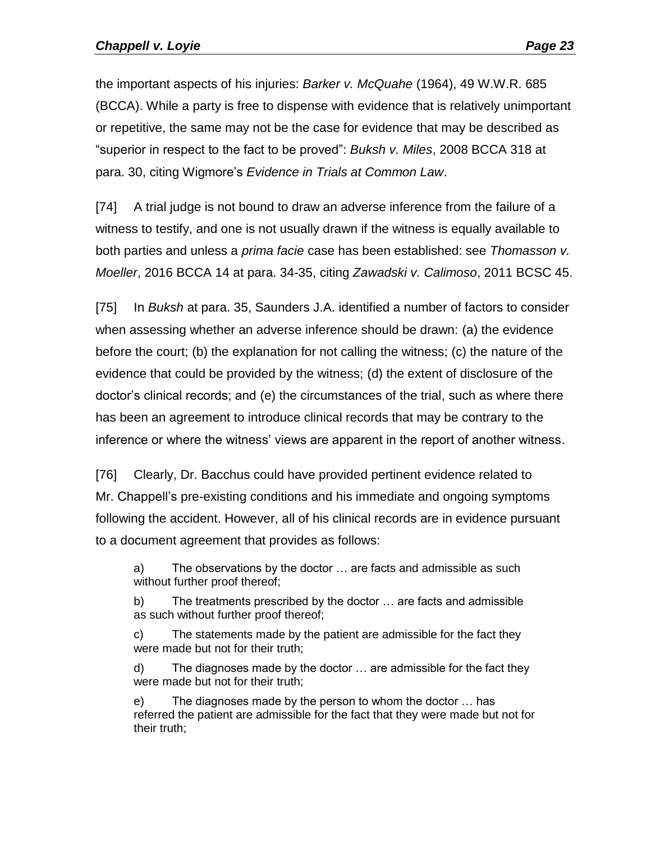the important aspects of his injuries: *Barker v. McQuahe* (1964), 49 W.W.R. 685 (BCCA). While a party is free to dispense with evidence that is relatively unimportant or repetitive, the same may not be the case for evidence that may be described as "superior in respect to the fact to be proved": *Buksh v. Miles*, 2008 BCCA 318 at para. 30, citing Wigmore's *Evidence in Trials at Common Law*.

[74] A trial judge is not bound to draw an adverse inference from the failure of a witness to testify, and one is not usually drawn if the witness is equally available to both parties and unless a *prima facie* case has been established: see *Thomasson v. Moeller*, 2016 BCCA 14 at para. 34-35, citing *Zawadski v. Calimoso*, 2011 BCSC 45.

[75] In *Buksh* at para. 35, Saunders J.A. identified a number of factors to consider when assessing whether an adverse inference should be drawn: (a) the evidence before the court; (b) the explanation for not calling the witness; (c) the nature of the evidence that could be provided by the witness; (d) the extent of disclosure of the doctor's clinical records; and (e) the circumstances of the trial, such as where there has been an agreement to introduce clinical records that may be contrary to the inference or where the witness' views are apparent in the report of another witness.

[76] Clearly, Dr. Bacchus could have provided pertinent evidence related to Mr. Chappell's pre-existing conditions and his immediate and ongoing symptoms following the accident. However, all of his clinical records are in evidence pursuant to a document agreement that provides as follows:

a) The observations by the doctor … are facts and admissible as such without further proof thereof;

b) The treatments prescribed by the doctor … are facts and admissible as such without further proof thereof;

c) The statements made by the patient are admissible for the fact they were made but not for their truth;

d) The diagnoses made by the doctor … are admissible for the fact they were made but not for their truth;

e) The diagnoses made by the person to whom the doctor … has referred the patient are admissible for the fact that they were made but not for their truth;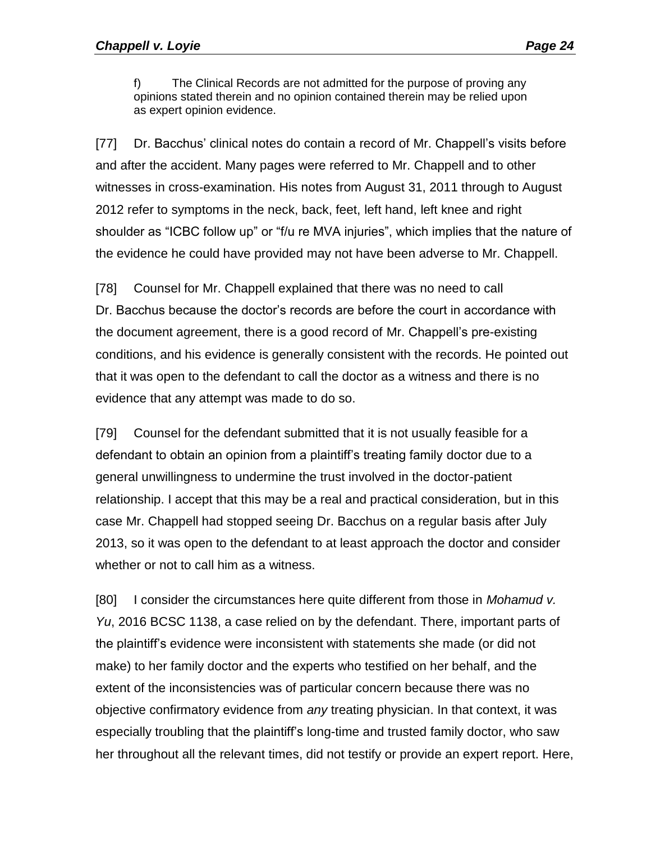f) The Clinical Records are not admitted for the purpose of proving any opinions stated therein and no opinion contained therein may be relied upon as expert opinion evidence.

[77] Dr. Bacchus' clinical notes do contain a record of Mr. Chappell's visits before and after the accident. Many pages were referred to Mr. Chappell and to other witnesses in cross-examination. His notes from August 31, 2011 through to August 2012 refer to symptoms in the neck, back, feet, left hand, left knee and right shoulder as "ICBC follow up" or "f/u re MVA injuries", which implies that the nature of the evidence he could have provided may not have been adverse to Mr. Chappell.

[78] Counsel for Mr. Chappell explained that there was no need to call Dr. Bacchus because the doctor's records are before the court in accordance with the document agreement, there is a good record of Mr. Chappell's pre-existing conditions, and his evidence is generally consistent with the records. He pointed out that it was open to the defendant to call the doctor as a witness and there is no evidence that any attempt was made to do so.

[79] Counsel for the defendant submitted that it is not usually feasible for a defendant to obtain an opinion from a plaintiff's treating family doctor due to a general unwillingness to undermine the trust involved in the doctor-patient relationship. I accept that this may be a real and practical consideration, but in this case Mr. Chappell had stopped seeing Dr. Bacchus on a regular basis after July 2013, so it was open to the defendant to at least approach the doctor and consider whether or not to call him as a witness.

[80] I consider the circumstances here quite different from those in *Mohamud v. Yu*, 2016 BCSC 1138, a case relied on by the defendant. There, important parts of the plaintiff's evidence were inconsistent with statements she made (or did not make) to her family doctor and the experts who testified on her behalf, and the extent of the inconsistencies was of particular concern because there was no objective confirmatory evidence from *any* treating physician. In that context, it was especially troubling that the plaintiff's long-time and trusted family doctor, who saw her throughout all the relevant times, did not testify or provide an expert report. Here,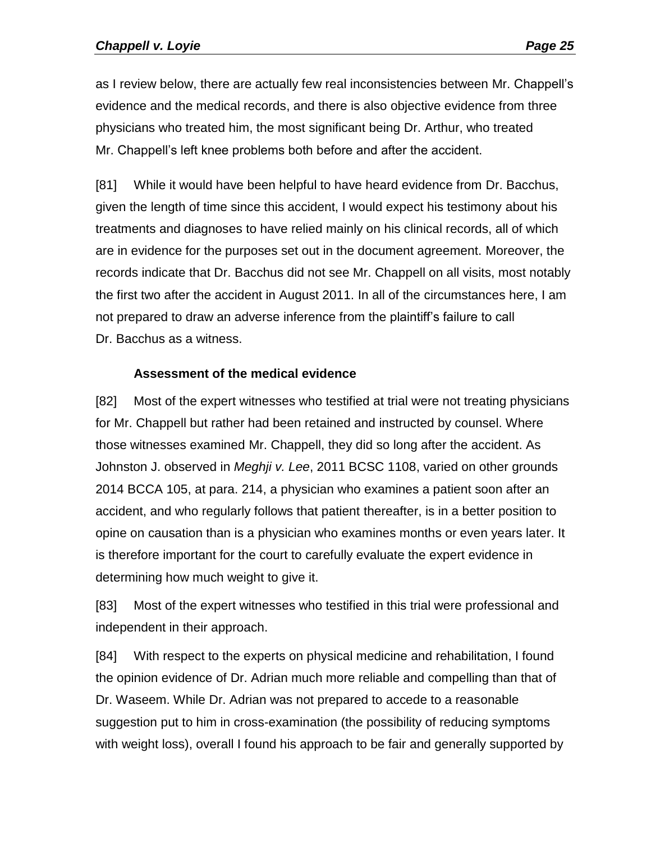as I review below, there are actually few real inconsistencies between Mr. Chappell's evidence and the medical records, and there is also objective evidence from three physicians who treated him, the most significant being Dr. Arthur, who treated Mr. Chappell's left knee problems both before and after the accident.

[81] While it would have been helpful to have heard evidence from Dr. Bacchus, given the length of time since this accident, I would expect his testimony about his treatments and diagnoses to have relied mainly on his clinical records, all of which are in evidence for the purposes set out in the document agreement. Moreover, the records indicate that Dr. Bacchus did not see Mr. Chappell on all visits, most notably the first two after the accident in August 2011. In all of the circumstances here, I am not prepared to draw an adverse inference from the plaintiff's failure to call Dr. Bacchus as a witness.

#### **Assessment of the medical evidence**

<span id="page-24-0"></span>[82] Most of the expert witnesses who testified at trial were not treating physicians for Mr. Chappell but rather had been retained and instructed by counsel. Where those witnesses examined Mr. Chappell, they did so long after the accident. As Johnston J. observed in *Meghji v. Lee*, 2011 BCSC 1108, varied on other grounds 2014 BCCA 105, at para. 214, a physician who examines a patient soon after an accident, and who regularly follows that patient thereafter, is in a better position to opine on causation than is a physician who examines months or even years later. It is therefore important for the court to carefully evaluate the expert evidence in determining how much weight to give it.

[83] Most of the expert witnesses who testified in this trial were professional and independent in their approach.

[84] With respect to the experts on physical medicine and rehabilitation, I found the opinion evidence of Dr. Adrian much more reliable and compelling than that of Dr. Waseem. While Dr. Adrian was not prepared to accede to a reasonable suggestion put to him in cross-examination (the possibility of reducing symptoms with weight loss), overall I found his approach to be fair and generally supported by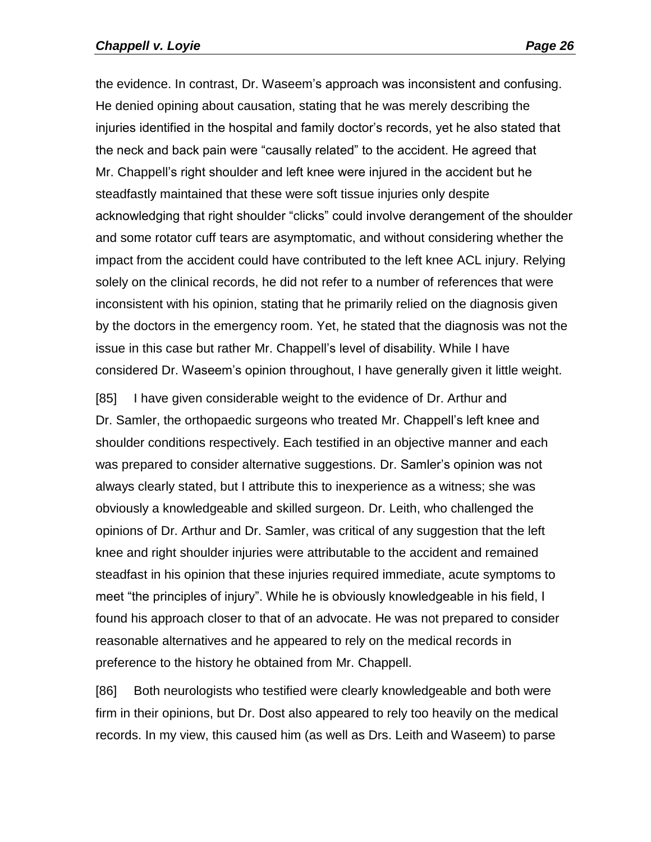#### *Chappell v. Loyie Page 26*

the evidence. In contrast, Dr. Waseem's approach was inconsistent and confusing. He denied opining about causation, stating that he was merely describing the injuries identified in the hospital and family doctor's records, yet he also stated that the neck and back pain were "causally related" to the accident. He agreed that Mr. Chappell's right shoulder and left knee were injured in the accident but he steadfastly maintained that these were soft tissue injuries only despite acknowledging that right shoulder "clicks" could involve derangement of the shoulder and some rotator cuff tears are asymptomatic, and without considering whether the impact from the accident could have contributed to the left knee ACL injury. Relying solely on the clinical records, he did not refer to a number of references that were inconsistent with his opinion, stating that he primarily relied on the diagnosis given by the doctors in the emergency room. Yet, he stated that the diagnosis was not the issue in this case but rather Mr. Chappell's level of disability. While I have considered Dr. Waseem's opinion throughout, I have generally given it little weight.

[85] I have given considerable weight to the evidence of Dr. Arthur and Dr. Samler, the orthopaedic surgeons who treated Mr. Chappell's left knee and shoulder conditions respectively. Each testified in an objective manner and each was prepared to consider alternative suggestions. Dr. Samler's opinion was not always clearly stated, but I attribute this to inexperience as a witness; she was obviously a knowledgeable and skilled surgeon. Dr. Leith, who challenged the opinions of Dr. Arthur and Dr. Samler, was critical of any suggestion that the left knee and right shoulder injuries were attributable to the accident and remained steadfast in his opinion that these injuries required immediate, acute symptoms to meet "the principles of injury". While he is obviously knowledgeable in his field, I found his approach closer to that of an advocate. He was not prepared to consider reasonable alternatives and he appeared to rely on the medical records in preference to the history he obtained from Mr. Chappell.

[86] Both neurologists who testified were clearly knowledgeable and both were firm in their opinions, but Dr. Dost also appeared to rely too heavily on the medical records. In my view, this caused him (as well as Drs. Leith and Waseem) to parse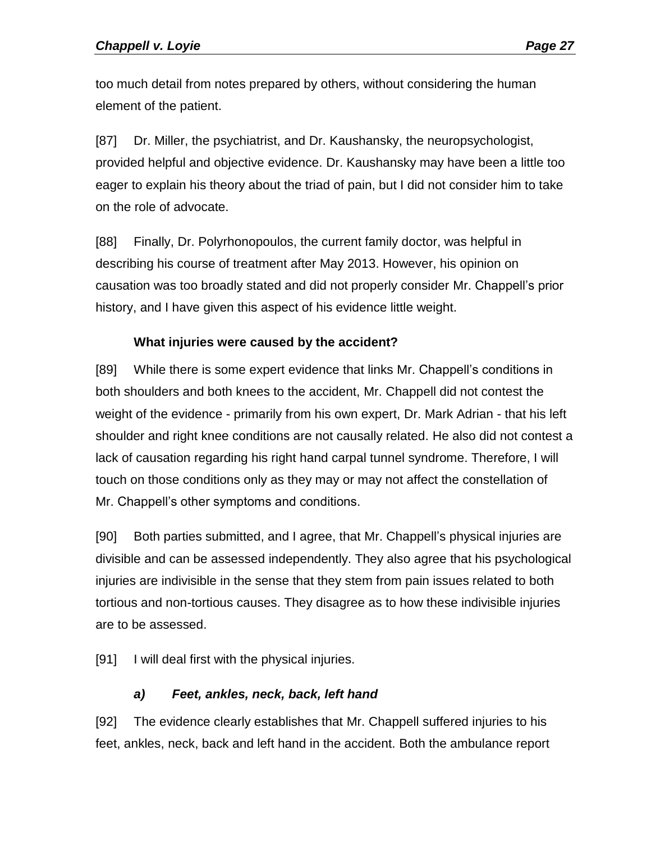too much detail from notes prepared by others, without considering the human element of the patient.

[87] Dr. Miller, the psychiatrist, and Dr. Kaushansky, the neuropsychologist, provided helpful and objective evidence. Dr. Kaushansky may have been a little too eager to explain his theory about the triad of pain, but I did not consider him to take on the role of advocate.

[88] Finally, Dr. Polyrhonopoulos, the current family doctor, was helpful in describing his course of treatment after May 2013. However, his opinion on causation was too broadly stated and did not properly consider Mr. Chappell's prior history, and I have given this aspect of his evidence little weight.

#### **What injuries were caused by the accident?**

<span id="page-26-0"></span>[89] While there is some expert evidence that links Mr. Chappell's conditions in both shoulders and both knees to the accident, Mr. Chappell did not contest the weight of the evidence - primarily from his own expert, Dr. Mark Adrian - that his left shoulder and right knee conditions are not causally related. He also did not contest a lack of causation regarding his right hand carpal tunnel syndrome. Therefore, I will touch on those conditions only as they may or may not affect the constellation of Mr. Chappell's other symptoms and conditions.

[90] Both parties submitted, and I agree, that Mr. Chappell's physical injuries are divisible and can be assessed independently. They also agree that his psychological injuries are indivisible in the sense that they stem from pain issues related to both tortious and non-tortious causes. They disagree as to how these indivisible injuries are to be assessed.

[91] I will deal first with the physical injuries.

## *a) Feet, ankles, neck, back, left hand*

<span id="page-26-1"></span>[92] The evidence clearly establishes that Mr. Chappell suffered injuries to his feet, ankles, neck, back and left hand in the accident. Both the ambulance report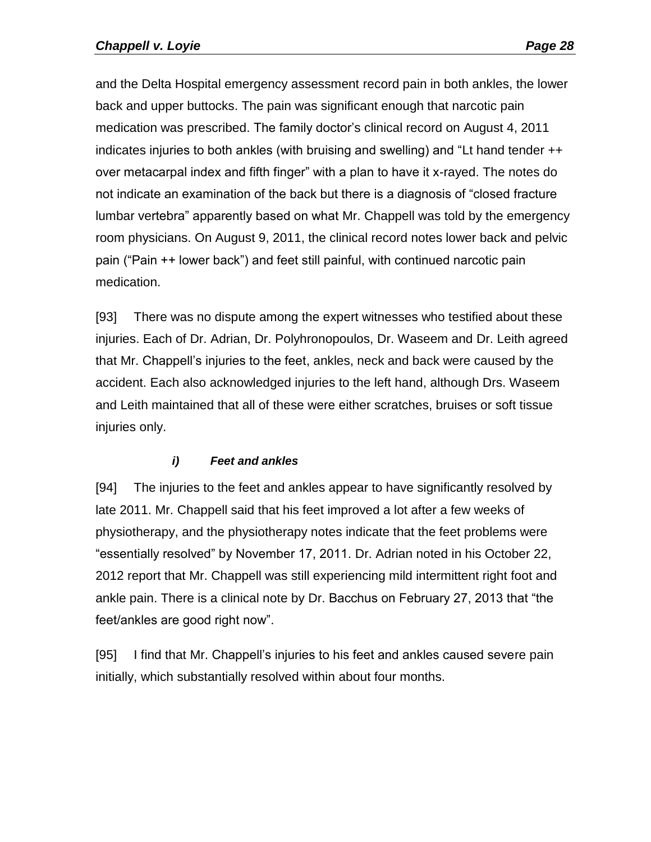and the Delta Hospital emergency assessment record pain in both ankles, the lower back and upper buttocks. The pain was significant enough that narcotic pain medication was prescribed. The family doctor's clinical record on August 4, 2011 indicates injuries to both ankles (with bruising and swelling) and "Lt hand tender ++ over metacarpal index and fifth finger" with a plan to have it x-rayed. The notes do not indicate an examination of the back but there is a diagnosis of "closed fracture lumbar vertebra" apparently based on what Mr. Chappell was told by the emergency room physicians. On August 9, 2011, the clinical record notes lower back and pelvic pain ("Pain ++ lower back") and feet still painful, with continued narcotic pain medication.

[93] There was no dispute among the expert witnesses who testified about these injuries. Each of Dr. Adrian, Dr. Polyhronopoulos, Dr. Waseem and Dr. Leith agreed that Mr. Chappell's injuries to the feet, ankles, neck and back were caused by the accident. Each also acknowledged injuries to the left hand, although Drs. Waseem and Leith maintained that all of these were either scratches, bruises or soft tissue injuries only.

## *i) Feet and ankles*

<span id="page-27-0"></span>[94] The injuries to the feet and ankles appear to have significantly resolved by late 2011. Mr. Chappell said that his feet improved a lot after a few weeks of physiotherapy, and the physiotherapy notes indicate that the feet problems were "essentially resolved" by November 17, 2011. Dr. Adrian noted in his October 22, 2012 report that Mr. Chappell was still experiencing mild intermittent right foot and ankle pain. There is a clinical note by Dr. Bacchus on February 27, 2013 that "the feet/ankles are good right now".

[95] I find that Mr. Chappell's injuries to his feet and ankles caused severe pain initially, which substantially resolved within about four months.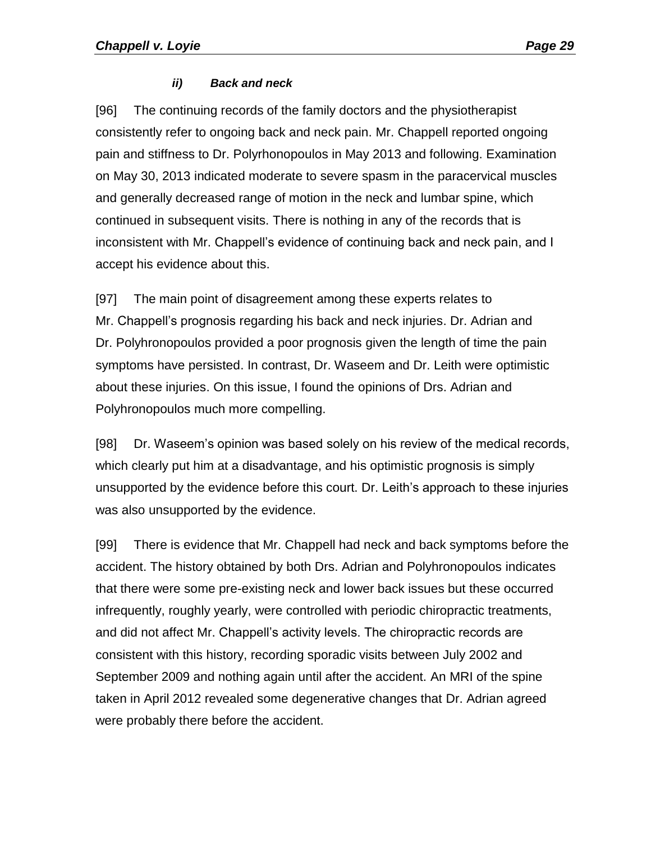#### *ii) Back and neck*

<span id="page-28-0"></span>[96] The continuing records of the family doctors and the physiotherapist consistently refer to ongoing back and neck pain. Mr. Chappell reported ongoing pain and stiffness to Dr. Polyrhonopoulos in May 2013 and following. Examination on May 30, 2013 indicated moderate to severe spasm in the paracervical muscles and generally decreased range of motion in the neck and lumbar spine, which continued in subsequent visits. There is nothing in any of the records that is inconsistent with Mr. Chappell's evidence of continuing back and neck pain, and I accept his evidence about this.

[97] The main point of disagreement among these experts relates to Mr. Chappell's prognosis regarding his back and neck injuries. Dr. Adrian and Dr. Polyhronopoulos provided a poor prognosis given the length of time the pain symptoms have persisted. In contrast, Dr. Waseem and Dr. Leith were optimistic about these injuries. On this issue, I found the opinions of Drs. Adrian and Polyhronopoulos much more compelling.

[98] Dr. Waseem's opinion was based solely on his review of the medical records, which clearly put him at a disadvantage, and his optimistic prognosis is simply unsupported by the evidence before this court. Dr. Leith's approach to these injuries was also unsupported by the evidence.

[99] There is evidence that Mr. Chappell had neck and back symptoms before the accident. The history obtained by both Drs. Adrian and Polyhronopoulos indicates that there were some pre-existing neck and lower back issues but these occurred infrequently, roughly yearly, were controlled with periodic chiropractic treatments, and did not affect Mr. Chappell's activity levels. The chiropractic records are consistent with this history, recording sporadic visits between July 2002 and September 2009 and nothing again until after the accident. An MRI of the spine taken in April 2012 revealed some degenerative changes that Dr. Adrian agreed were probably there before the accident.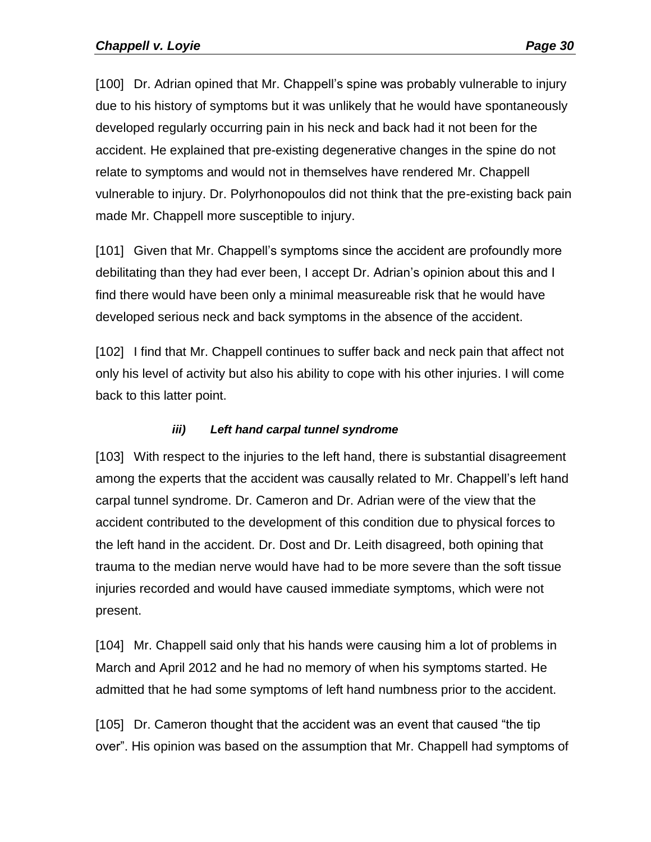[100] Dr. Adrian opined that Mr. Chappell's spine was probably vulnerable to injury due to his history of symptoms but it was unlikely that he would have spontaneously developed regularly occurring pain in his neck and back had it not been for the accident. He explained that pre-existing degenerative changes in the spine do not relate to symptoms and would not in themselves have rendered Mr. Chappell vulnerable to injury. Dr. Polyrhonopoulos did not think that the pre-existing back pain made Mr. Chappell more susceptible to injury.

[101] Given that Mr. Chappell's symptoms since the accident are profoundly more debilitating than they had ever been, I accept Dr. Adrian's opinion about this and I find there would have been only a minimal measureable risk that he would have developed serious neck and back symptoms in the absence of the accident.

[102] I find that Mr. Chappell continues to suffer back and neck pain that affect not only his level of activity but also his ability to cope with his other injuries. I will come back to this latter point.

## *iii) Left hand carpal tunnel syndrome*

<span id="page-29-0"></span>[103] With respect to the injuries to the left hand, there is substantial disagreement among the experts that the accident was causally related to Mr. Chappell's left hand carpal tunnel syndrome. Dr. Cameron and Dr. Adrian were of the view that the accident contributed to the development of this condition due to physical forces to the left hand in the accident. Dr. Dost and Dr. Leith disagreed, both opining that trauma to the median nerve would have had to be more severe than the soft tissue injuries recorded and would have caused immediate symptoms, which were not present.

[104] Mr. Chappell said only that his hands were causing him a lot of problems in March and April 2012 and he had no memory of when his symptoms started. He admitted that he had some symptoms of left hand numbness prior to the accident.

[105] Dr. Cameron thought that the accident was an event that caused "the tip over". His opinion was based on the assumption that Mr. Chappell had symptoms of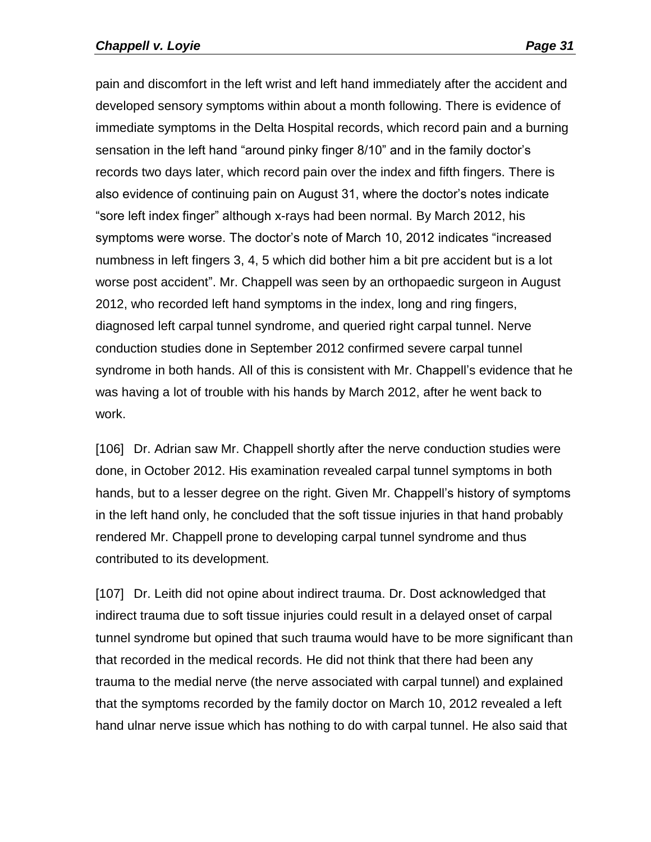pain and discomfort in the left wrist and left hand immediately after the accident and developed sensory symptoms within about a month following. There is evidence of immediate symptoms in the Delta Hospital records, which record pain and a burning sensation in the left hand "around pinky finger 8/10" and in the family doctor's records two days later, which record pain over the index and fifth fingers. There is also evidence of continuing pain on August 31, where the doctor's notes indicate "sore left index finger" although x-rays had been normal. By March 2012, his symptoms were worse. The doctor's note of March 10, 2012 indicates "increased numbness in left fingers 3, 4, 5 which did bother him a bit pre accident but is a lot worse post accident". Mr. Chappell was seen by an orthopaedic surgeon in August 2012, who recorded left hand symptoms in the index, long and ring fingers, diagnosed left carpal tunnel syndrome, and queried right carpal tunnel. Nerve conduction studies done in September 2012 confirmed severe carpal tunnel syndrome in both hands. All of this is consistent with Mr. Chappell's evidence that he was having a lot of trouble with his hands by March 2012, after he went back to work.

[106] Dr. Adrian saw Mr. Chappell shortly after the nerve conduction studies were done, in October 2012. His examination revealed carpal tunnel symptoms in both hands, but to a lesser degree on the right. Given Mr. Chappell's history of symptoms in the left hand only, he concluded that the soft tissue injuries in that hand probably rendered Mr. Chappell prone to developing carpal tunnel syndrome and thus contributed to its development.

[107] Dr. Leith did not opine about indirect trauma. Dr. Dost acknowledged that indirect trauma due to soft tissue injuries could result in a delayed onset of carpal tunnel syndrome but opined that such trauma would have to be more significant than that recorded in the medical records. He did not think that there had been any trauma to the medial nerve (the nerve associated with carpal tunnel) and explained that the symptoms recorded by the family doctor on March 10, 2012 revealed a left hand ulnar nerve issue which has nothing to do with carpal tunnel. He also said that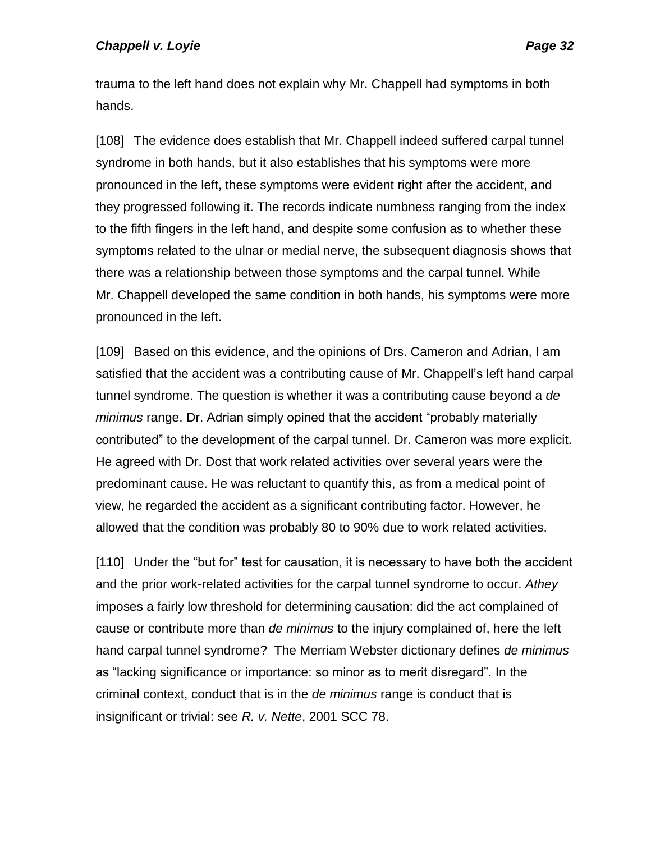trauma to the left hand does not explain why Mr. Chappell had symptoms in both hands.

[108] The evidence does establish that Mr. Chappell indeed suffered carpal tunnel syndrome in both hands, but it also establishes that his symptoms were more pronounced in the left, these symptoms were evident right after the accident, and they progressed following it. The records indicate numbness ranging from the index to the fifth fingers in the left hand, and despite some confusion as to whether these symptoms related to the ulnar or medial nerve, the subsequent diagnosis shows that there was a relationship between those symptoms and the carpal tunnel. While Mr. Chappell developed the same condition in both hands, his symptoms were more pronounced in the left.

[109] Based on this evidence, and the opinions of Drs. Cameron and Adrian, I am satisfied that the accident was a contributing cause of Mr. Chappell's left hand carpal tunnel syndrome. The question is whether it was a contributing cause beyond a *de minimus* range. Dr. Adrian simply opined that the accident "probably materially contributed" to the development of the carpal tunnel. Dr. Cameron was more explicit. He agreed with Dr. Dost that work related activities over several years were the predominant cause. He was reluctant to quantify this, as from a medical point of view, he regarded the accident as a significant contributing factor. However, he allowed that the condition was probably 80 to 90% due to work related activities.

[110] Under the "but for" test for causation, it is necessary to have both the accident and the prior work-related activities for the carpal tunnel syndrome to occur. *Athey* imposes a fairly low threshold for determining causation: did the act complained of cause or contribute more than *de minimus* to the injury complained of, here the left hand carpal tunnel syndrome? The Merriam Webster dictionary defines *de minimus* as "lacking significance or importance: so minor as to merit disregard". In the criminal context, conduct that is in the *de minimus* range is conduct that is insignificant or trivial: see *R. v. Nette*, 2001 SCC 78.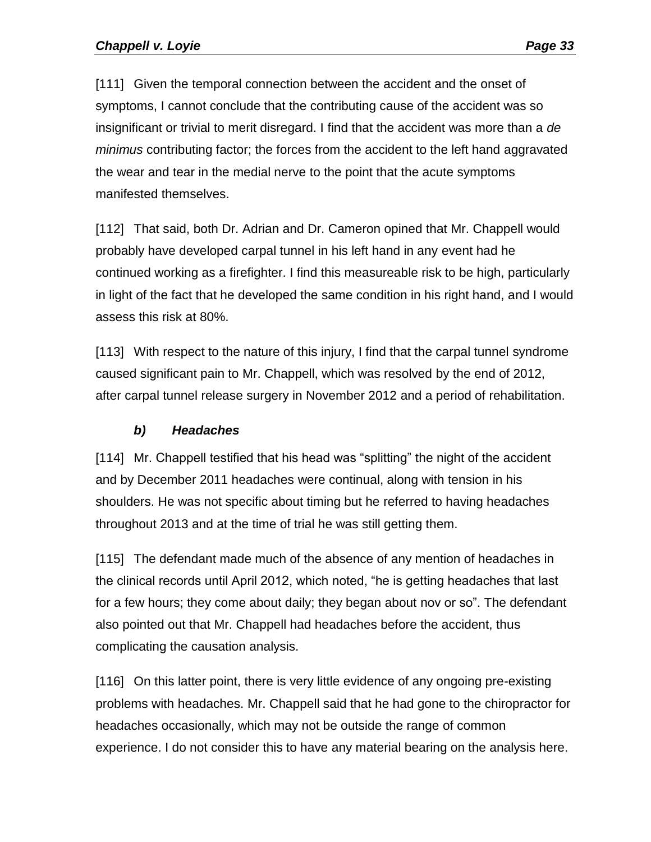[111] Given the temporal connection between the accident and the onset of symptoms, I cannot conclude that the contributing cause of the accident was so insignificant or trivial to merit disregard. I find that the accident was more than a *de minimus* contributing factor; the forces from the accident to the left hand aggravated the wear and tear in the medial nerve to the point that the acute symptoms manifested themselves.

[112] That said, both Dr. Adrian and Dr. Cameron opined that Mr. Chappell would probably have developed carpal tunnel in his left hand in any event had he continued working as a firefighter. I find this measureable risk to be high, particularly in light of the fact that he developed the same condition in his right hand, and I would assess this risk at 80%.

[113] With respect to the nature of this injury, I find that the carpal tunnel syndrome caused significant pain to Mr. Chappell, which was resolved by the end of 2012, after carpal tunnel release surgery in November 2012 and a period of rehabilitation.

## *b) Headaches*

<span id="page-32-0"></span>[114] Mr. Chappell testified that his head was "splitting" the night of the accident and by December 2011 headaches were continual, along with tension in his shoulders. He was not specific about timing but he referred to having headaches throughout 2013 and at the time of trial he was still getting them.

[115] The defendant made much of the absence of any mention of headaches in the clinical records until April 2012, which noted, "he is getting headaches that last for a few hours; they come about daily; they began about nov or so". The defendant also pointed out that Mr. Chappell had headaches before the accident, thus complicating the causation analysis.

[116] On this latter point, there is very little evidence of any ongoing pre-existing problems with headaches. Mr. Chappell said that he had gone to the chiropractor for headaches occasionally, which may not be outside the range of common experience. I do not consider this to have any material bearing on the analysis here.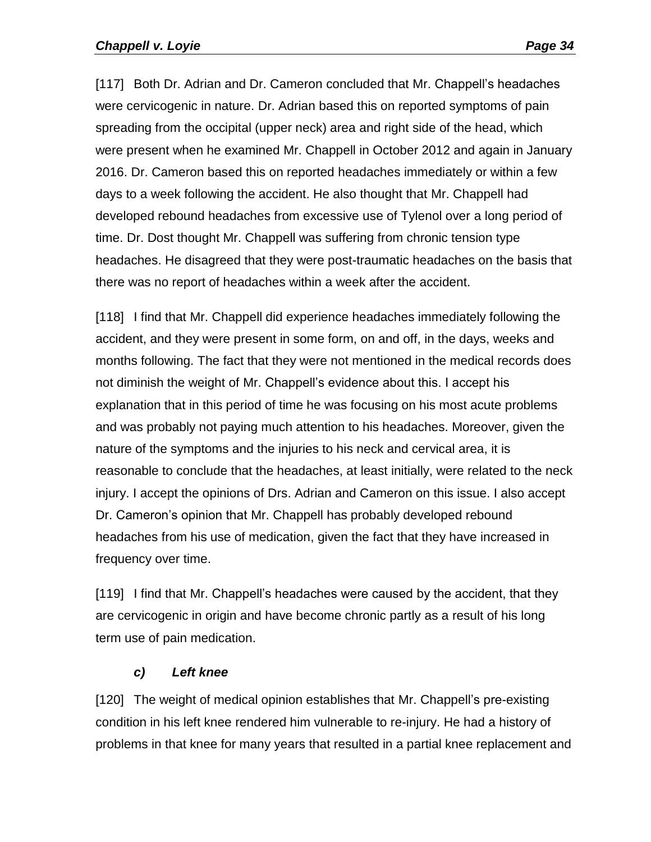[117] Both Dr. Adrian and Dr. Cameron concluded that Mr. Chappell's headaches were cervicogenic in nature. Dr. Adrian based this on reported symptoms of pain spreading from the occipital (upper neck) area and right side of the head, which were present when he examined Mr. Chappell in October 2012 and again in January 2016. Dr. Cameron based this on reported headaches immediately or within a few days to a week following the accident. He also thought that Mr. Chappell had developed rebound headaches from excessive use of Tylenol over a long period of time. Dr. Dost thought Mr. Chappell was suffering from chronic tension type headaches. He disagreed that they were post-traumatic headaches on the basis that there was no report of headaches within a week after the accident.

[118] I find that Mr. Chappell did experience headaches immediately following the accident, and they were present in some form, on and off, in the days, weeks and months following. The fact that they were not mentioned in the medical records does not diminish the weight of Mr. Chappell's evidence about this. I accept his explanation that in this period of time he was focusing on his most acute problems and was probably not paying much attention to his headaches. Moreover, given the nature of the symptoms and the injuries to his neck and cervical area, it is reasonable to conclude that the headaches, at least initially, were related to the neck injury. I accept the opinions of Drs. Adrian and Cameron on this issue. I also accept Dr. Cameron's opinion that Mr. Chappell has probably developed rebound headaches from his use of medication, given the fact that they have increased in frequency over time.

[119] I find that Mr. Chappell's headaches were caused by the accident, that they are cervicogenic in origin and have become chronic partly as a result of his long term use of pain medication.

#### *c) Left knee*

<span id="page-33-0"></span>[120] The weight of medical opinion establishes that Mr. Chappell's pre-existing condition in his left knee rendered him vulnerable to re-injury. He had a history of problems in that knee for many years that resulted in a partial knee replacement and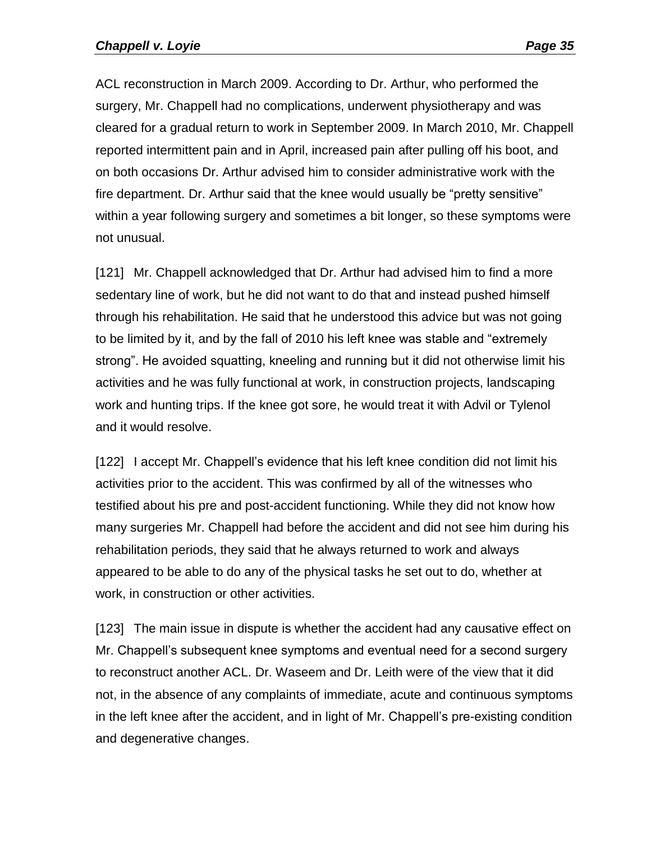ACL reconstruction in March 2009. According to Dr. Arthur, who performed the surgery, Mr. Chappell had no complications, underwent physiotherapy and was cleared for a gradual return to work in September 2009. In March 2010, Mr. Chappell reported intermittent pain and in April, increased pain after pulling off his boot, and on both occasions Dr. Arthur advised him to consider administrative work with the fire department. Dr. Arthur said that the knee would usually be "pretty sensitive" within a year following surgery and sometimes a bit longer, so these symptoms were not unusual.

[121] Mr. Chappell acknowledged that Dr. Arthur had advised him to find a more sedentary line of work, but he did not want to do that and instead pushed himself through his rehabilitation. He said that he understood this advice but was not going to be limited by it, and by the fall of 2010 his left knee was stable and "extremely strong". He avoided squatting, kneeling and running but it did not otherwise limit his activities and he was fully functional at work, in construction projects, landscaping work and hunting trips. If the knee got sore, he would treat it with Advil or Tylenol and it would resolve.

[122] I accept Mr. Chappell's evidence that his left knee condition did not limit his activities prior to the accident. This was confirmed by all of the witnesses who testified about his pre and post-accident functioning. While they did not know how many surgeries Mr. Chappell had before the accident and did not see him during his rehabilitation periods, they said that he always returned to work and always appeared to be able to do any of the physical tasks he set out to do, whether at work, in construction or other activities.

[123] The main issue in dispute is whether the accident had any causative effect on Mr. Chappell's subsequent knee symptoms and eventual need for a second surgery to reconstruct another ACL. Dr. Waseem and Dr. Leith were of the view that it did not, in the absence of any complaints of immediate, acute and continuous symptoms in the left knee after the accident, and in light of Mr. Chappell's pre-existing condition and degenerative changes.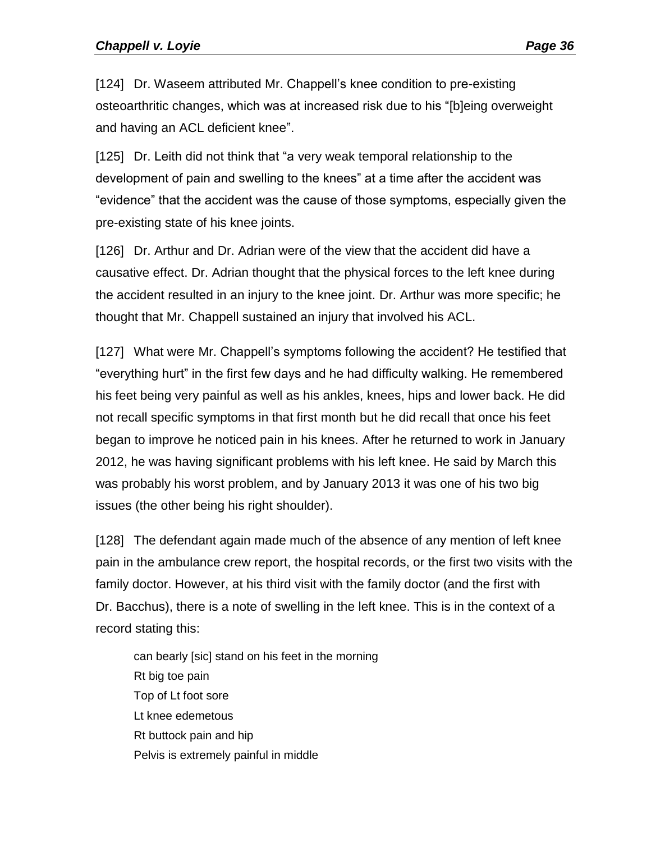[124] Dr. Waseem attributed Mr. Chappell's knee condition to pre-existing osteoarthritic changes, which was at increased risk due to his "[b]eing overweight and having an ACL deficient knee".

[125] Dr. Leith did not think that "a very weak temporal relationship to the development of pain and swelling to the knees" at a time after the accident was "evidence" that the accident was the cause of those symptoms, especially given the pre-existing state of his knee joints.

[126] Dr. Arthur and Dr. Adrian were of the view that the accident did have a causative effect. Dr. Adrian thought that the physical forces to the left knee during the accident resulted in an injury to the knee joint. Dr. Arthur was more specific; he thought that Mr. Chappell sustained an injury that involved his ACL.

[127] What were Mr. Chappell's symptoms following the accident? He testified that "everything hurt" in the first few days and he had difficulty walking. He remembered his feet being very painful as well as his ankles, knees, hips and lower back. He did not recall specific symptoms in that first month but he did recall that once his feet began to improve he noticed pain in his knees. After he returned to work in January 2012, he was having significant problems with his left knee. He said by March this was probably his worst problem, and by January 2013 it was one of his two big issues (the other being his right shoulder).

[128] The defendant again made much of the absence of any mention of left knee pain in the ambulance crew report, the hospital records, or the first two visits with the family doctor. However, at his third visit with the family doctor (and the first with Dr. Bacchus), there is a note of swelling in the left knee. This is in the context of a record stating this:

can bearly [sic] stand on his feet in the morning Rt big toe pain Top of Lt foot sore Lt knee edemetous Rt buttock pain and hip Pelvis is extremely painful in middle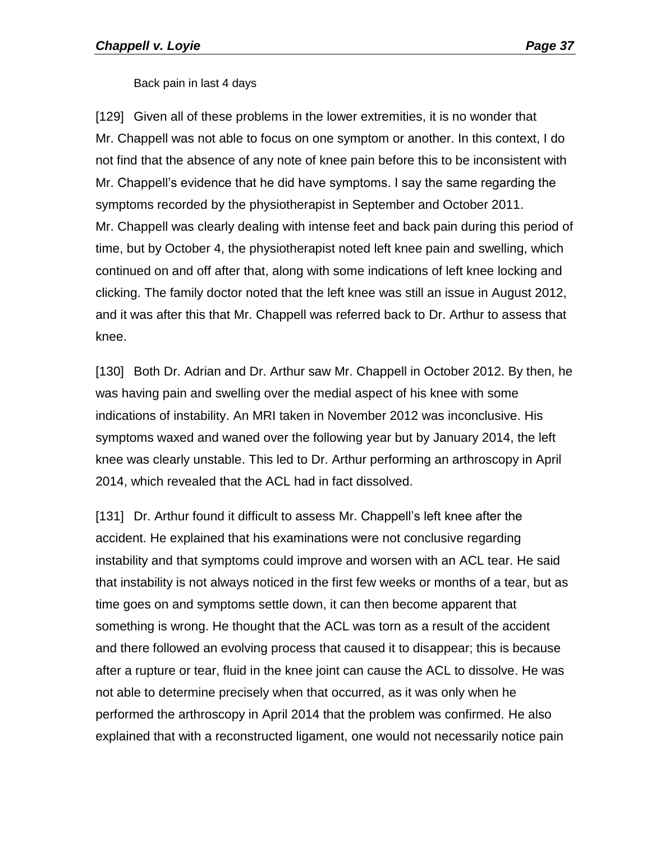Back pain in last 4 days

[129] Given all of these problems in the lower extremities, it is no wonder that Mr. Chappell was not able to focus on one symptom or another. In this context, I do not find that the absence of any note of knee pain before this to be inconsistent with Mr. Chappell's evidence that he did have symptoms. I say the same regarding the symptoms recorded by the physiotherapist in September and October 2011. Mr. Chappell was clearly dealing with intense feet and back pain during this period of time, but by October 4, the physiotherapist noted left knee pain and swelling, which continued on and off after that, along with some indications of left knee locking and clicking. The family doctor noted that the left knee was still an issue in August 2012, and it was after this that Mr. Chappell was referred back to Dr. Arthur to assess that knee.

[130] Both Dr. Adrian and Dr. Arthur saw Mr. Chappell in October 2012. By then, he was having pain and swelling over the medial aspect of his knee with some indications of instability. An MRI taken in November 2012 was inconclusive. His symptoms waxed and waned over the following year but by January 2014, the left knee was clearly unstable. This led to Dr. Arthur performing an arthroscopy in April 2014, which revealed that the ACL had in fact dissolved.

[131] Dr. Arthur found it difficult to assess Mr. Chappell's left knee after the accident. He explained that his examinations were not conclusive regarding instability and that symptoms could improve and worsen with an ACL tear. He said that instability is not always noticed in the first few weeks or months of a tear, but as time goes on and symptoms settle down, it can then become apparent that something is wrong. He thought that the ACL was torn as a result of the accident and there followed an evolving process that caused it to disappear; this is because after a rupture or tear, fluid in the knee joint can cause the ACL to dissolve. He was not able to determine precisely when that occurred, as it was only when he performed the arthroscopy in April 2014 that the problem was confirmed. He also explained that with a reconstructed ligament, one would not necessarily notice pain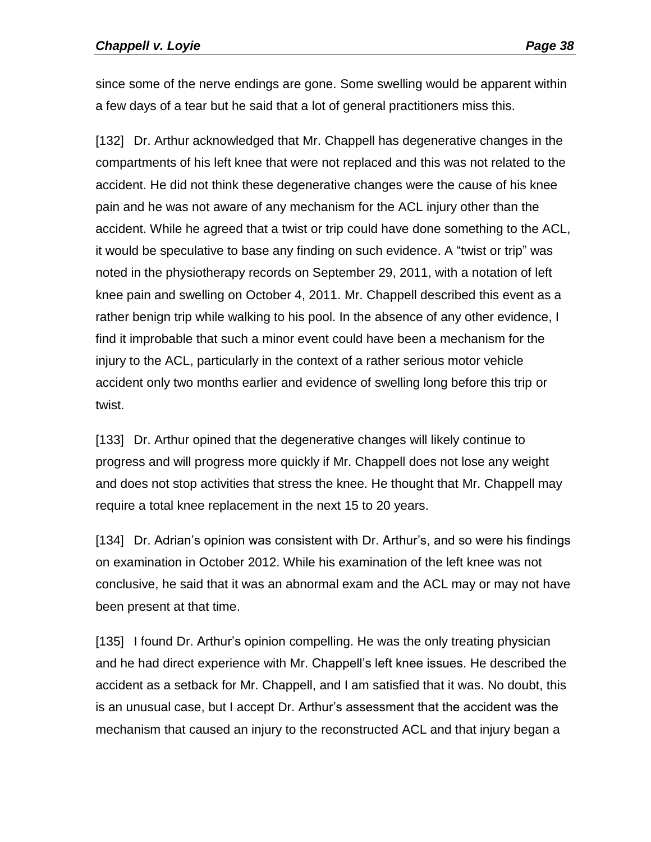since some of the nerve endings are gone. Some swelling would be apparent within a few days of a tear but he said that a lot of general practitioners miss this.

[132] Dr. Arthur acknowledged that Mr. Chappell has degenerative changes in the compartments of his left knee that were not replaced and this was not related to the accident. He did not think these degenerative changes were the cause of his knee pain and he was not aware of any mechanism for the ACL injury other than the accident. While he agreed that a twist or trip could have done something to the ACL, it would be speculative to base any finding on such evidence. A "twist or trip" was noted in the physiotherapy records on September 29, 2011, with a notation of left knee pain and swelling on October 4, 2011. Mr. Chappell described this event as a rather benign trip while walking to his pool. In the absence of any other evidence, I find it improbable that such a minor event could have been a mechanism for the injury to the ACL, particularly in the context of a rather serious motor vehicle accident only two months earlier and evidence of swelling long before this trip or twist.

[133] Dr. Arthur opined that the degenerative changes will likely continue to progress and will progress more quickly if Mr. Chappell does not lose any weight and does not stop activities that stress the knee. He thought that Mr. Chappell may require a total knee replacement in the next 15 to 20 years.

[134] Dr. Adrian's opinion was consistent with Dr. Arthur's, and so were his findings on examination in October 2012. While his examination of the left knee was not conclusive, he said that it was an abnormal exam and the ACL may or may not have been present at that time.

[135] I found Dr. Arthur's opinion compelling. He was the only treating physician and he had direct experience with Mr. Chappell's left knee issues. He described the accident as a setback for Mr. Chappell, and I am satisfied that it was. No doubt, this is an unusual case, but I accept Dr. Arthur's assessment that the accident was the mechanism that caused an injury to the reconstructed ACL and that injury began a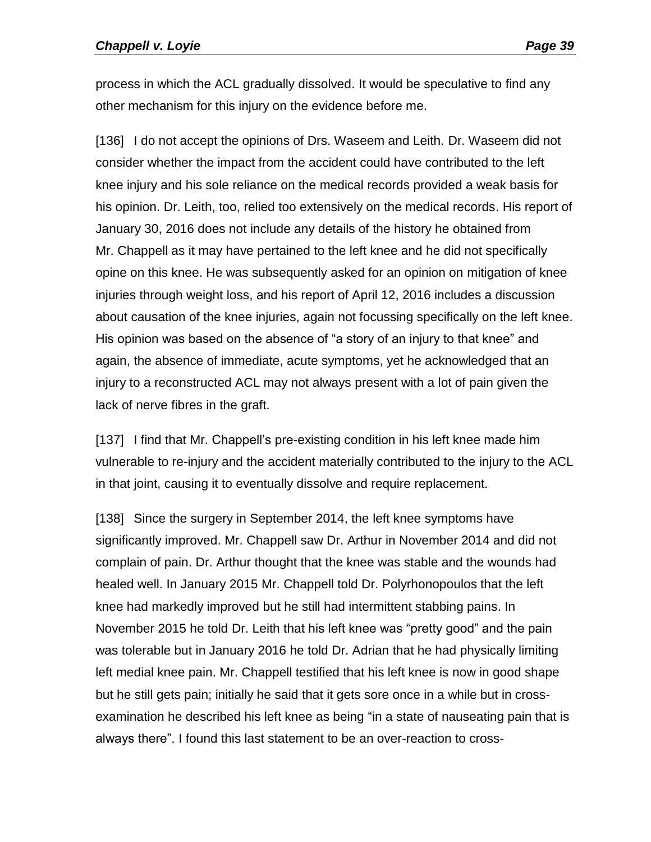process in which the ACL gradually dissolved. It would be speculative to find any other mechanism for this injury on the evidence before me.

[136] I do not accept the opinions of Drs. Waseem and Leith. Dr. Waseem did not consider whether the impact from the accident could have contributed to the left knee injury and his sole reliance on the medical records provided a weak basis for his opinion. Dr. Leith, too, relied too extensively on the medical records. His report of January 30, 2016 does not include any details of the history he obtained from Mr. Chappell as it may have pertained to the left knee and he did not specifically opine on this knee. He was subsequently asked for an opinion on mitigation of knee injuries through weight loss, and his report of April 12, 2016 includes a discussion about causation of the knee injuries, again not focussing specifically on the left knee. His opinion was based on the absence of "a story of an injury to that knee" and again, the absence of immediate, acute symptoms, yet he acknowledged that an injury to a reconstructed ACL may not always present with a lot of pain given the lack of nerve fibres in the graft.

[137] I find that Mr. Chappell's pre-existing condition in his left knee made him vulnerable to re-injury and the accident materially contributed to the injury to the ACL in that joint, causing it to eventually dissolve and require replacement.

[138] Since the surgery in September 2014, the left knee symptoms have significantly improved. Mr. Chappell saw Dr. Arthur in November 2014 and did not complain of pain. Dr. Arthur thought that the knee was stable and the wounds had healed well. In January 2015 Mr. Chappell told Dr. Polyrhonopoulos that the left knee had markedly improved but he still had intermittent stabbing pains. In November 2015 he told Dr. Leith that his left knee was "pretty good" and the pain was tolerable but in January 2016 he told Dr. Adrian that he had physically limiting left medial knee pain. Mr. Chappell testified that his left knee is now in good shape but he still gets pain; initially he said that it gets sore once in a while but in crossexamination he described his left knee as being "in a state of nauseating pain that is always there". I found this last statement to be an over-reaction to cross-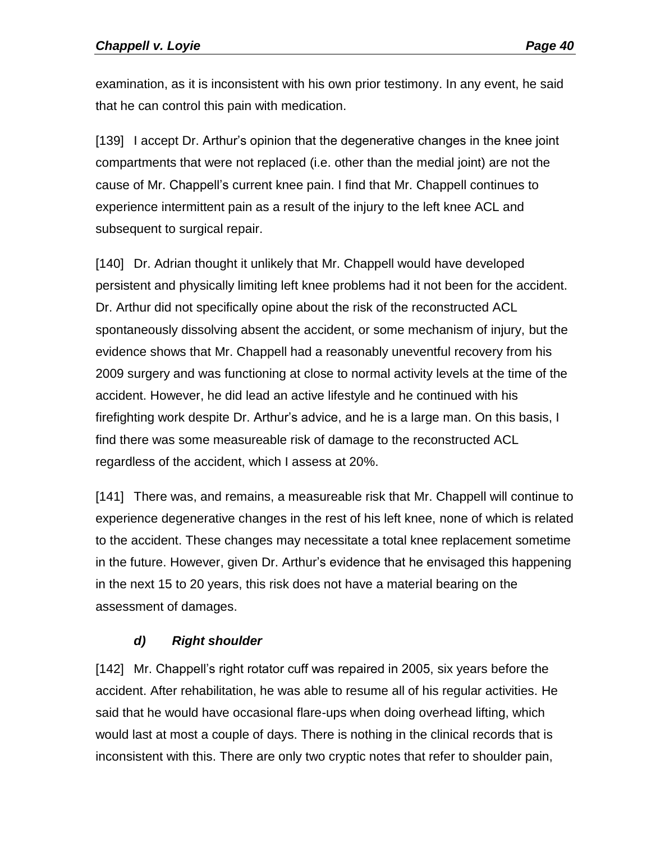examination, as it is inconsistent with his own prior testimony. In any event, he said that he can control this pain with medication.

[139] I accept Dr. Arthur's opinion that the degenerative changes in the knee joint compartments that were not replaced (i.e. other than the medial joint) are not the cause of Mr. Chappell's current knee pain. I find that Mr. Chappell continues to experience intermittent pain as a result of the injury to the left knee ACL and subsequent to surgical repair.

[140] Dr. Adrian thought it unlikely that Mr. Chappell would have developed persistent and physically limiting left knee problems had it not been for the accident. Dr. Arthur did not specifically opine about the risk of the reconstructed ACL spontaneously dissolving absent the accident, or some mechanism of injury, but the evidence shows that Mr. Chappell had a reasonably uneventful recovery from his 2009 surgery and was functioning at close to normal activity levels at the time of the accident. However, he did lead an active lifestyle and he continued with his firefighting work despite Dr. Arthur's advice, and he is a large man. On this basis, I find there was some measureable risk of damage to the reconstructed ACL regardless of the accident, which I assess at 20%.

[141] There was, and remains, a measureable risk that Mr. Chappell will continue to experience degenerative changes in the rest of his left knee, none of which is related to the accident. These changes may necessitate a total knee replacement sometime in the future. However, given Dr. Arthur's evidence that he envisaged this happening in the next 15 to 20 years, this risk does not have a material bearing on the assessment of damages.

# *d) Right shoulder*

[142] Mr. Chappell's right rotator cuff was repaired in 2005, six years before the accident. After rehabilitation, he was able to resume all of his regular activities. He said that he would have occasional flare-ups when doing overhead lifting, which would last at most a couple of days. There is nothing in the clinical records that is inconsistent with this. There are only two cryptic notes that refer to shoulder pain,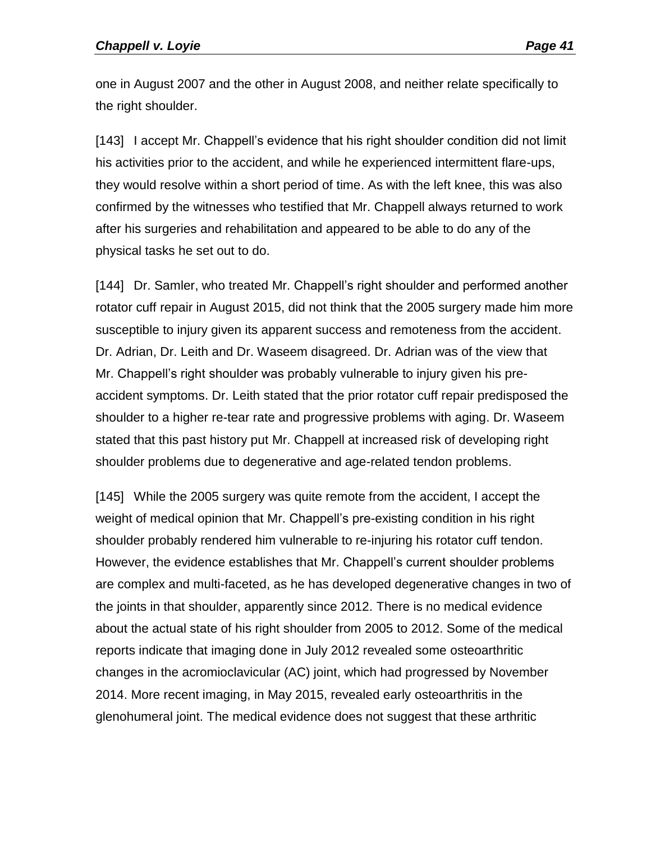one in August 2007 and the other in August 2008, and neither relate specifically to the right shoulder.

[143] I accept Mr. Chappell's evidence that his right shoulder condition did not limit his activities prior to the accident, and while he experienced intermittent flare-ups, they would resolve within a short period of time. As with the left knee, this was also confirmed by the witnesses who testified that Mr. Chappell always returned to work after his surgeries and rehabilitation and appeared to be able to do any of the physical tasks he set out to do.

[144] Dr. Samler, who treated Mr. Chappell's right shoulder and performed another rotator cuff repair in August 2015, did not think that the 2005 surgery made him more susceptible to injury given its apparent success and remoteness from the accident. Dr. Adrian, Dr. Leith and Dr. Waseem disagreed. Dr. Adrian was of the view that Mr. Chappell's right shoulder was probably vulnerable to injury given his preaccident symptoms. Dr. Leith stated that the prior rotator cuff repair predisposed the shoulder to a higher re-tear rate and progressive problems with aging. Dr. Waseem stated that this past history put Mr. Chappell at increased risk of developing right shoulder problems due to degenerative and age-related tendon problems.

[145] While the 2005 surgery was quite remote from the accident, I accept the weight of medical opinion that Mr. Chappell's pre-existing condition in his right shoulder probably rendered him vulnerable to re-injuring his rotator cuff tendon. However, the evidence establishes that Mr. Chappell's current shoulder problems are complex and multi-faceted, as he has developed degenerative changes in two of the joints in that shoulder, apparently since 2012. There is no medical evidence about the actual state of his right shoulder from 2005 to 2012. Some of the medical reports indicate that imaging done in July 2012 revealed some osteoarthritic changes in the acromioclavicular (AC) joint, which had progressed by November 2014. More recent imaging, in May 2015, revealed early osteoarthritis in the glenohumeral joint. The medical evidence does not suggest that these arthritic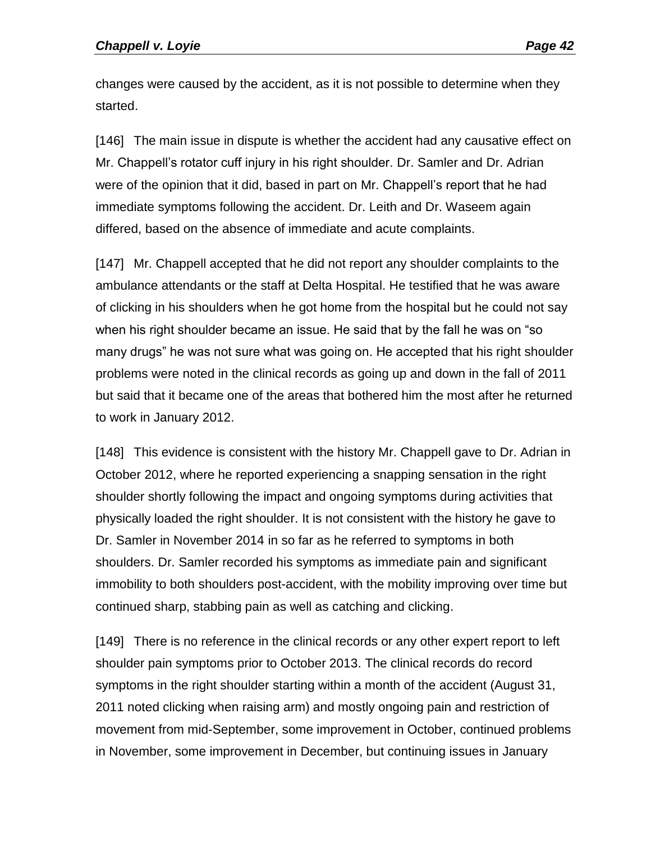changes were caused by the accident, as it is not possible to determine when they started.

[146] The main issue in dispute is whether the accident had any causative effect on Mr. Chappell's rotator cuff injury in his right shoulder. Dr. Samler and Dr. Adrian were of the opinion that it did, based in part on Mr. Chappell's report that he had immediate symptoms following the accident. Dr. Leith and Dr. Waseem again differed, based on the absence of immediate and acute complaints.

[147] Mr. Chappell accepted that he did not report any shoulder complaints to the ambulance attendants or the staff at Delta Hospital. He testified that he was aware of clicking in his shoulders when he got home from the hospital but he could not say when his right shoulder became an issue. He said that by the fall he was on "so many drugs" he was not sure what was going on. He accepted that his right shoulder problems were noted in the clinical records as going up and down in the fall of 2011 but said that it became one of the areas that bothered him the most after he returned to work in January 2012.

[148] This evidence is consistent with the history Mr. Chappell gave to Dr. Adrian in October 2012, where he reported experiencing a snapping sensation in the right shoulder shortly following the impact and ongoing symptoms during activities that physically loaded the right shoulder. It is not consistent with the history he gave to Dr. Samler in November 2014 in so far as he referred to symptoms in both shoulders. Dr. Samler recorded his symptoms as immediate pain and significant immobility to both shoulders post-accident, with the mobility improving over time but continued sharp, stabbing pain as well as catching and clicking.

[149] There is no reference in the clinical records or any other expert report to left shoulder pain symptoms prior to October 2013. The clinical records do record symptoms in the right shoulder starting within a month of the accident (August 31, 2011 noted clicking when raising arm) and mostly ongoing pain and restriction of movement from mid-September, some improvement in October, continued problems in November, some improvement in December, but continuing issues in January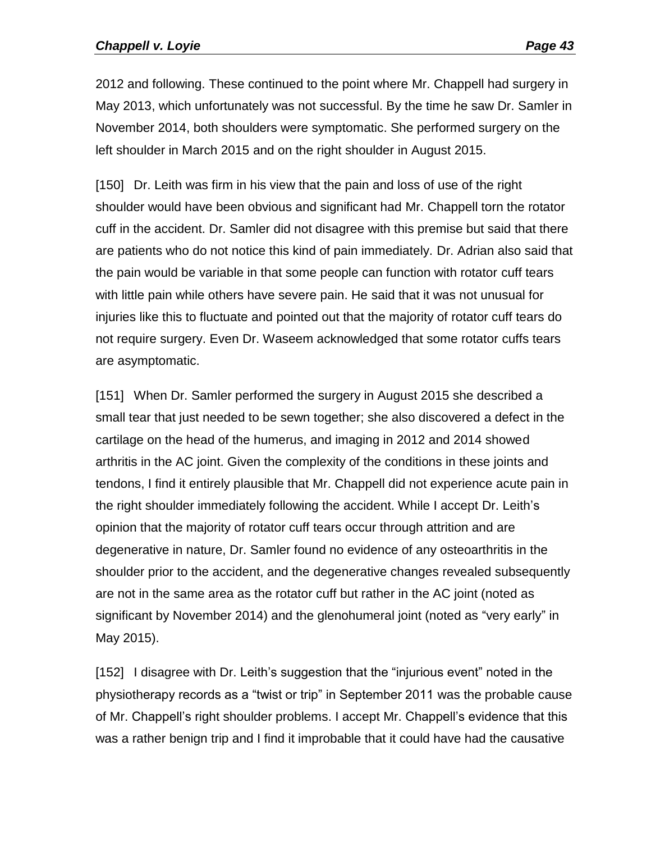2012 and following. These continued to the point where Mr. Chappell had surgery in May 2013, which unfortunately was not successful. By the time he saw Dr. Samler in November 2014, both shoulders were symptomatic. She performed surgery on the left shoulder in March 2015 and on the right shoulder in August 2015.

[150] Dr. Leith was firm in his view that the pain and loss of use of the right shoulder would have been obvious and significant had Mr. Chappell torn the rotator cuff in the accident. Dr. Samler did not disagree with this premise but said that there are patients who do not notice this kind of pain immediately. Dr. Adrian also said that the pain would be variable in that some people can function with rotator cuff tears with little pain while others have severe pain. He said that it was not unusual for injuries like this to fluctuate and pointed out that the majority of rotator cuff tears do not require surgery. Even Dr. Waseem acknowledged that some rotator cuffs tears are asymptomatic.

[151] When Dr. Samler performed the surgery in August 2015 she described a small tear that just needed to be sewn together; she also discovered a defect in the cartilage on the head of the humerus, and imaging in 2012 and 2014 showed arthritis in the AC joint. Given the complexity of the conditions in these joints and tendons, I find it entirely plausible that Mr. Chappell did not experience acute pain in the right shoulder immediately following the accident. While I accept Dr. Leith's opinion that the majority of rotator cuff tears occur through attrition and are degenerative in nature, Dr. Samler found no evidence of any osteoarthritis in the shoulder prior to the accident, and the degenerative changes revealed subsequently are not in the same area as the rotator cuff but rather in the AC joint (noted as significant by November 2014) and the glenohumeral joint (noted as "very early" in May 2015).

[152] I disagree with Dr. Leith's suggestion that the "injurious event" noted in the physiotherapy records as a "twist or trip" in September 2011 was the probable cause of Mr. Chappell's right shoulder problems. I accept Mr. Chappell's evidence that this was a rather benign trip and I find it improbable that it could have had the causative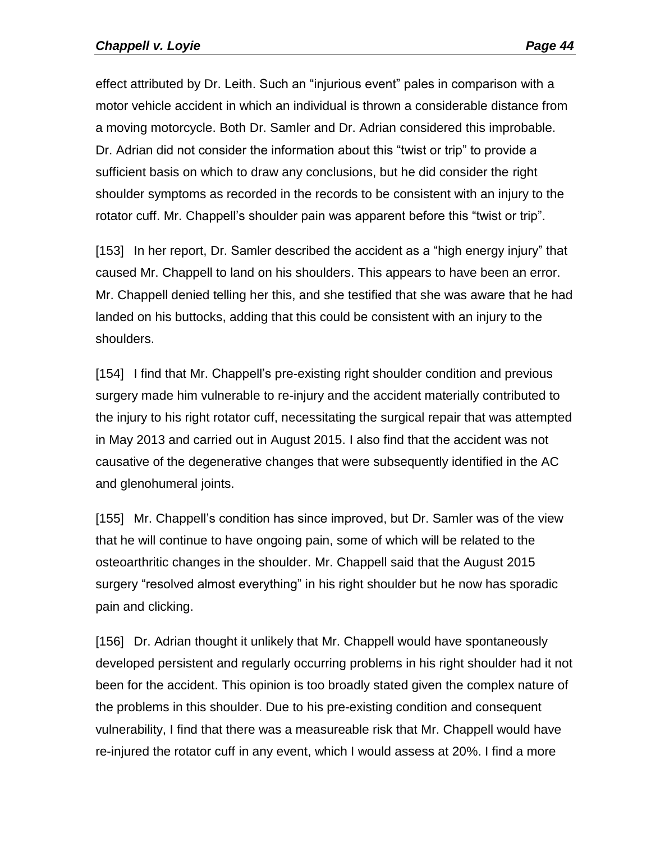effect attributed by Dr. Leith. Such an "injurious event" pales in comparison with a motor vehicle accident in which an individual is thrown a considerable distance from a moving motorcycle. Both Dr. Samler and Dr. Adrian considered this improbable. Dr. Adrian did not consider the information about this "twist or trip" to provide a sufficient basis on which to draw any conclusions, but he did consider the right shoulder symptoms as recorded in the records to be consistent with an injury to the rotator cuff. Mr. Chappell's shoulder pain was apparent before this "twist or trip".

[153] In her report, Dr. Samler described the accident as a "high energy injury" that caused Mr. Chappell to land on his shoulders. This appears to have been an error. Mr. Chappell denied telling her this, and she testified that she was aware that he had landed on his buttocks, adding that this could be consistent with an injury to the shoulders.

[154] I find that Mr. Chappell's pre-existing right shoulder condition and previous surgery made him vulnerable to re-injury and the accident materially contributed to the injury to his right rotator cuff, necessitating the surgical repair that was attempted in May 2013 and carried out in August 2015. I also find that the accident was not causative of the degenerative changes that were subsequently identified in the AC and glenohumeral joints.

[155] Mr. Chappell's condition has since improved, but Dr. Samler was of the view that he will continue to have ongoing pain, some of which will be related to the osteoarthritic changes in the shoulder. Mr. Chappell said that the August 2015 surgery "resolved almost everything" in his right shoulder but he now has sporadic pain and clicking.

[156] Dr. Adrian thought it unlikely that Mr. Chappell would have spontaneously developed persistent and regularly occurring problems in his right shoulder had it not been for the accident. This opinion is too broadly stated given the complex nature of the problems in this shoulder. Due to his pre-existing condition and consequent vulnerability, I find that there was a measureable risk that Mr. Chappell would have re-injured the rotator cuff in any event, which I would assess at 20%. I find a more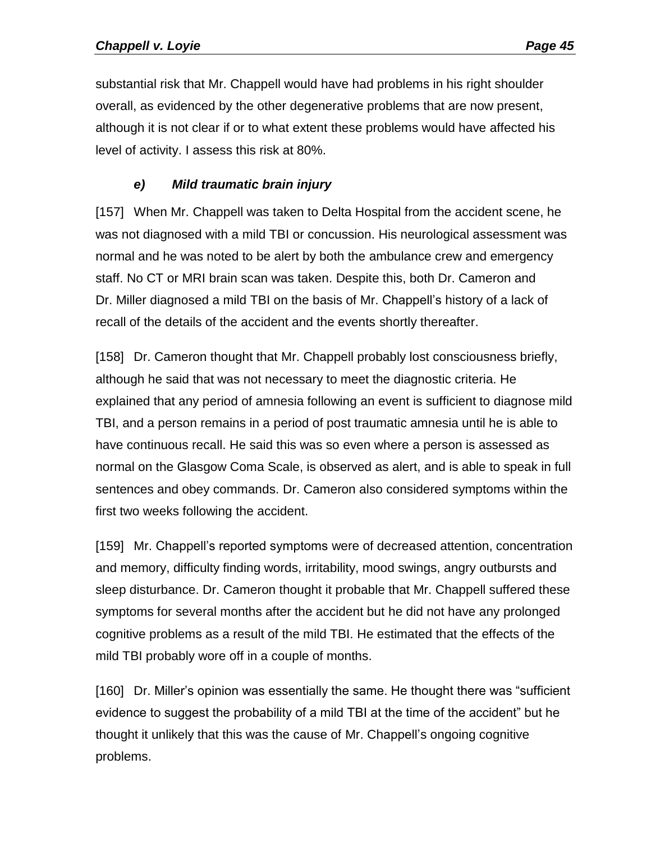substantial risk that Mr. Chappell would have had problems in his right shoulder overall, as evidenced by the other degenerative problems that are now present, although it is not clear if or to what extent these problems would have affected his level of activity. I assess this risk at 80%.

## *e) Mild traumatic brain injury*

[157] When Mr. Chappell was taken to Delta Hospital from the accident scene, he was not diagnosed with a mild TBI or concussion. His neurological assessment was normal and he was noted to be alert by both the ambulance crew and emergency staff. No CT or MRI brain scan was taken. Despite this, both Dr. Cameron and Dr. Miller diagnosed a mild TBI on the basis of Mr. Chappell's history of a lack of recall of the details of the accident and the events shortly thereafter.

[158] Dr. Cameron thought that Mr. Chappell probably lost consciousness briefly, although he said that was not necessary to meet the diagnostic criteria. He explained that any period of amnesia following an event is sufficient to diagnose mild TBI, and a person remains in a period of post traumatic amnesia until he is able to have continuous recall. He said this was so even where a person is assessed as normal on the Glasgow Coma Scale, is observed as alert, and is able to speak in full sentences and obey commands. Dr. Cameron also considered symptoms within the first two weeks following the accident.

[159] Mr. Chappell's reported symptoms were of decreased attention, concentration and memory, difficulty finding words, irritability, mood swings, angry outbursts and sleep disturbance. Dr. Cameron thought it probable that Mr. Chappell suffered these symptoms for several months after the accident but he did not have any prolonged cognitive problems as a result of the mild TBI. He estimated that the effects of the mild TBI probably wore off in a couple of months.

[160] Dr. Miller's opinion was essentially the same. He thought there was "sufficient evidence to suggest the probability of a mild TBI at the time of the accident" but he thought it unlikely that this was the cause of Mr. Chappell's ongoing cognitive problems.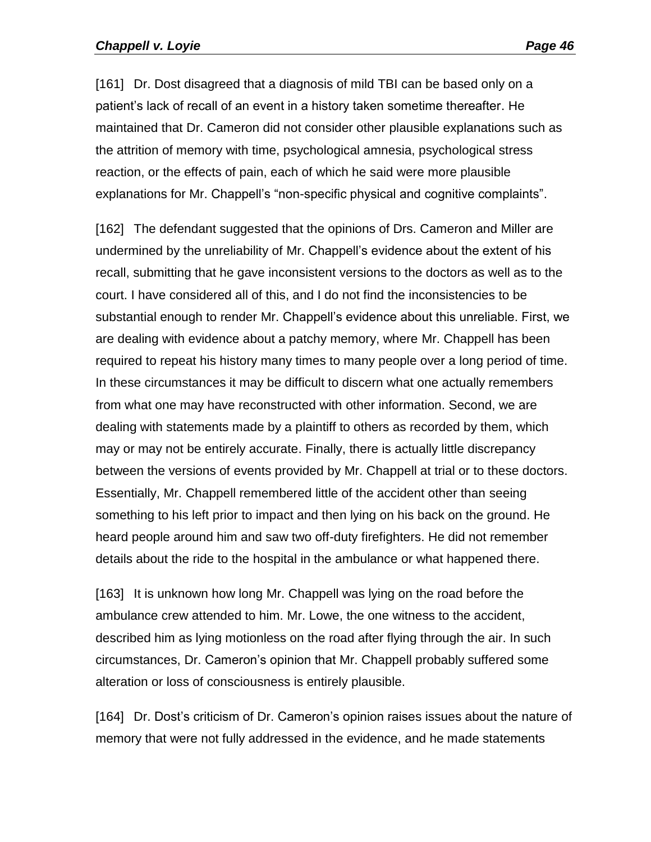[161] Dr. Dost disagreed that a diagnosis of mild TBI can be based only on a patient's lack of recall of an event in a history taken sometime thereafter. He maintained that Dr. Cameron did not consider other plausible explanations such as the attrition of memory with time, psychological amnesia, psychological stress reaction, or the effects of pain, each of which he said were more plausible explanations for Mr. Chappell's "non-specific physical and cognitive complaints".

[162] The defendant suggested that the opinions of Drs. Cameron and Miller are undermined by the unreliability of Mr. Chappell's evidence about the extent of his recall, submitting that he gave inconsistent versions to the doctors as well as to the court. I have considered all of this, and I do not find the inconsistencies to be substantial enough to render Mr. Chappell's evidence about this unreliable. First, we are dealing with evidence about a patchy memory, where Mr. Chappell has been required to repeat his history many times to many people over a long period of time. In these circumstances it may be difficult to discern what one actually remembers from what one may have reconstructed with other information. Second, we are dealing with statements made by a plaintiff to others as recorded by them, which may or may not be entirely accurate. Finally, there is actually little discrepancy between the versions of events provided by Mr. Chappell at trial or to these doctors. Essentially, Mr. Chappell remembered little of the accident other than seeing something to his left prior to impact and then lying on his back on the ground. He heard people around him and saw two off-duty firefighters. He did not remember details about the ride to the hospital in the ambulance or what happened there.

[163] It is unknown how long Mr. Chappell was lying on the road before the ambulance crew attended to him. Mr. Lowe, the one witness to the accident, described him as lying motionless on the road after flying through the air. In such circumstances, Dr. Cameron's opinion that Mr. Chappell probably suffered some alteration or loss of consciousness is entirely plausible.

[164] Dr. Dost's criticism of Dr. Cameron's opinion raises issues about the nature of memory that were not fully addressed in the evidence, and he made statements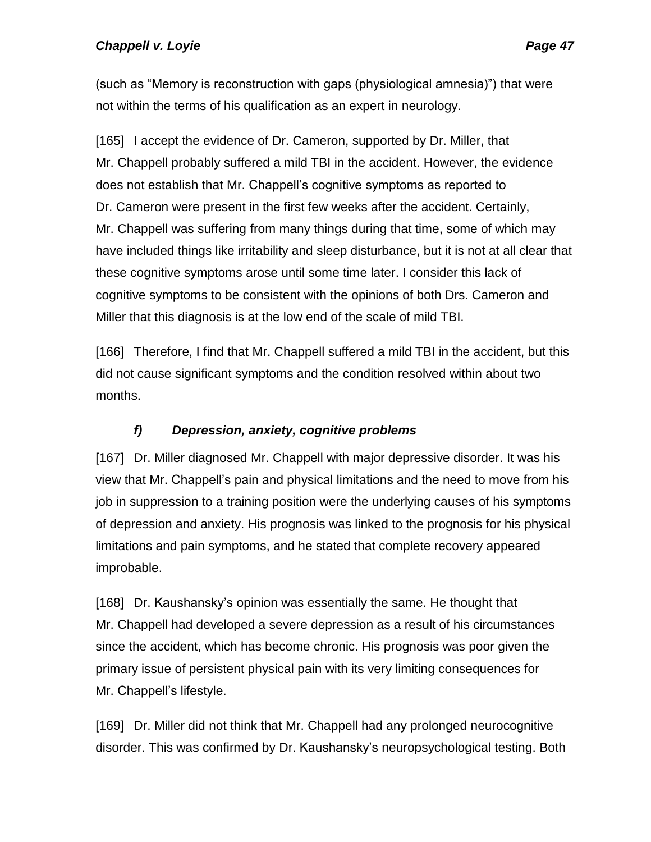(such as "Memory is reconstruction with gaps (physiological amnesia)") that were not within the terms of his qualification as an expert in neurology.

[165] I accept the evidence of Dr. Cameron, supported by Dr. Miller, that Mr. Chappell probably suffered a mild TBI in the accident. However, the evidence does not establish that Mr. Chappell's cognitive symptoms as reported to Dr. Cameron were present in the first few weeks after the accident. Certainly, Mr. Chappell was suffering from many things during that time, some of which may have included things like irritability and sleep disturbance, but it is not at all clear that these cognitive symptoms arose until some time later. I consider this lack of cognitive symptoms to be consistent with the opinions of both Drs. Cameron and Miller that this diagnosis is at the low end of the scale of mild TBI.

[166] Therefore, I find that Mr. Chappell suffered a mild TBI in the accident, but this did not cause significant symptoms and the condition resolved within about two months.

# *f) Depression, anxiety, cognitive problems*

[167] Dr. Miller diagnosed Mr. Chappell with major depressive disorder. It was his view that Mr. Chappell's pain and physical limitations and the need to move from his job in suppression to a training position were the underlying causes of his symptoms of depression and anxiety. His prognosis was linked to the prognosis for his physical limitations and pain symptoms, and he stated that complete recovery appeared improbable.

[168] Dr. Kaushansky's opinion was essentially the same. He thought that Mr. Chappell had developed a severe depression as a result of his circumstances since the accident, which has become chronic. His prognosis was poor given the primary issue of persistent physical pain with its very limiting consequences for Mr. Chappell's lifestyle.

[169] Dr. Miller did not think that Mr. Chappell had any prolonged neurocognitive disorder. This was confirmed by Dr. Kaushansky's neuropsychological testing. Both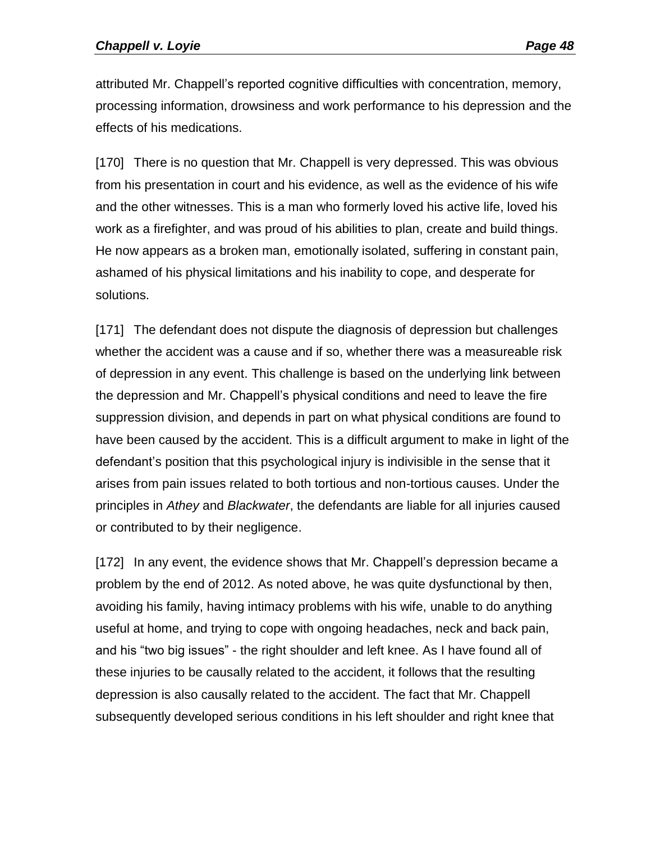attributed Mr. Chappell's reported cognitive difficulties with concentration, memory, processing information, drowsiness and work performance to his depression and the effects of his medications.

[170] There is no question that Mr. Chappell is very depressed. This was obvious from his presentation in court and his evidence, as well as the evidence of his wife and the other witnesses. This is a man who formerly loved his active life, loved his work as a firefighter, and was proud of his abilities to plan, create and build things. He now appears as a broken man, emotionally isolated, suffering in constant pain, ashamed of his physical limitations and his inability to cope, and desperate for solutions.

[171] The defendant does not dispute the diagnosis of depression but challenges whether the accident was a cause and if so, whether there was a measureable risk of depression in any event. This challenge is based on the underlying link between the depression and Mr. Chappell's physical conditions and need to leave the fire suppression division, and depends in part on what physical conditions are found to have been caused by the accident. This is a difficult argument to make in light of the defendant's position that this psychological injury is indivisible in the sense that it arises from pain issues related to both tortious and non-tortious causes. Under the principles in *Athey* and *Blackwater*, the defendants are liable for all injuries caused or contributed to by their negligence.

[172] In any event, the evidence shows that Mr. Chappell's depression became a problem by the end of 2012. As noted above, he was quite dysfunctional by then, avoiding his family, having intimacy problems with his wife, unable to do anything useful at home, and trying to cope with ongoing headaches, neck and back pain, and his "two big issues" - the right shoulder and left knee. As I have found all of these injuries to be causally related to the accident, it follows that the resulting depression is also causally related to the accident. The fact that Mr. Chappell subsequently developed serious conditions in his left shoulder and right knee that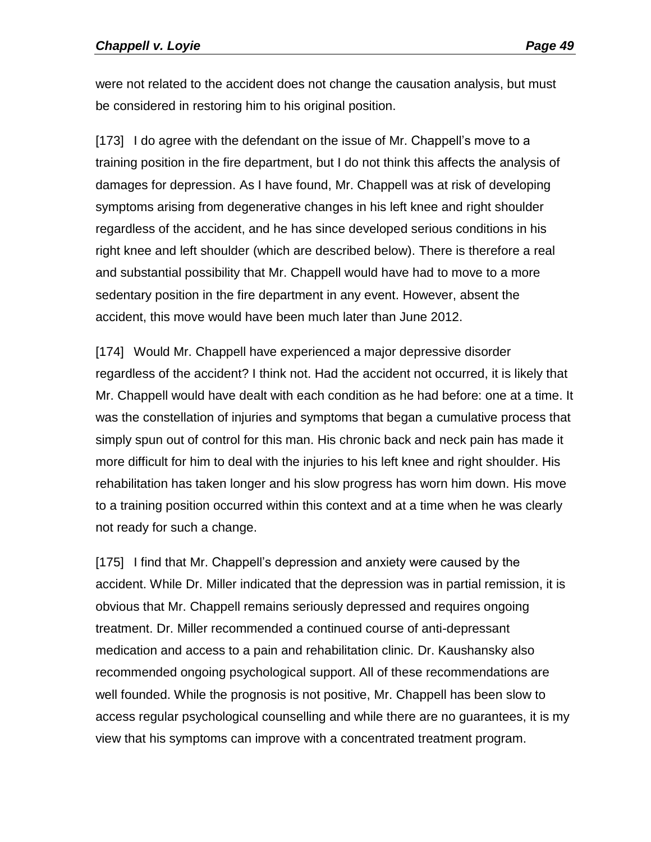were not related to the accident does not change the causation analysis, but must be considered in restoring him to his original position.

[173] I do agree with the defendant on the issue of Mr. Chappell's move to a training position in the fire department, but I do not think this affects the analysis of damages for depression. As I have found, Mr. Chappell was at risk of developing symptoms arising from degenerative changes in his left knee and right shoulder regardless of the accident, and he has since developed serious conditions in his right knee and left shoulder (which are described below). There is therefore a real and substantial possibility that Mr. Chappell would have had to move to a more sedentary position in the fire department in any event. However, absent the accident, this move would have been much later than June 2012.

[174] Would Mr. Chappell have experienced a major depressive disorder regardless of the accident? I think not. Had the accident not occurred, it is likely that Mr. Chappell would have dealt with each condition as he had before: one at a time. It was the constellation of injuries and symptoms that began a cumulative process that simply spun out of control for this man. His chronic back and neck pain has made it more difficult for him to deal with the injuries to his left knee and right shoulder. His rehabilitation has taken longer and his slow progress has worn him down. His move to a training position occurred within this context and at a time when he was clearly not ready for such a change.

[175] I find that Mr. Chappell's depression and anxiety were caused by the accident. While Dr. Miller indicated that the depression was in partial remission, it is obvious that Mr. Chappell remains seriously depressed and requires ongoing treatment. Dr. Miller recommended a continued course of anti-depressant medication and access to a pain and rehabilitation clinic. Dr. Kaushansky also recommended ongoing psychological support. All of these recommendations are well founded. While the prognosis is not positive, Mr. Chappell has been slow to access regular psychological counselling and while there are no guarantees, it is my view that his symptoms can improve with a concentrated treatment program.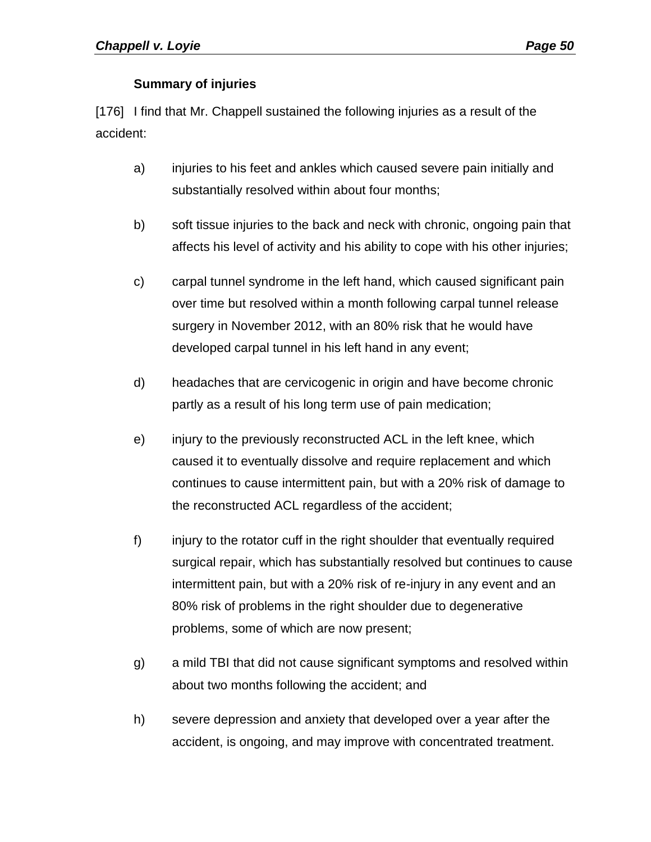### **Summary of injuries**

[176] I find that Mr. Chappell sustained the following injuries as a result of the accident:

- a) injuries to his feet and ankles which caused severe pain initially and substantially resolved within about four months;
- b) soft tissue injuries to the back and neck with chronic, ongoing pain that affects his level of activity and his ability to cope with his other injuries;
- c) carpal tunnel syndrome in the left hand, which caused significant pain over time but resolved within a month following carpal tunnel release surgery in November 2012, with an 80% risk that he would have developed carpal tunnel in his left hand in any event;
- d) headaches that are cervicogenic in origin and have become chronic partly as a result of his long term use of pain medication;
- e) injury to the previously reconstructed ACL in the left knee, which caused it to eventually dissolve and require replacement and which continues to cause intermittent pain, but with a 20% risk of damage to the reconstructed ACL regardless of the accident;
- f) injury to the rotator cuff in the right shoulder that eventually required surgical repair, which has substantially resolved but continues to cause intermittent pain, but with a 20% risk of re-injury in any event and an 80% risk of problems in the right shoulder due to degenerative problems, some of which are now present;
- g) a mild TBI that did not cause significant symptoms and resolved within about two months following the accident; and
- h) severe depression and anxiety that developed over a year after the accident, is ongoing, and may improve with concentrated treatment.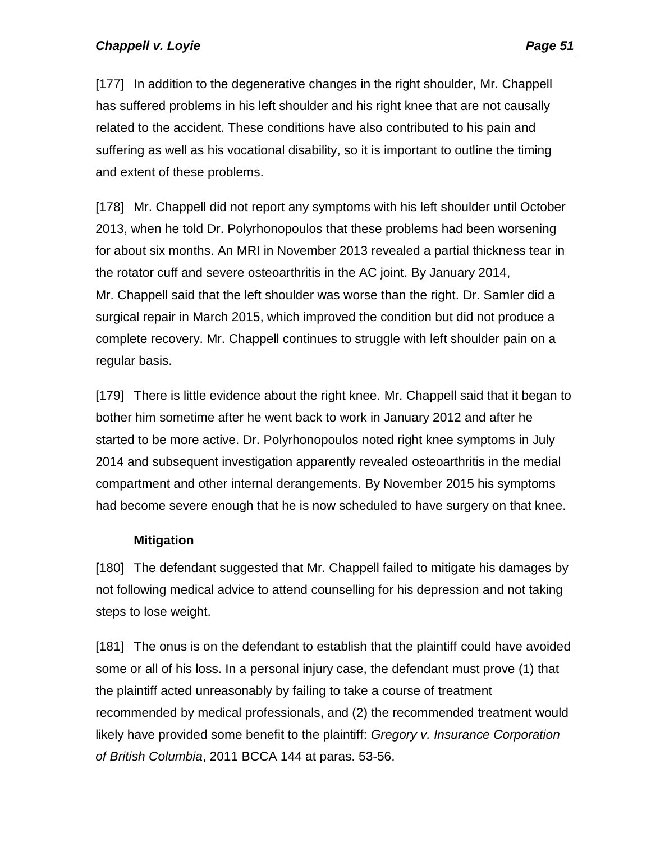[177] In addition to the degenerative changes in the right shoulder, Mr. Chappell has suffered problems in his left shoulder and his right knee that are not causally related to the accident. These conditions have also contributed to his pain and suffering as well as his vocational disability, so it is important to outline the timing and extent of these problems.

[178] Mr. Chappell did not report any symptoms with his left shoulder until October 2013, when he told Dr. Polyrhonopoulos that these problems had been worsening for about six months. An MRI in November 2013 revealed a partial thickness tear in the rotator cuff and severe osteoarthritis in the AC joint. By January 2014, Mr. Chappell said that the left shoulder was worse than the right. Dr. Samler did a surgical repair in March 2015, which improved the condition but did not produce a complete recovery. Mr. Chappell continues to struggle with left shoulder pain on a regular basis.

[179] There is little evidence about the right knee. Mr. Chappell said that it began to bother him sometime after he went back to work in January 2012 and after he started to be more active. Dr. Polyrhonopoulos noted right knee symptoms in July 2014 and subsequent investigation apparently revealed osteoarthritis in the medial compartment and other internal derangements. By November 2015 his symptoms had become severe enough that he is now scheduled to have surgery on that knee.

#### **Mitigation**

[180] The defendant suggested that Mr. Chappell failed to mitigate his damages by not following medical advice to attend counselling for his depression and not taking steps to lose weight.

[181] The onus is on the defendant to establish that the plaintiff could have avoided some or all of his loss. In a personal injury case, the defendant must prove (1) that the plaintiff acted unreasonably by failing to take a course of treatment recommended by medical professionals, and (2) the recommended treatment would likely have provided some benefit to the plaintiff: *Gregory v. Insurance Corporation of British Columbia*, 2011 BCCA 144 at paras. 53-56.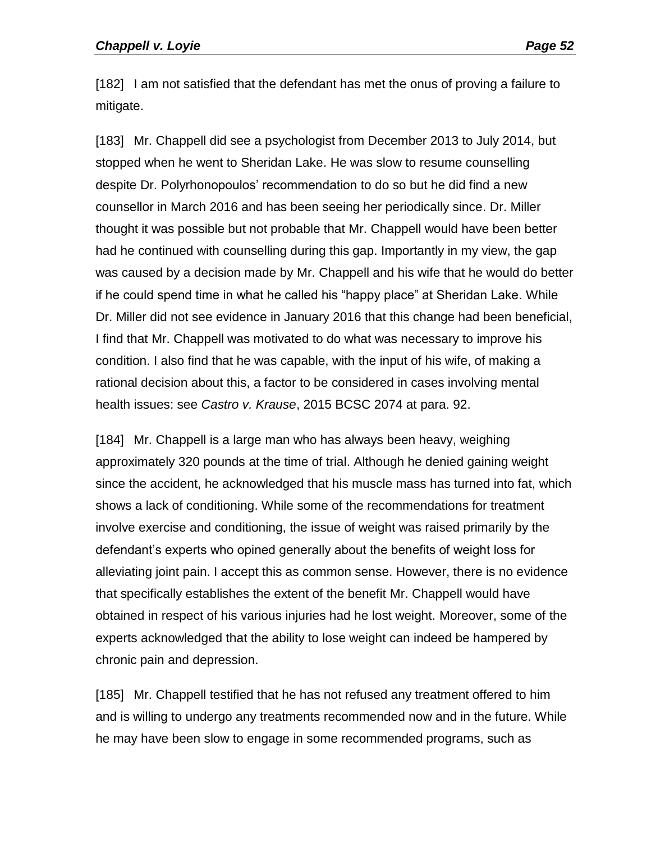[182] I am not satisfied that the defendant has met the onus of proving a failure to mitigate.

[183] Mr. Chappell did see a psychologist from December 2013 to July 2014, but stopped when he went to Sheridan Lake. He was slow to resume counselling despite Dr. Polyrhonopoulos' recommendation to do so but he did find a new counsellor in March 2016 and has been seeing her periodically since. Dr. Miller thought it was possible but not probable that Mr. Chappell would have been better had he continued with counselling during this gap. Importantly in my view, the gap was caused by a decision made by Mr. Chappell and his wife that he would do better if he could spend time in what he called his "happy place" at Sheridan Lake. While Dr. Miller did not see evidence in January 2016 that this change had been beneficial, I find that Mr. Chappell was motivated to do what was necessary to improve his condition. I also find that he was capable, with the input of his wife, of making a rational decision about this, a factor to be considered in cases involving mental health issues: see *Castro v. Krause*, 2015 BCSC 2074 at para. 92.

[184] Mr. Chappell is a large man who has always been heavy, weighing approximately 320 pounds at the time of trial. Although he denied gaining weight since the accident, he acknowledged that his muscle mass has turned into fat, which shows a lack of conditioning. While some of the recommendations for treatment involve exercise and conditioning, the issue of weight was raised primarily by the defendant's experts who opined generally about the benefits of weight loss for alleviating joint pain. I accept this as common sense. However, there is no evidence that specifically establishes the extent of the benefit Mr. Chappell would have obtained in respect of his various injuries had he lost weight. Moreover, some of the experts acknowledged that the ability to lose weight can indeed be hampered by chronic pain and depression.

[185] Mr. Chappell testified that he has not refused any treatment offered to him and is willing to undergo any treatments recommended now and in the future. While he may have been slow to engage in some recommended programs, such as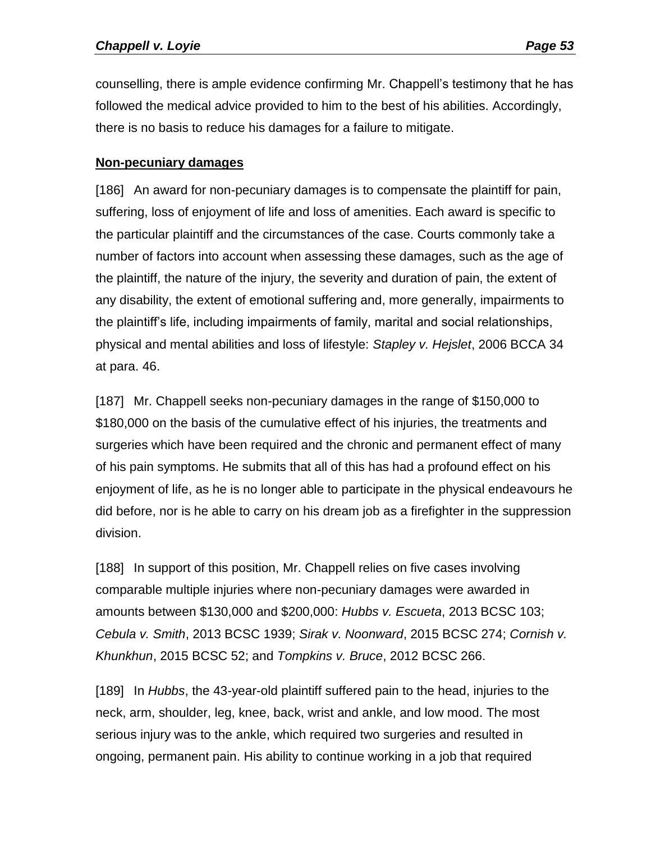counselling, there is ample evidence confirming Mr. Chappell's testimony that he has followed the medical advice provided to him to the best of his abilities. Accordingly, there is no basis to reduce his damages for a failure to mitigate.

#### **Non-pecuniary damages**

[186] An award for non-pecuniary damages is to compensate the plaintiff for pain, suffering, loss of enjoyment of life and loss of amenities. Each award is specific to the particular plaintiff and the circumstances of the case. Courts commonly take a number of factors into account when assessing these damages, such as the age of the plaintiff, the nature of the injury, the severity and duration of pain, the extent of any disability, the extent of emotional suffering and, more generally, impairments to the plaintiff's life, including impairments of family, marital and social relationships, physical and mental abilities and loss of lifestyle: *Stapley v. Hejslet*, 2006 BCCA 34 at para. 46.

[187] Mr. Chappell seeks non-pecuniary damages in the range of \$150,000 to \$180,000 on the basis of the cumulative effect of his injuries, the treatments and surgeries which have been required and the chronic and permanent effect of many of his pain symptoms. He submits that all of this has had a profound effect on his enjoyment of life, as he is no longer able to participate in the physical endeavours he did before, nor is he able to carry on his dream job as a firefighter in the suppression division.

[188] In support of this position, Mr. Chappell relies on five cases involving comparable multiple injuries where non-pecuniary damages were awarded in amounts between \$130,000 and \$200,000: *Hubbs v. Escueta*, 2013 BCSC 103; *Cebula v. Smith*, 2013 BCSC 1939; *Sirak v. Noonward*, 2015 BCSC 274; *Cornish v. Khunkhun*, 2015 BCSC 52; and *Tompkins v. Bruce*, 2012 BCSC 266.

[189] In *Hubbs*, the 43-year-old plaintiff suffered pain to the head, injuries to the neck, arm, shoulder, leg, knee, back, wrist and ankle, and low mood. The most serious injury was to the ankle, which required two surgeries and resulted in ongoing, permanent pain. His ability to continue working in a job that required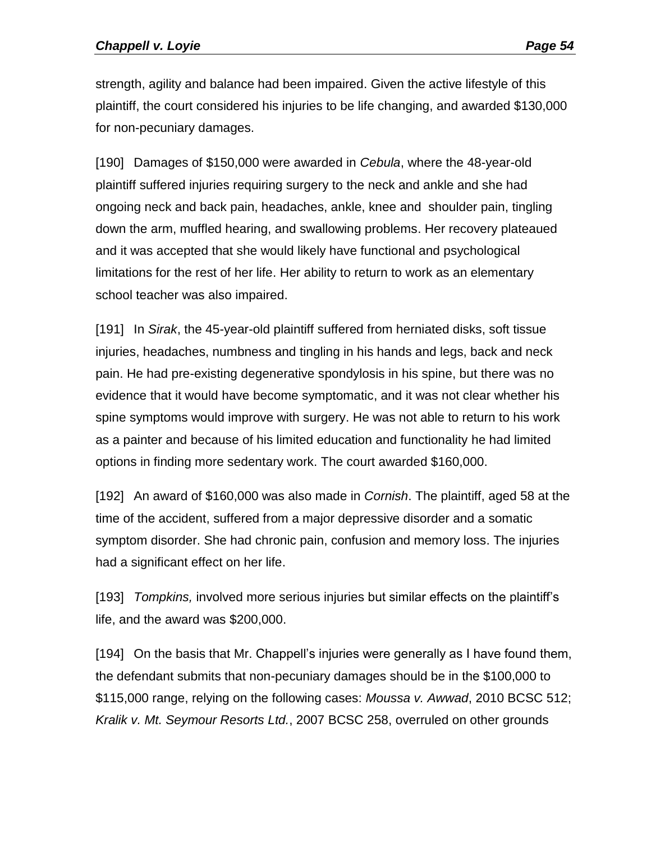strength, agility and balance had been impaired. Given the active lifestyle of this plaintiff, the court considered his injuries to be life changing, and awarded \$130,000 for non-pecuniary damages.

[190] Damages of \$150,000 were awarded in *Cebula*, where the 48-year-old plaintiff suffered injuries requiring surgery to the neck and ankle and she had ongoing neck and back pain, headaches, ankle, knee and shoulder pain, tingling down the arm, muffled hearing, and swallowing problems. Her recovery plateaued and it was accepted that she would likely have functional and psychological limitations for the rest of her life. Her ability to return to work as an elementary school teacher was also impaired.

[191] In *Sirak*, the 45-year-old plaintiff suffered from herniated disks, soft tissue injuries, headaches, numbness and tingling in his hands and legs, back and neck pain. He had pre-existing degenerative spondylosis in his spine, but there was no evidence that it would have become symptomatic, and it was not clear whether his spine symptoms would improve with surgery. He was not able to return to his work as a painter and because of his limited education and functionality he had limited options in finding more sedentary work. The court awarded \$160,000.

[192] An award of \$160,000 was also made in *Cornish*. The plaintiff, aged 58 at the time of the accident, suffered from a major depressive disorder and a somatic symptom disorder. She had chronic pain, confusion and memory loss. The injuries had a significant effect on her life.

[193] *Tompkins,* involved more serious injuries but similar effects on the plaintiff's life, and the award was \$200,000.

[194] On the basis that Mr. Chappell's injuries were generally as I have found them, the defendant submits that non-pecuniary damages should be in the \$100,000 to \$115,000 range, relying on the following cases: *Moussa v. Awwad*, 2010 BCSC 512; *Kralik v. Mt. Seymour Resorts Ltd.*, 2007 BCSC 258, overruled on other grounds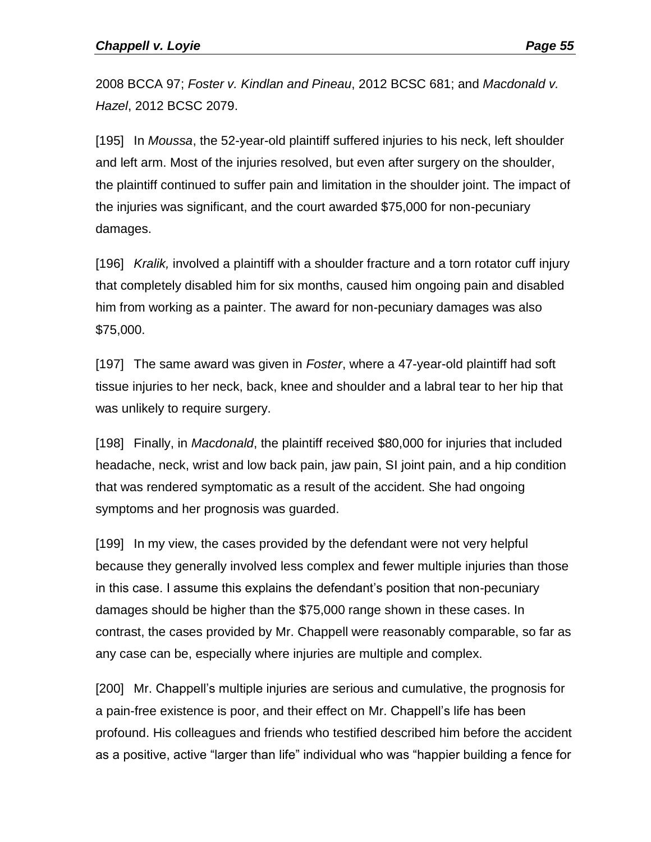2008 BCCA 97; *Foster v. Kindlan and Pineau*, 2012 BCSC 681; and *Macdonald v. Hazel*, 2012 BCSC 2079.

[195] In *Moussa*, the 52-year-old plaintiff suffered injuries to his neck, left shoulder and left arm. Most of the injuries resolved, but even after surgery on the shoulder, the plaintiff continued to suffer pain and limitation in the shoulder joint. The impact of the injuries was significant, and the court awarded \$75,000 for non-pecuniary damages.

[196] *Kralik,* involved a plaintiff with a shoulder fracture and a torn rotator cuff injury that completely disabled him for six months, caused him ongoing pain and disabled him from working as a painter. The award for non-pecuniary damages was also \$75,000.

[197] The same award was given in *Foster*, where a 47-year-old plaintiff had soft tissue injuries to her neck, back, knee and shoulder and a labral tear to her hip that was unlikely to require surgery.

[198] Finally, in *Macdonald*, the plaintiff received \$80,000 for injuries that included headache, neck, wrist and low back pain, jaw pain, SI joint pain, and a hip condition that was rendered symptomatic as a result of the accident. She had ongoing symptoms and her prognosis was guarded.

[199] In my view, the cases provided by the defendant were not very helpful because they generally involved less complex and fewer multiple injuries than those in this case. I assume this explains the defendant's position that non-pecuniary damages should be higher than the \$75,000 range shown in these cases. In contrast, the cases provided by Mr. Chappell were reasonably comparable, so far as any case can be, especially where injuries are multiple and complex.

[200] Mr. Chappell's multiple injuries are serious and cumulative, the prognosis for a pain-free existence is poor, and their effect on Mr. Chappell's life has been profound. His colleagues and friends who testified described him before the accident as a positive, active "larger than life" individual who was "happier building a fence for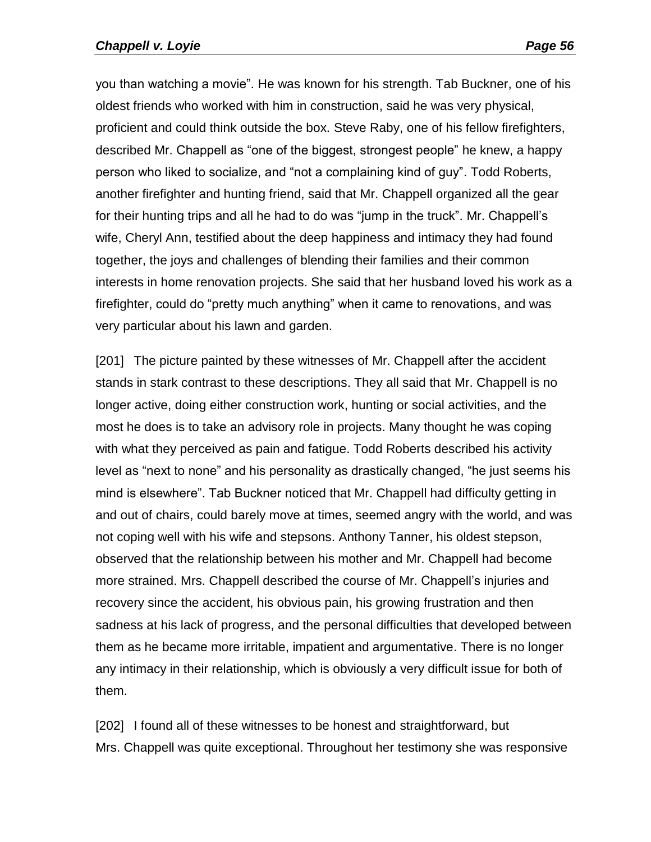you than watching a movie". He was known for his strength. Tab Buckner, one of his oldest friends who worked with him in construction, said he was very physical, proficient and could think outside the box. Steve Raby, one of his fellow firefighters, described Mr. Chappell as "one of the biggest, strongest people" he knew, a happy person who liked to socialize, and "not a complaining kind of guy". Todd Roberts, another firefighter and hunting friend, said that Mr. Chappell organized all the gear for their hunting trips and all he had to do was "jump in the truck". Mr. Chappell's wife, Cheryl Ann, testified about the deep happiness and intimacy they had found together, the joys and challenges of blending their families and their common interests in home renovation projects. She said that her husband loved his work as a firefighter, could do "pretty much anything" when it came to renovations, and was very particular about his lawn and garden.

[201] The picture painted by these witnesses of Mr. Chappell after the accident stands in stark contrast to these descriptions. They all said that Mr. Chappell is no longer active, doing either construction work, hunting or social activities, and the most he does is to take an advisory role in projects. Many thought he was coping with what they perceived as pain and fatigue. Todd Roberts described his activity level as "next to none" and his personality as drastically changed, "he just seems his mind is elsewhere". Tab Buckner noticed that Mr. Chappell had difficulty getting in and out of chairs, could barely move at times, seemed angry with the world, and was not coping well with his wife and stepsons. Anthony Tanner, his oldest stepson, observed that the relationship between his mother and Mr. Chappell had become more strained. Mrs. Chappell described the course of Mr. Chappell's injuries and recovery since the accident, his obvious pain, his growing frustration and then sadness at his lack of progress, and the personal difficulties that developed between them as he became more irritable, impatient and argumentative. There is no longer any intimacy in their relationship, which is obviously a very difficult issue for both of them.

[202] I found all of these witnesses to be honest and straightforward, but Mrs. Chappell was quite exceptional. Throughout her testimony she was responsive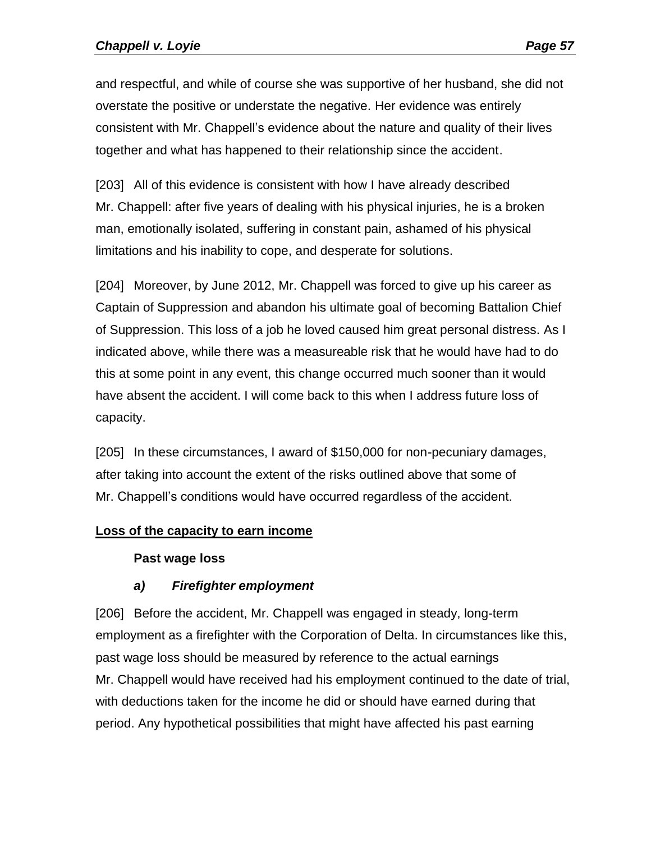and respectful, and while of course she was supportive of her husband, she did not overstate the positive or understate the negative. Her evidence was entirely consistent with Mr. Chappell's evidence about the nature and quality of their lives together and what has happened to their relationship since the accident.

[203] All of this evidence is consistent with how I have already described Mr. Chappell: after five years of dealing with his physical injuries, he is a broken man, emotionally isolated, suffering in constant pain, ashamed of his physical limitations and his inability to cope, and desperate for solutions.

[204] Moreover, by June 2012, Mr. Chappell was forced to give up his career as Captain of Suppression and abandon his ultimate goal of becoming Battalion Chief of Suppression. This loss of a job he loved caused him great personal distress. As I indicated above, while there was a measureable risk that he would have had to do this at some point in any event, this change occurred much sooner than it would have absent the accident. I will come back to this when I address future loss of capacity.

[205] In these circumstances, I award of \$150,000 for non-pecuniary damages, after taking into account the extent of the risks outlined above that some of Mr. Chappell's conditions would have occurred regardless of the accident.

### **Loss of the capacity to earn income**

### **Past wage loss**

# *a) Firefighter employment*

[206] Before the accident, Mr. Chappell was engaged in steady, long-term employment as a firefighter with the Corporation of Delta. In circumstances like this, past wage loss should be measured by reference to the actual earnings Mr. Chappell would have received had his employment continued to the date of trial, with deductions taken for the income he did or should have earned during that period. Any hypothetical possibilities that might have affected his past earning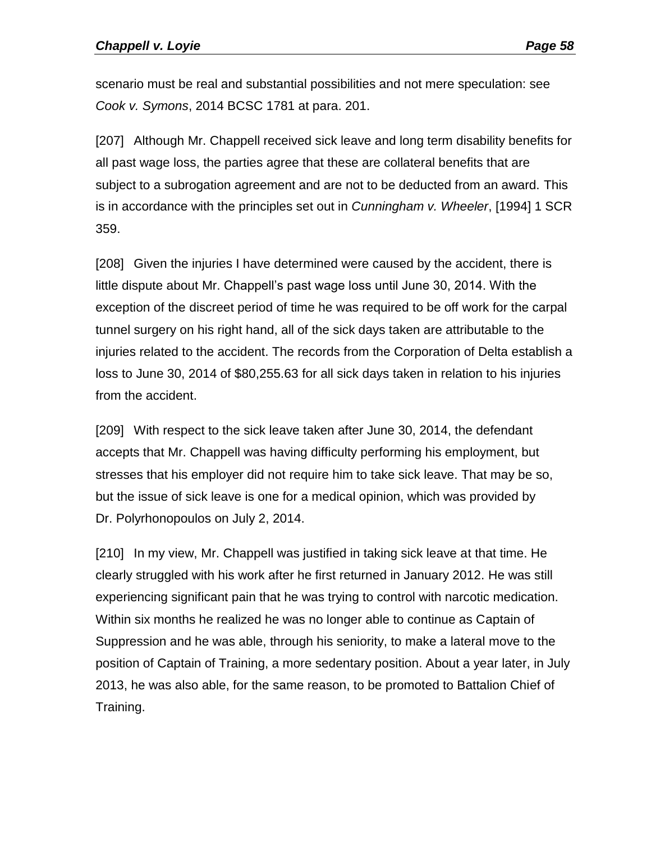scenario must be real and substantial possibilities and not mere speculation: see *Cook v. Symons*, 2014 BCSC 1781 at para. 201.

[207] Although Mr. Chappell received sick leave and long term disability benefits for all past wage loss, the parties agree that these are collateral benefits that are subject to a subrogation agreement and are not to be deducted from an award. This is in accordance with the principles set out in *Cunningham v. Wheeler*, [1994] 1 SCR 359.

[208] Given the injuries I have determined were caused by the accident, there is little dispute about Mr. Chappell's past wage loss until June 30, 2014. With the exception of the discreet period of time he was required to be off work for the carpal tunnel surgery on his right hand, all of the sick days taken are attributable to the injuries related to the accident. The records from the Corporation of Delta establish a loss to June 30, 2014 of \$80,255.63 for all sick days taken in relation to his injuries from the accident.

[209] With respect to the sick leave taken after June 30, 2014, the defendant accepts that Mr. Chappell was having difficulty performing his employment, but stresses that his employer did not require him to take sick leave. That may be so, but the issue of sick leave is one for a medical opinion, which was provided by Dr. Polyrhonopoulos on July 2, 2014.

[210] In my view, Mr. Chappell was justified in taking sick leave at that time. He clearly struggled with his work after he first returned in January 2012. He was still experiencing significant pain that he was trying to control with narcotic medication. Within six months he realized he was no longer able to continue as Captain of Suppression and he was able, through his seniority, to make a lateral move to the position of Captain of Training, a more sedentary position. About a year later, in July 2013, he was also able, for the same reason, to be promoted to Battalion Chief of Training.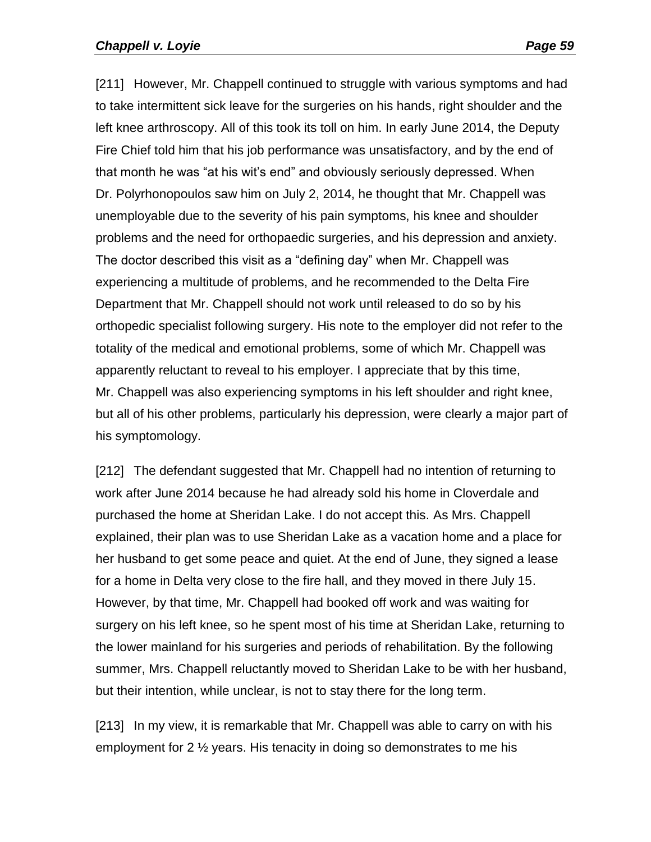[211] However, Mr. Chappell continued to struggle with various symptoms and had to take intermittent sick leave for the surgeries on his hands, right shoulder and the left knee arthroscopy. All of this took its toll on him. In early June 2014, the Deputy Fire Chief told him that his job performance was unsatisfactory, and by the end of that month he was "at his wit's end" and obviously seriously depressed. When Dr. Polyrhonopoulos saw him on July 2, 2014, he thought that Mr. Chappell was unemployable due to the severity of his pain symptoms, his knee and shoulder problems and the need for orthopaedic surgeries, and his depression and anxiety. The doctor described this visit as a "defining day" when Mr. Chappell was experiencing a multitude of problems, and he recommended to the Delta Fire Department that Mr. Chappell should not work until released to do so by his orthopedic specialist following surgery. His note to the employer did not refer to the totality of the medical and emotional problems, some of which Mr. Chappell was apparently reluctant to reveal to his employer. I appreciate that by this time, Mr. Chappell was also experiencing symptoms in his left shoulder and right knee, but all of his other problems, particularly his depression, were clearly a major part of his symptomology.

[212] The defendant suggested that Mr. Chappell had no intention of returning to work after June 2014 because he had already sold his home in Cloverdale and purchased the home at Sheridan Lake. I do not accept this. As Mrs. Chappell explained, their plan was to use Sheridan Lake as a vacation home and a place for her husband to get some peace and quiet. At the end of June, they signed a lease for a home in Delta very close to the fire hall, and they moved in there July 15. However, by that time, Mr. Chappell had booked off work and was waiting for surgery on his left knee, so he spent most of his time at Sheridan Lake, returning to the lower mainland for his surgeries and periods of rehabilitation. By the following summer, Mrs. Chappell reluctantly moved to Sheridan Lake to be with her husband, but their intention, while unclear, is not to stay there for the long term.

[213] In my view, it is remarkable that Mr. Chappell was able to carry on with his employment for 2 ½ years. His tenacity in doing so demonstrates to me his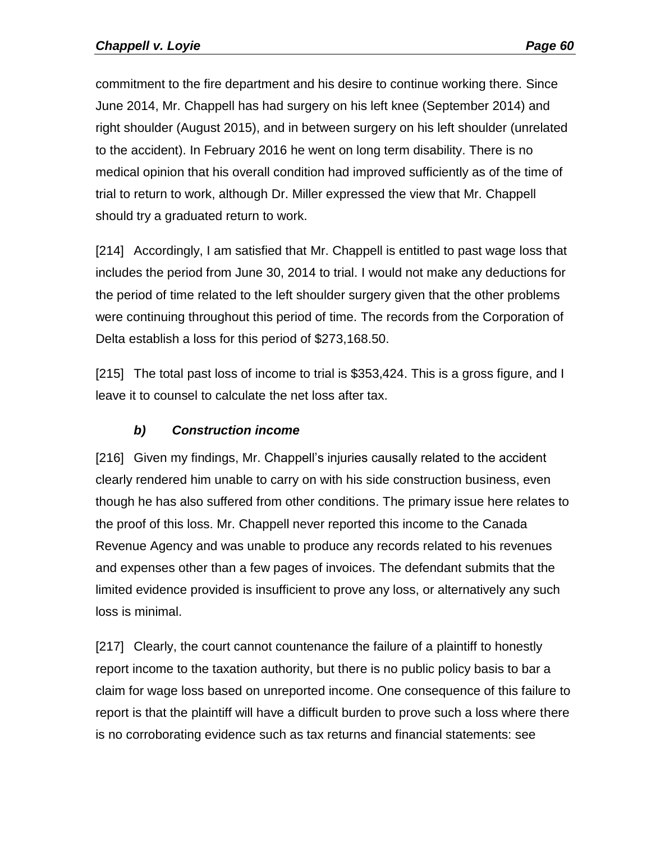commitment to the fire department and his desire to continue working there. Since June 2014, Mr. Chappell has had surgery on his left knee (September 2014) and right shoulder (August 2015), and in between surgery on his left shoulder (unrelated to the accident). In February 2016 he went on long term disability. There is no medical opinion that his overall condition had improved sufficiently as of the time of trial to return to work, although Dr. Miller expressed the view that Mr. Chappell should try a graduated return to work.

[214] Accordingly, I am satisfied that Mr. Chappell is entitled to past wage loss that includes the period from June 30, 2014 to trial. I would not make any deductions for the period of time related to the left shoulder surgery given that the other problems were continuing throughout this period of time. The records from the Corporation of Delta establish a loss for this period of \$273,168.50.

[215] The total past loss of income to trial is \$353,424. This is a gross figure, and I leave it to counsel to calculate the net loss after tax.

# *b) Construction income*

[216] Given my findings, Mr. Chappell's injuries causally related to the accident clearly rendered him unable to carry on with his side construction business, even though he has also suffered from other conditions. The primary issue here relates to the proof of this loss. Mr. Chappell never reported this income to the Canada Revenue Agency and was unable to produce any records related to his revenues and expenses other than a few pages of invoices. The defendant submits that the limited evidence provided is insufficient to prove any loss, or alternatively any such loss is minimal.

[217] Clearly, the court cannot countenance the failure of a plaintiff to honestly report income to the taxation authority, but there is no public policy basis to bar a claim for wage loss based on unreported income. One consequence of this failure to report is that the plaintiff will have a difficult burden to prove such a loss where there is no corroborating evidence such as tax returns and financial statements: see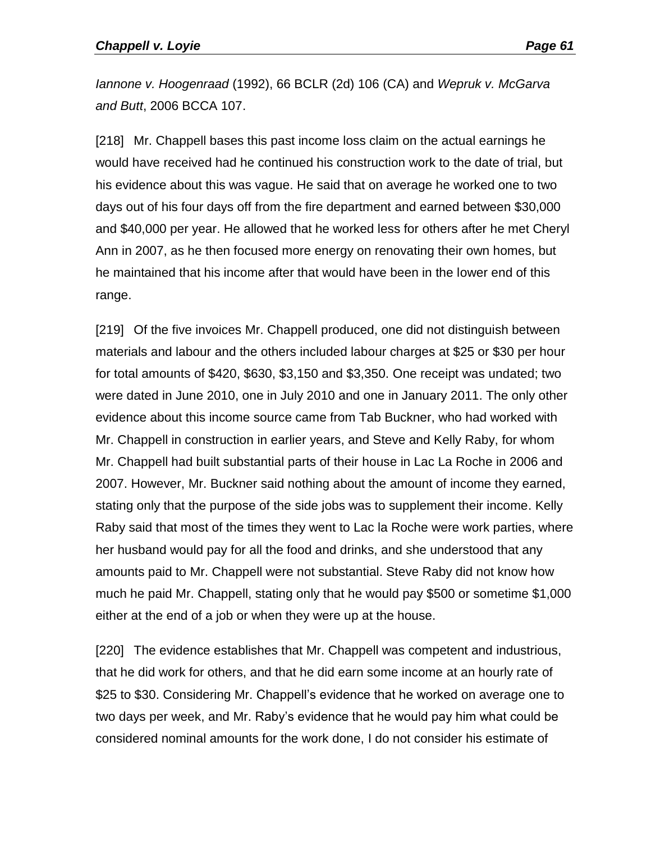*Iannone v. Hoogenraad* (1992), 66 BCLR (2d) 106 (CA) and *Wepruk v. McGarva and Butt*, 2006 BCCA 107.

[218] Mr. Chappell bases this past income loss claim on the actual earnings he would have received had he continued his construction work to the date of trial, but his evidence about this was vague. He said that on average he worked one to two days out of his four days off from the fire department and earned between \$30,000 and \$40,000 per year. He allowed that he worked less for others after he met Cheryl Ann in 2007, as he then focused more energy on renovating their own homes, but he maintained that his income after that would have been in the lower end of this range.

[219] Of the five invoices Mr. Chappell produced, one did not distinguish between materials and labour and the others included labour charges at \$25 or \$30 per hour for total amounts of \$420, \$630, \$3,150 and \$3,350. One receipt was undated; two were dated in June 2010, one in July 2010 and one in January 2011. The only other evidence about this income source came from Tab Buckner, who had worked with Mr. Chappell in construction in earlier years, and Steve and Kelly Raby, for whom Mr. Chappell had built substantial parts of their house in Lac La Roche in 2006 and 2007. However, Mr. Buckner said nothing about the amount of income they earned, stating only that the purpose of the side jobs was to supplement their income. Kelly Raby said that most of the times they went to Lac la Roche were work parties, where her husband would pay for all the food and drinks, and she understood that any amounts paid to Mr. Chappell were not substantial. Steve Raby did not know how much he paid Mr. Chappell, stating only that he would pay \$500 or sometime \$1,000 either at the end of a job or when they were up at the house.

[220] The evidence establishes that Mr. Chappell was competent and industrious, that he did work for others, and that he did earn some income at an hourly rate of \$25 to \$30. Considering Mr. Chappell's evidence that he worked on average one to two days per week, and Mr. Raby's evidence that he would pay him what could be considered nominal amounts for the work done, I do not consider his estimate of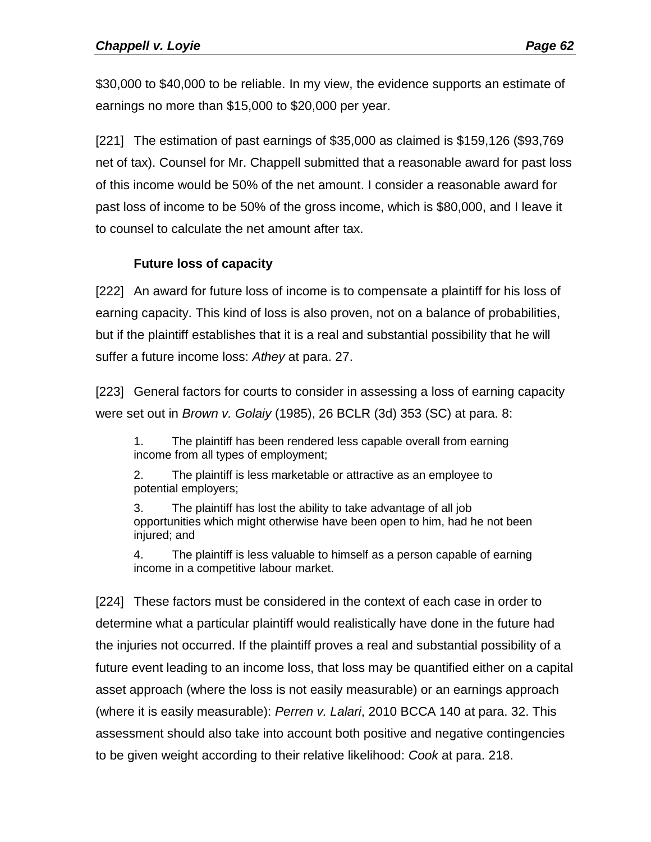\$30,000 to \$40,000 to be reliable. In my view, the evidence supports an estimate of earnings no more than \$15,000 to \$20,000 per year.

[221] The estimation of past earnings of \$35,000 as claimed is \$159,126 (\$93,769 net of tax). Counsel for Mr. Chappell submitted that a reasonable award for past loss of this income would be 50% of the net amount. I consider a reasonable award for past loss of income to be 50% of the gross income, which is \$80,000, and I leave it to counsel to calculate the net amount after tax.

## **Future loss of capacity**

[222] An award for future loss of income is to compensate a plaintiff for his loss of earning capacity. This kind of loss is also proven, not on a balance of probabilities, but if the plaintiff establishes that it is a real and substantial possibility that he will suffer a future income loss: *Athey* at para. 27.

[223] General factors for courts to consider in assessing a loss of earning capacity were set out in *Brown v. Golaiy* (1985), 26 BCLR (3d) 353 (SC) at para. 8:

1. The plaintiff has been rendered less capable overall from earning income from all types of employment;

2. The plaintiff is less marketable or attractive as an employee to potential employers;

3. The plaintiff has lost the ability to take advantage of all job opportunities which might otherwise have been open to him, had he not been injured; and

4. The plaintiff is less valuable to himself as a person capable of earning income in a competitive labour market.

[224] These factors must be considered in the context of each case in order to determine what a particular plaintiff would realistically have done in the future had the injuries not occurred. If the plaintiff proves a real and substantial possibility of a future event leading to an income loss, that loss may be quantified either on a capital asset approach (where the loss is not easily measurable) or an earnings approach (where it is easily measurable): *Perren v. Lalari*, 2010 BCCA 140 at para. 32. This assessment should also take into account both positive and negative contingencies to be given weight according to their relative likelihood: *Cook* at para. 218.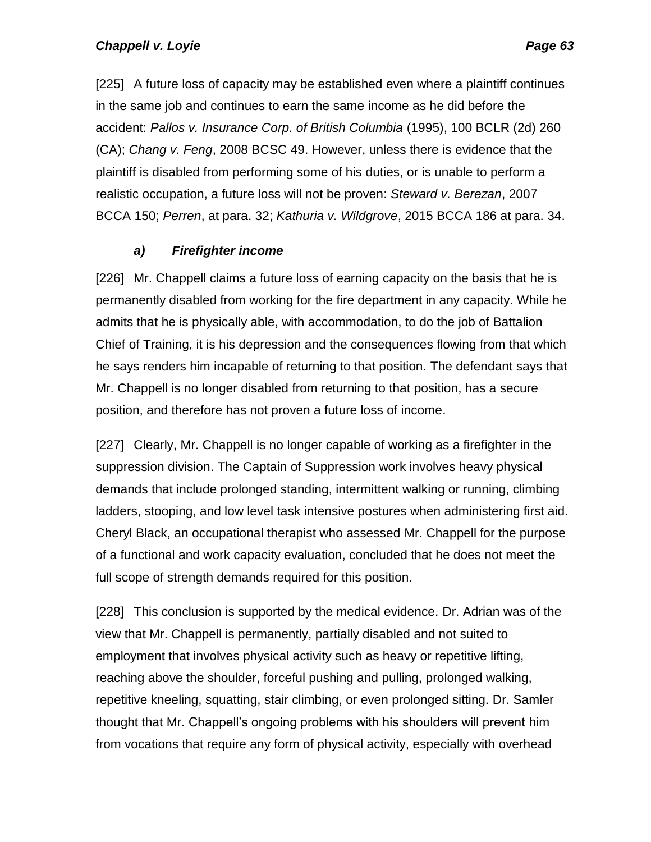[225] A future loss of capacity may be established even where a plaintiff continues in the same job and continues to earn the same income as he did before the accident: *Pallos v. Insurance Corp. of British Columbia* (1995), 100 BCLR (2d) 260 (CA); *Chang v. Feng*, 2008 BCSC 49. However, unless there is evidence that the plaintiff is disabled from performing some of his duties, or is unable to perform a realistic occupation, a future loss will not be proven: *Steward v. Berezan*, 2007 BCCA 150; *Perren*, at para. 32; *Kathuria v. Wildgrove*, 2015 BCCA 186 at para. 34.

### *a) Firefighter income*

[226] Mr. Chappell claims a future loss of earning capacity on the basis that he is permanently disabled from working for the fire department in any capacity. While he admits that he is physically able, with accommodation, to do the job of Battalion Chief of Training, it is his depression and the consequences flowing from that which he says renders him incapable of returning to that position. The defendant says that Mr. Chappell is no longer disabled from returning to that position, has a secure position, and therefore has not proven a future loss of income.

[227] Clearly, Mr. Chappell is no longer capable of working as a firefighter in the suppression division. The Captain of Suppression work involves heavy physical demands that include prolonged standing, intermittent walking or running, climbing ladders, stooping, and low level task intensive postures when administering first aid. Cheryl Black, an occupational therapist who assessed Mr. Chappell for the purpose of a functional and work capacity evaluation, concluded that he does not meet the full scope of strength demands required for this position.

[228] This conclusion is supported by the medical evidence. Dr. Adrian was of the view that Mr. Chappell is permanently, partially disabled and not suited to employment that involves physical activity such as heavy or repetitive lifting, reaching above the shoulder, forceful pushing and pulling, prolonged walking, repetitive kneeling, squatting, stair climbing, or even prolonged sitting. Dr. Samler thought that Mr. Chappell's ongoing problems with his shoulders will prevent him from vocations that require any form of physical activity, especially with overhead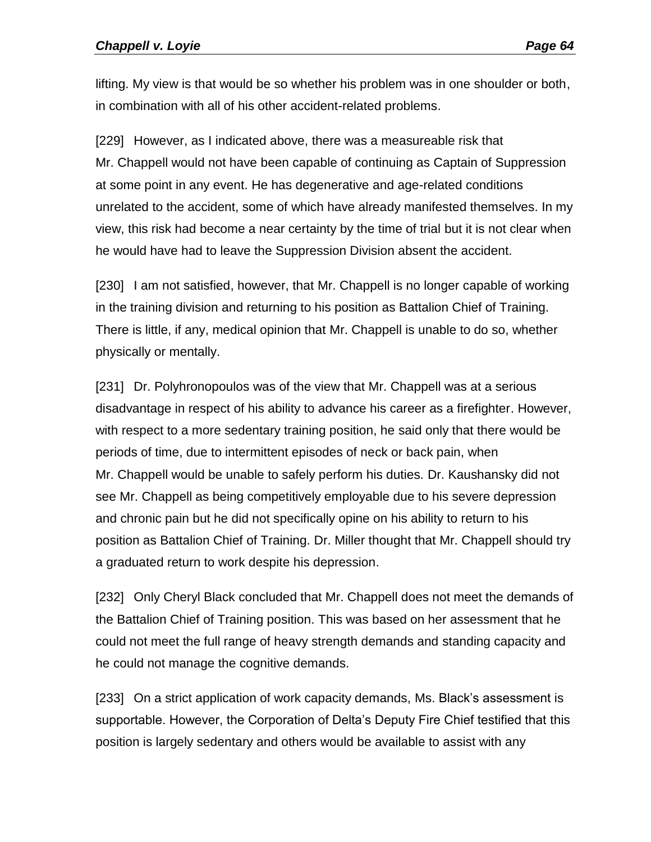lifting. My view is that would be so whether his problem was in one shoulder or both, in combination with all of his other accident-related problems.

[229] However, as I indicated above, there was a measureable risk that Mr. Chappell would not have been capable of continuing as Captain of Suppression at some point in any event. He has degenerative and age-related conditions unrelated to the accident, some of which have already manifested themselves. In my view, this risk had become a near certainty by the time of trial but it is not clear when he would have had to leave the Suppression Division absent the accident.

[230] I am not satisfied, however, that Mr. Chappell is no longer capable of working in the training division and returning to his position as Battalion Chief of Training. There is little, if any, medical opinion that Mr. Chappell is unable to do so, whether physically or mentally.

[231] Dr. Polyhronopoulos was of the view that Mr. Chappell was at a serious disadvantage in respect of his ability to advance his career as a firefighter. However, with respect to a more sedentary training position, he said only that there would be periods of time, due to intermittent episodes of neck or back pain, when Mr. Chappell would be unable to safely perform his duties. Dr. Kaushansky did not see Mr. Chappell as being competitively employable due to his severe depression and chronic pain but he did not specifically opine on his ability to return to his position as Battalion Chief of Training. Dr. Miller thought that Mr. Chappell should try a graduated return to work despite his depression.

[232] Only Cheryl Black concluded that Mr. Chappell does not meet the demands of the Battalion Chief of Training position. This was based on her assessment that he could not meet the full range of heavy strength demands and standing capacity and he could not manage the cognitive demands.

[233] On a strict application of work capacity demands, Ms. Black's assessment is supportable. However, the Corporation of Delta's Deputy Fire Chief testified that this position is largely sedentary and others would be available to assist with any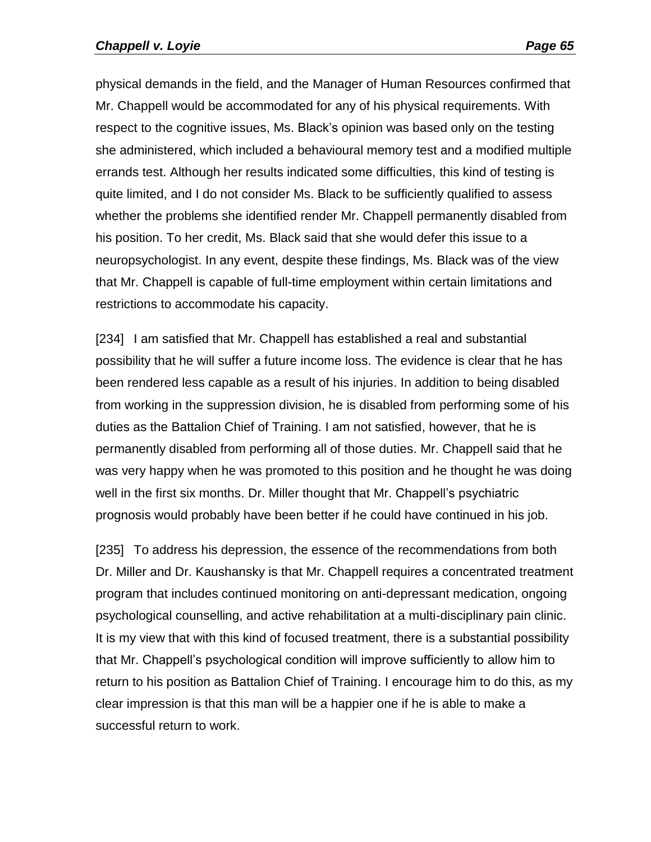physical demands in the field, and the Manager of Human Resources confirmed that Mr. Chappell would be accommodated for any of his physical requirements. With respect to the cognitive issues, Ms. Black's opinion was based only on the testing she administered, which included a behavioural memory test and a modified multiple errands test. Although her results indicated some difficulties, this kind of testing is quite limited, and I do not consider Ms. Black to be sufficiently qualified to assess whether the problems she identified render Mr. Chappell permanently disabled from his position. To her credit, Ms. Black said that she would defer this issue to a neuropsychologist. In any event, despite these findings, Ms. Black was of the view that Mr. Chappell is capable of full-time employment within certain limitations and restrictions to accommodate his capacity.

[234] I am satisfied that Mr. Chappell has established a real and substantial possibility that he will suffer a future income loss. The evidence is clear that he has been rendered less capable as a result of his injuries. In addition to being disabled from working in the suppression division, he is disabled from performing some of his duties as the Battalion Chief of Training. I am not satisfied, however, that he is permanently disabled from performing all of those duties. Mr. Chappell said that he was very happy when he was promoted to this position and he thought he was doing well in the first six months. Dr. Miller thought that Mr. Chappell's psychiatric prognosis would probably have been better if he could have continued in his job.

[235] To address his depression, the essence of the recommendations from both Dr. Miller and Dr. Kaushansky is that Mr. Chappell requires a concentrated treatment program that includes continued monitoring on anti-depressant medication, ongoing psychological counselling, and active rehabilitation at a multi-disciplinary pain clinic. It is my view that with this kind of focused treatment, there is a substantial possibility that Mr. Chappell's psychological condition will improve sufficiently to allow him to return to his position as Battalion Chief of Training. I encourage him to do this, as my clear impression is that this man will be a happier one if he is able to make a successful return to work.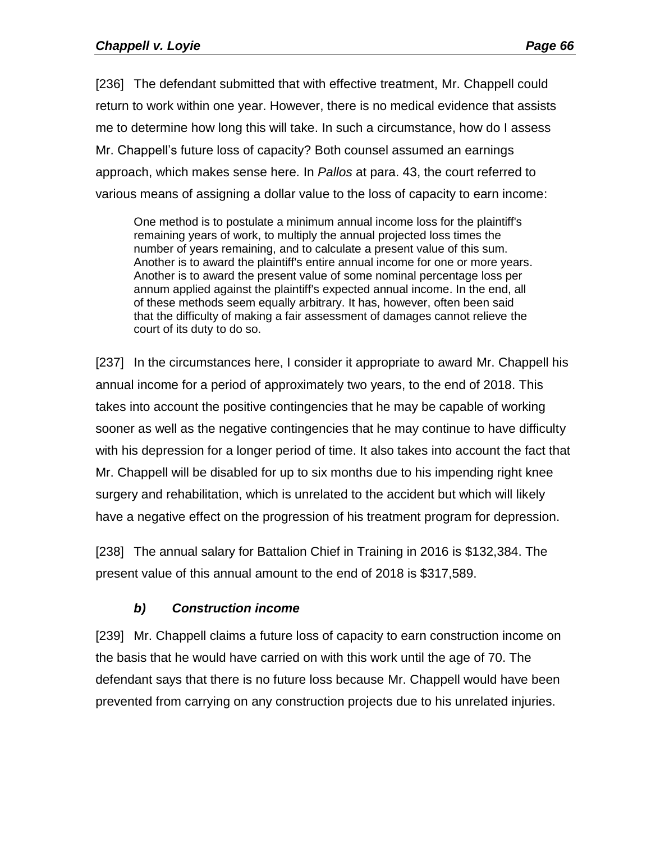[236] The defendant submitted that with effective treatment, Mr. Chappell could return to work within one year. However, there is no medical evidence that assists me to determine how long this will take. In such a circumstance, how do I assess Mr. Chappell's future loss of capacity? Both counsel assumed an earnings approach, which makes sense here. In *Pallos* at para. 43, the court referred to various means of assigning a dollar value to the loss of capacity to earn income:

One method is to postulate a minimum annual income loss for the plaintiff's remaining years of work, to multiply the annual projected loss times the number of years remaining, and to calculate a present value of this sum. Another is to award the plaintiff's entire annual income for one or more years. Another is to award the present value of some nominal percentage loss per annum applied against the plaintiff's expected annual income. In the end, all of these methods seem equally arbitrary. It has, however, often been said that the difficulty of making a fair assessment of damages cannot relieve the court of its duty to do so.

[237] In the circumstances here, I consider it appropriate to award Mr. Chappell his annual income for a period of approximately two years, to the end of 2018. This takes into account the positive contingencies that he may be capable of working sooner as well as the negative contingencies that he may continue to have difficulty with his depression for a longer period of time. It also takes into account the fact that Mr. Chappell will be disabled for up to six months due to his impending right knee surgery and rehabilitation, which is unrelated to the accident but which will likely have a negative effect on the progression of his treatment program for depression.

[238] The annual salary for Battalion Chief in Training in 2016 is \$132,384. The present value of this annual amount to the end of 2018 is \$317,589.

# *b) Construction income*

[239] Mr. Chappell claims a future loss of capacity to earn construction income on the basis that he would have carried on with this work until the age of 70. The defendant says that there is no future loss because Mr. Chappell would have been prevented from carrying on any construction projects due to his unrelated injuries.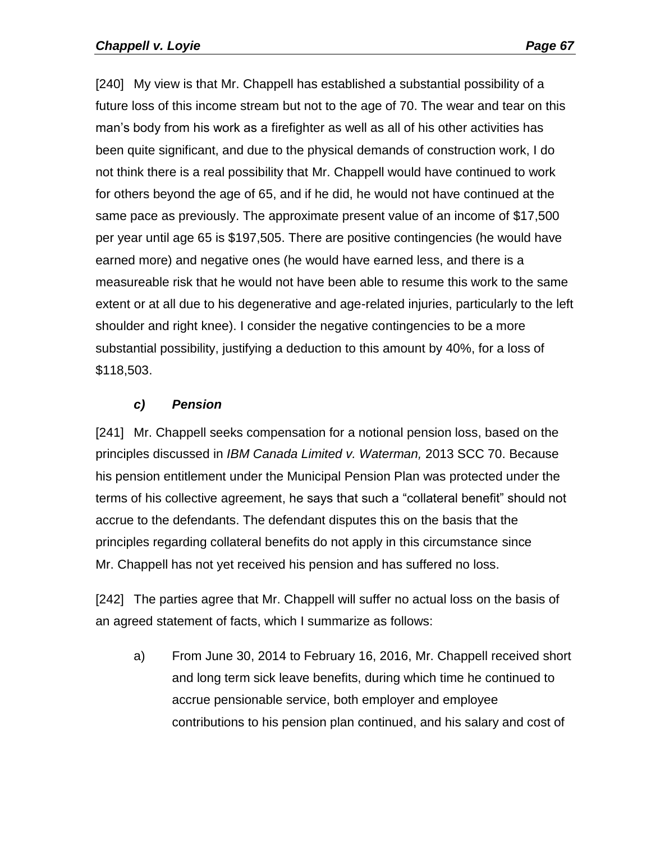[240] My view is that Mr. Chappell has established a substantial possibility of a future loss of this income stream but not to the age of 70. The wear and tear on this man's body from his work as a firefighter as well as all of his other activities has been quite significant, and due to the physical demands of construction work, I do not think there is a real possibility that Mr. Chappell would have continued to work for others beyond the age of 65, and if he did, he would not have continued at the same pace as previously. The approximate present value of an income of \$17,500 per year until age 65 is \$197,505. There are positive contingencies (he would have earned more) and negative ones (he would have earned less, and there is a measureable risk that he would not have been able to resume this work to the same extent or at all due to his degenerative and age-related injuries, particularly to the left shoulder and right knee). I consider the negative contingencies to be a more substantial possibility, justifying a deduction to this amount by 40%, for a loss of \$118,503.

#### *c) Pension*

[241] Mr. Chappell seeks compensation for a notional pension loss, based on the principles discussed in *IBM Canada Limited v. Waterman,* 2013 SCC 70. Because his pension entitlement under the Municipal Pension Plan was protected under the terms of his collective agreement, he says that such a "collateral benefit" should not accrue to the defendants. The defendant disputes this on the basis that the principles regarding collateral benefits do not apply in this circumstance since Mr. Chappell has not yet received his pension and has suffered no loss.

[242] The parties agree that Mr. Chappell will suffer no actual loss on the basis of an agreed statement of facts, which I summarize as follows:

a) From June 30, 2014 to February 16, 2016, Mr. Chappell received short and long term sick leave benefits, during which time he continued to accrue pensionable service, both employer and employee contributions to his pension plan continued, and his salary and cost of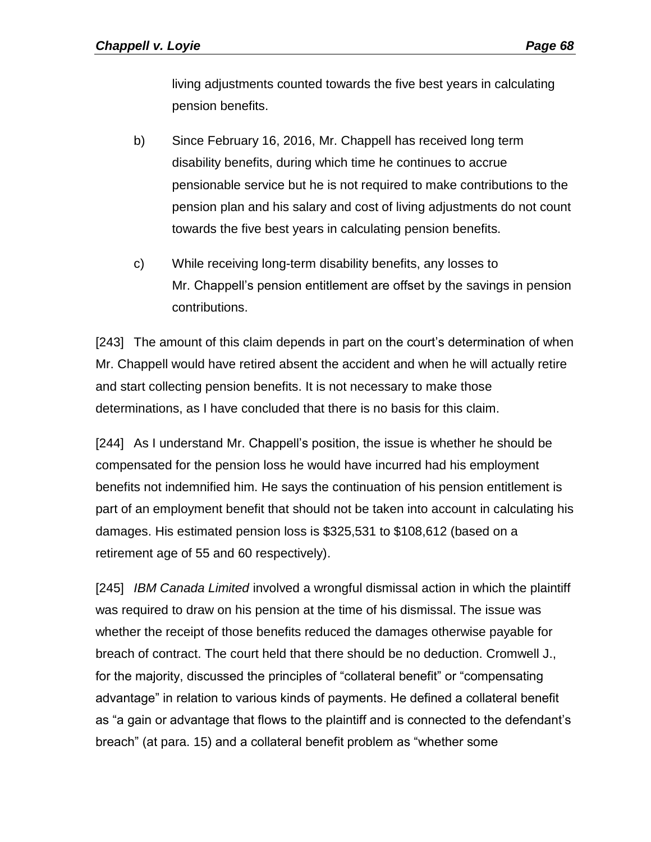living adjustments counted towards the five best years in calculating pension benefits.

- b) Since February 16, 2016, Mr. Chappell has received long term disability benefits, during which time he continues to accrue pensionable service but he is not required to make contributions to the pension plan and his salary and cost of living adjustments do not count towards the five best years in calculating pension benefits.
- c) While receiving long-term disability benefits, any losses to Mr. Chappell's pension entitlement are offset by the savings in pension contributions.

[243] The amount of this claim depends in part on the court's determination of when Mr. Chappell would have retired absent the accident and when he will actually retire and start collecting pension benefits. It is not necessary to make those determinations, as I have concluded that there is no basis for this claim.

[244] As I understand Mr. Chappell's position, the issue is whether he should be compensated for the pension loss he would have incurred had his employment benefits not indemnified him. He says the continuation of his pension entitlement is part of an employment benefit that should not be taken into account in calculating his damages. His estimated pension loss is \$325,531 to \$108,612 (based on a retirement age of 55 and 60 respectively).

[245] *IBM Canada Limited* involved a wrongful dismissal action in which the plaintiff was required to draw on his pension at the time of his dismissal. The issue was whether the receipt of those benefits reduced the damages otherwise payable for breach of contract. The court held that there should be no deduction. Cromwell J., for the majority, discussed the principles of "collateral benefit" or "compensating advantage" in relation to various kinds of payments. He defined a collateral benefit as "a gain or advantage that flows to the plaintiff and is connected to the defendant's breach" (at para. 15) and a collateral benefit problem as "whether some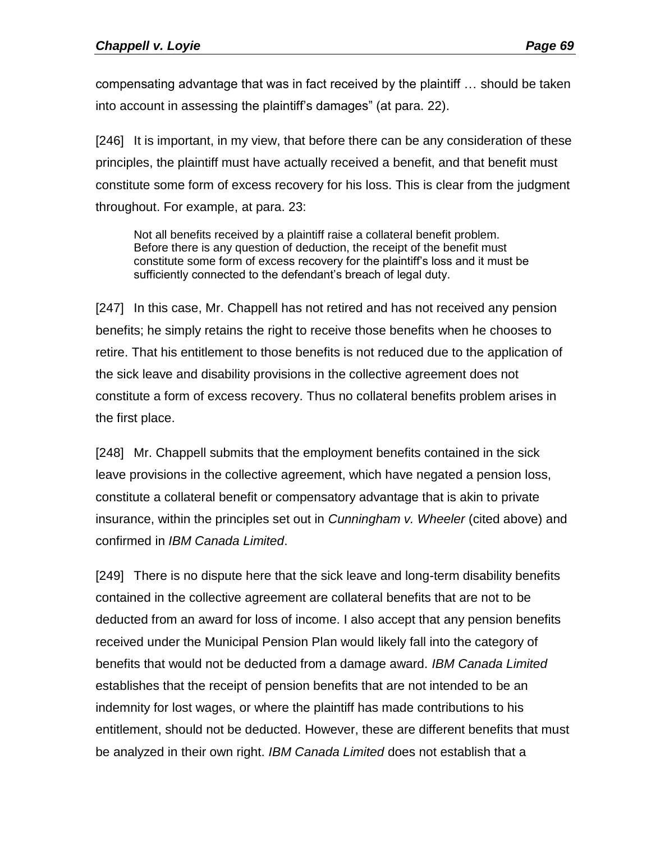compensating advantage that was in fact received by the plaintiff … should be taken into account in assessing the plaintiff's damages" (at para. 22).

[246] It is important, in my view, that before there can be any consideration of these principles, the plaintiff must have actually received a benefit, and that benefit must constitute some form of excess recovery for his loss. This is clear from the judgment throughout. For example, at para. 23:

Not all benefits received by a plaintiff raise a collateral benefit problem. Before there is any question of deduction, the receipt of the benefit must constitute some form of excess recovery for the plaintiff's loss and it must be sufficiently connected to the defendant's breach of legal duty.

[247] In this case, Mr. Chappell has not retired and has not received any pension benefits; he simply retains the right to receive those benefits when he chooses to retire. That his entitlement to those benefits is not reduced due to the application of the sick leave and disability provisions in the collective agreement does not constitute a form of excess recovery. Thus no collateral benefits problem arises in the first place.

[248] Mr. Chappell submits that the employment benefits contained in the sick leave provisions in the collective agreement, which have negated a pension loss, constitute a collateral benefit or compensatory advantage that is akin to private insurance, within the principles set out in *Cunningham v. Wheeler* (cited above) and confirmed in *IBM Canada Limited*.

[249] There is no dispute here that the sick leave and long-term disability benefits contained in the collective agreement are collateral benefits that are not to be deducted from an award for loss of income. I also accept that any pension benefits received under the Municipal Pension Plan would likely fall into the category of benefits that would not be deducted from a damage award. *IBM Canada Limited* establishes that the receipt of pension benefits that are not intended to be an indemnity for lost wages, or where the plaintiff has made contributions to his entitlement, should not be deducted. However, these are different benefits that must be analyzed in their own right. *IBM Canada Limited* does not establish that a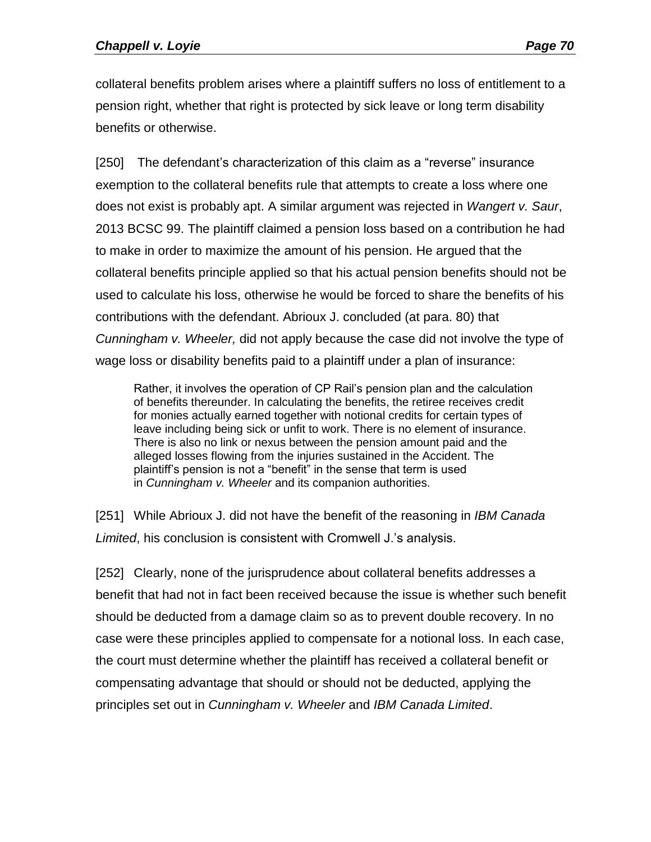collateral benefits problem arises where a plaintiff suffers no loss of entitlement to a pension right, whether that right is protected by sick leave or long term disability benefits or otherwise.

[250] The defendant's characterization of this claim as a "reverse" insurance exemption to the collateral benefits rule that attempts to create a loss where one does not exist is probably apt. A similar argument was rejected in *Wangert v. Saur*, 2013 BCSC 99. The plaintiff claimed a pension loss based on a contribution he had to make in order to maximize the amount of his pension. He argued that the collateral benefits principle applied so that his actual pension benefits should not be used to calculate his loss, otherwise he would be forced to share the benefits of his contributions with the defendant. Abrioux J. concluded (at para. 80) that *Cunningham v. Wheeler,* did not apply because the case did not involve the type of wage loss or disability benefits paid to a plaintiff under a plan of insurance:

Rather, it involves the operation of CP Rail's pension plan and the calculation of benefits thereunder. In calculating the benefits, the retiree receives credit for monies actually earned together with notional credits for certain types of leave including being sick or unfit to work. There is no element of insurance. There is also no link or nexus between the pension amount paid and the alleged losses flowing from the injuries sustained in the Accident. The plaintiff's pension is not a "benefit" in the sense that term is used in *Cunningham v. Wheeler* and its companion authorities.

[251] While Abrioux J. did not have the benefit of the reasoning in *IBM Canada Limited*, his conclusion is consistent with Cromwell J.'s analysis.

[252] Clearly, none of the jurisprudence about collateral benefits addresses a benefit that had not in fact been received because the issue is whether such benefit should be deducted from a damage claim so as to prevent double recovery. In no case were these principles applied to compensate for a notional loss. In each case, the court must determine whether the plaintiff has received a collateral benefit or compensating advantage that should or should not be deducted, applying the principles set out in *Cunningham v. Wheeler* and *IBM Canada Limited*.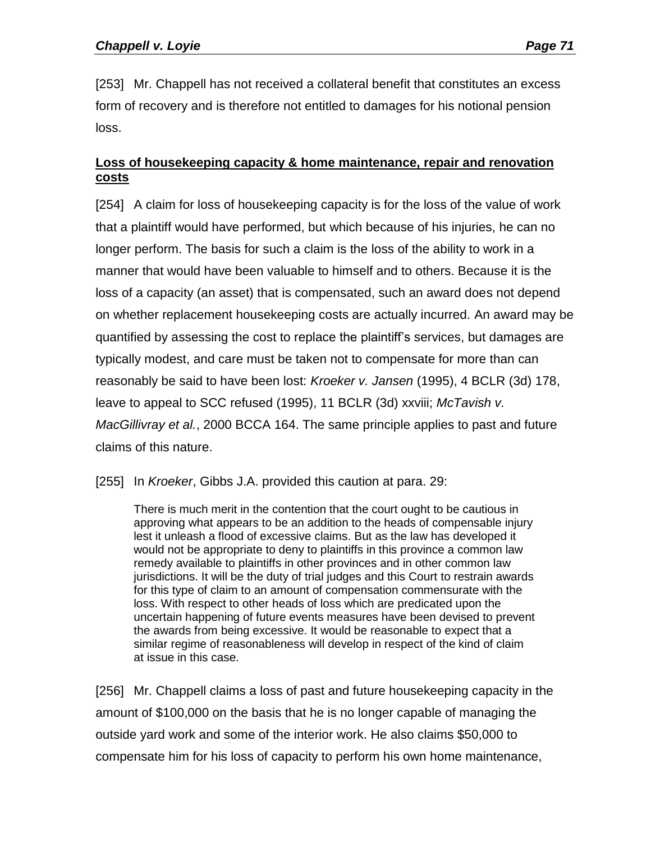[253] Mr. Chappell has not received a collateral benefit that constitutes an excess form of recovery and is therefore not entitled to damages for his notional pension loss.

### **Loss of housekeeping capacity & home maintenance, repair and renovation costs**

[254] A claim for loss of housekeeping capacity is for the loss of the value of work that a plaintiff would have performed, but which because of his injuries, he can no longer perform. The basis for such a claim is the loss of the ability to work in a manner that would have been valuable to himself and to others. Because it is the loss of a capacity (an asset) that is compensated, such an award does not depend on whether replacement housekeeping costs are actually incurred. An award may be quantified by assessing the cost to replace the plaintiff's services, but damages are typically modest, and care must be taken not to compensate for more than can reasonably be said to have been lost: *Kroeker v. Jansen* (1995), 4 BCLR (3d) 178, leave to appeal to SCC refused (1995), 11 BCLR (3d) xxviii; *McTavish v. MacGillivray et al.*, 2000 BCCA 164. The same principle applies to past and future claims of this nature.

[255] In *Kroeker*, Gibbs J.A. provided this caution at para. 29:

There is much merit in the contention that the court ought to be cautious in approving what appears to be an addition to the heads of compensable injury lest it unleash a flood of excessive claims. But as the law has developed it would not be appropriate to deny to plaintiffs in this province a common law remedy available to plaintiffs in other provinces and in other common law jurisdictions. It will be the duty of trial judges and this Court to restrain awards for this type of claim to an amount of compensation commensurate with the loss. With respect to other heads of loss which are predicated upon the uncertain happening of future events measures have been devised to prevent the awards from being excessive. It would be reasonable to expect that a similar regime of reasonableness will develop in respect of the kind of claim at issue in this case.

[256] Mr. Chappell claims a loss of past and future housekeeping capacity in the amount of \$100,000 on the basis that he is no longer capable of managing the outside yard work and some of the interior work. He also claims \$50,000 to compensate him for his loss of capacity to perform his own home maintenance,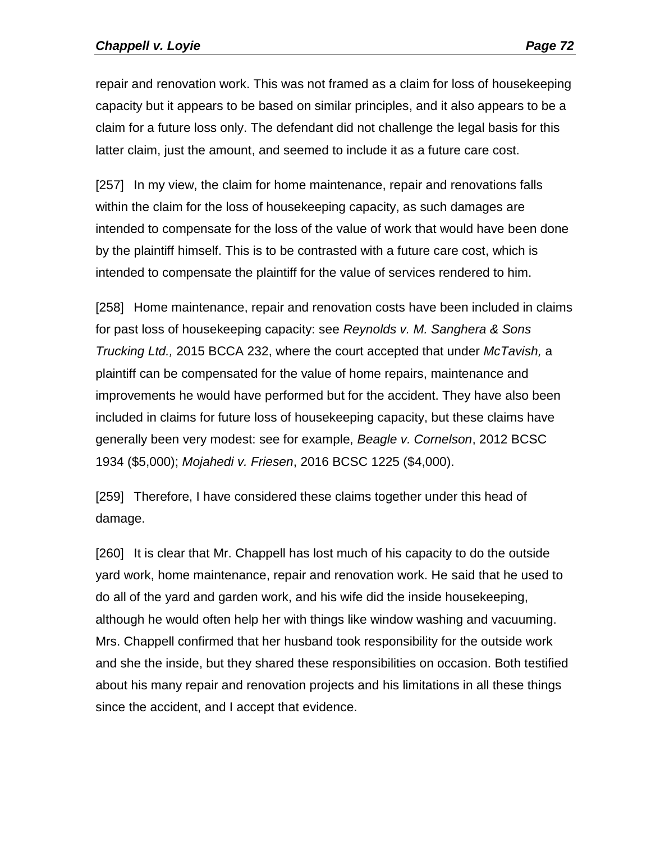repair and renovation work. This was not framed as a claim for loss of housekeeping capacity but it appears to be based on similar principles, and it also appears to be a claim for a future loss only. The defendant did not challenge the legal basis for this latter claim, just the amount, and seemed to include it as a future care cost.

[257] In my view, the claim for home maintenance, repair and renovations falls within the claim for the loss of housekeeping capacity, as such damages are intended to compensate for the loss of the value of work that would have been done by the plaintiff himself. This is to be contrasted with a future care cost, which is intended to compensate the plaintiff for the value of services rendered to him.

[258] Home maintenance, repair and renovation costs have been included in claims for past loss of housekeeping capacity: see *Reynolds v. M. Sanghera & Sons Trucking Ltd.,* 2015 BCCA 232, where the court accepted that under *McTavish,* a plaintiff can be compensated for the value of home repairs, maintenance and improvements he would have performed but for the accident. They have also been included in claims for future loss of housekeeping capacity, but these claims have generally been very modest: see for example, *Beagle v. Cornelson*, 2012 BCSC 1934 (\$5,000); *Mojahedi v. Friesen*, 2016 BCSC 1225 (\$4,000).

[259] Therefore, I have considered these claims together under this head of damage.

[260] It is clear that Mr. Chappell has lost much of his capacity to do the outside yard work, home maintenance, repair and renovation work. He said that he used to do all of the yard and garden work, and his wife did the inside housekeeping, although he would often help her with things like window washing and vacuuming. Mrs. Chappell confirmed that her husband took responsibility for the outside work and she the inside, but they shared these responsibilities on occasion. Both testified about his many repair and renovation projects and his limitations in all these things since the accident, and I accept that evidence.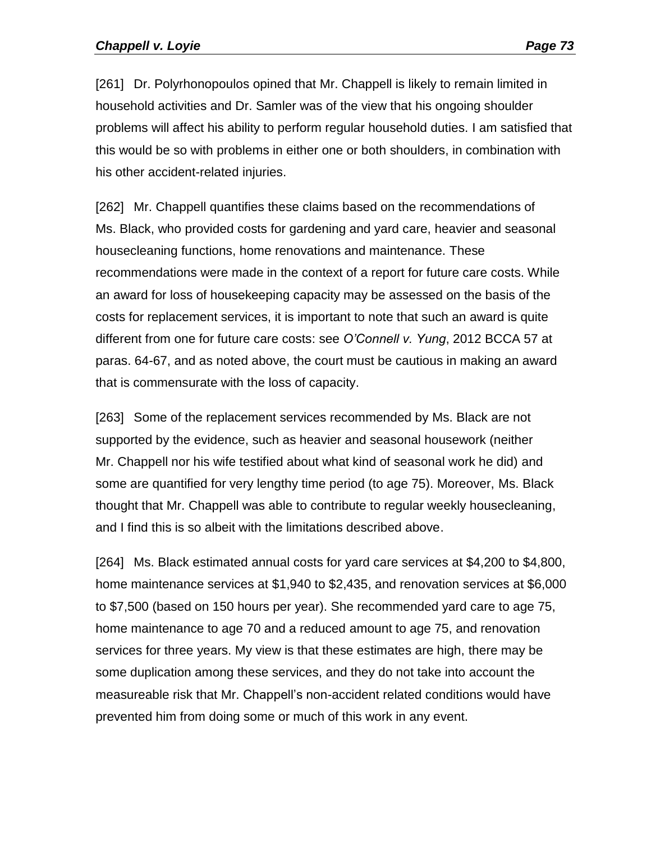[261] Dr. Polyrhonopoulos opined that Mr. Chappell is likely to remain limited in household activities and Dr. Samler was of the view that his ongoing shoulder problems will affect his ability to perform regular household duties. I am satisfied that this would be so with problems in either one or both shoulders, in combination with his other accident-related injuries.

[262] Mr. Chappell quantifies these claims based on the recommendations of Ms. Black, who provided costs for gardening and yard care, heavier and seasonal housecleaning functions, home renovations and maintenance. These recommendations were made in the context of a report for future care costs. While an award for loss of housekeeping capacity may be assessed on the basis of the costs for replacement services, it is important to note that such an award is quite different from one for future care costs: see *O'Connell v. Yung*, [2012 BCCA 57](http://www.canlii.org/en/bc/bcca/doc/2012/2012bcca57/2012bcca57.html) at paras. 64-67, and as noted above, the court must be cautious in making an award that is commensurate with the loss of capacity.

[263] Some of the replacement services recommended by Ms. Black are not supported by the evidence, such as heavier and seasonal housework (neither Mr. Chappell nor his wife testified about what kind of seasonal work he did) and some are quantified for very lengthy time period (to age 75). Moreover, Ms. Black thought that Mr. Chappell was able to contribute to regular weekly housecleaning, and I find this is so albeit with the limitations described above.

[264] Ms. Black estimated annual costs for yard care services at \$4,200 to \$4,800, home maintenance services at \$1,940 to \$2,435, and renovation services at \$6,000 to \$7,500 (based on 150 hours per year). She recommended yard care to age 75, home maintenance to age 70 and a reduced amount to age 75, and renovation services for three years. My view is that these estimates are high, there may be some duplication among these services, and they do not take into account the measureable risk that Mr. Chappell's non-accident related conditions would have prevented him from doing some or much of this work in any event.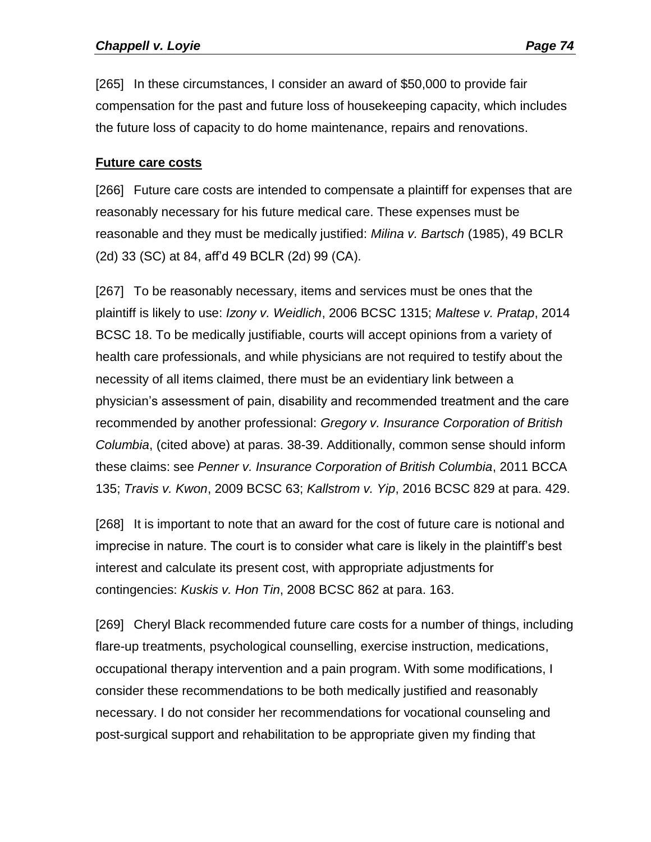[265] In these circumstances, I consider an award of \$50,000 to provide fair compensation for the past and future loss of housekeeping capacity, which includes the future loss of capacity to do home maintenance, repairs and renovations.

#### **Future care costs**

[266] Future care costs are intended to compensate a plaintiff for expenses that are reasonably necessary for his future medical care. These expenses must be reasonable and they must be medically justified: *Milina v. Bartsch* (1985), 49 BCLR (2d) 33 (SC) at 84, aff'd 49 BCLR (2d) 99 (CA).

[267] To be reasonably necessary, items and services must be ones that the plaintiff is likely to use: *Izony v. Weidlich*, 2006 BCSC 1315; *Maltese v. Pratap*, 2014 BCSC 18. To be medically justifiable, courts will accept opinions from a variety of health care professionals, and while physicians are not required to testify about the necessity of all items claimed, there must be an evidentiary link between a physician's assessment of pain, disability and recommended treatment and the care recommended by another professional: *Gregory v. Insurance Corporation of British Columbia*, (cited above) at paras. 38-39. Additionally, common sense should inform these claims: see *Penner v. Insurance Corporation of British Columbia*, 2011 BCCA 135; *Travis v. Kwon*, 2009 BCSC 63; *Kallstrom v. Yip*, 2016 BCSC 829 at para. 429.

[268] It is important to note that an award for the cost of future care is notional and imprecise in nature. The court is to consider what care is likely in the plaintiff's best interest and calculate its present cost, with appropriate adjustments for contingencies: *Kuskis v. Hon Tin*, 2008 BCSC 862 at para. 163.

[269] Cheryl Black recommended future care costs for a number of things, including flare-up treatments, psychological counselling, exercise instruction, medications, occupational therapy intervention and a pain program. With some modifications, I consider these recommendations to be both medically justified and reasonably necessary. I do not consider her recommendations for vocational counseling and post-surgical support and rehabilitation to be appropriate given my finding that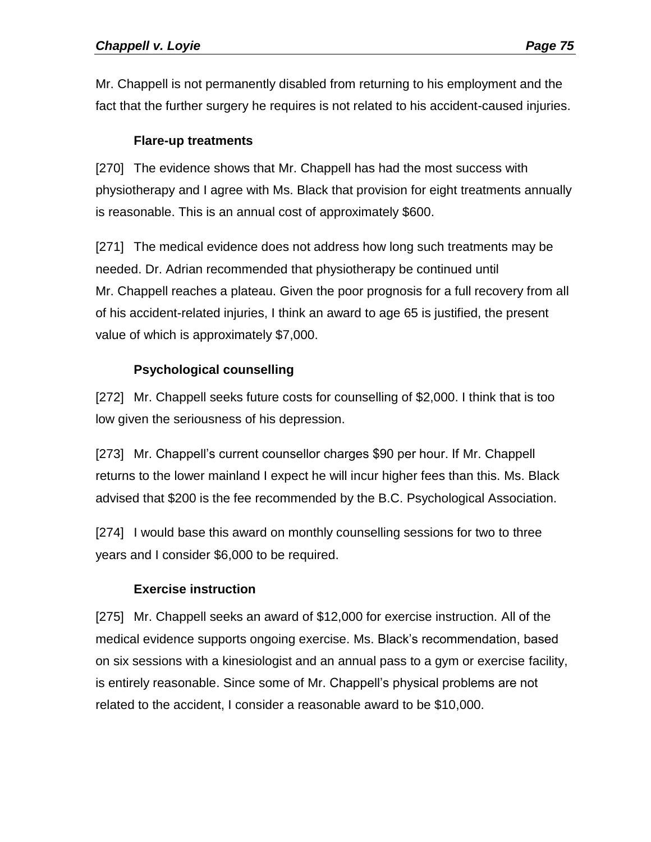Mr. Chappell is not permanently disabled from returning to his employment and the fact that the further surgery he requires is not related to his accident-caused injuries.

# **Flare-up treatments**

[270] The evidence shows that Mr. Chappell has had the most success with physiotherapy and I agree with Ms. Black that provision for eight treatments annually is reasonable. This is an annual cost of approximately \$600.

[271] The medical evidence does not address how long such treatments may be needed. Dr. Adrian recommended that physiotherapy be continued until Mr. Chappell reaches a plateau. Given the poor prognosis for a full recovery from all of his accident-related injuries, I think an award to age 65 is justified, the present value of which is approximately \$7,000.

# **Psychological counselling**

[272] Mr. Chappell seeks future costs for counselling of \$2,000. I think that is too low given the seriousness of his depression.

[273] Mr. Chappell's current counsellor charges \$90 per hour. If Mr. Chappell returns to the lower mainland I expect he will incur higher fees than this. Ms. Black advised that \$200 is the fee recommended by the B.C. Psychological Association.

[274] I would base this award on monthly counselling sessions for two to three years and I consider \$6,000 to be required.

# **Exercise instruction**

[275] Mr. Chappell seeks an award of \$12,000 for exercise instruction. All of the medical evidence supports ongoing exercise. Ms. Black's recommendation, based on six sessions with a kinesiologist and an annual pass to a gym or exercise facility, is entirely reasonable. Since some of Mr. Chappell's physical problems are not related to the accident, I consider a reasonable award to be \$10,000.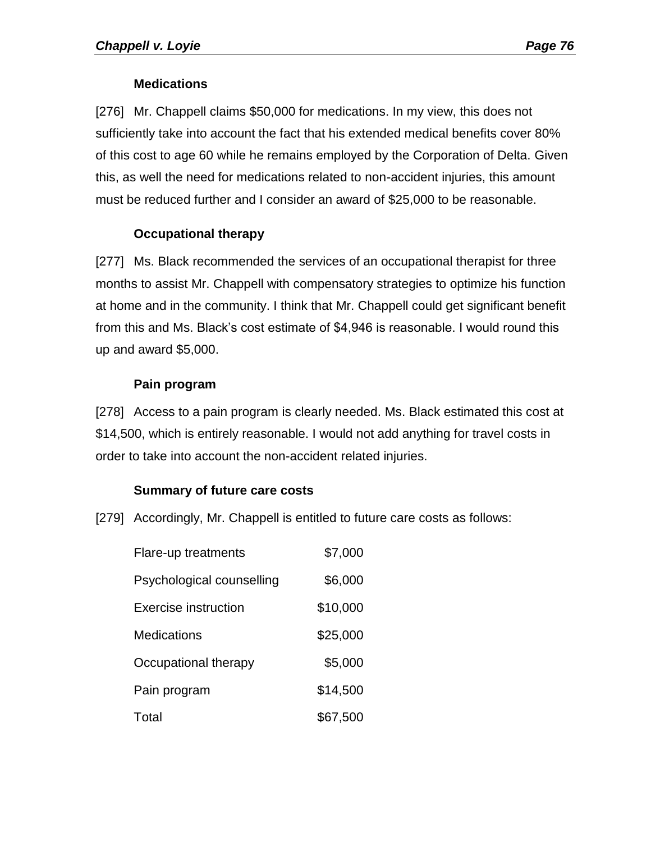## **Medications**

[276] Mr. Chappell claims \$50,000 for medications. In my view, this does not sufficiently take into account the fact that his extended medical benefits cover 80% of this cost to age 60 while he remains employed by the Corporation of Delta. Given this, as well the need for medications related to non-accident injuries, this amount must be reduced further and I consider an award of \$25,000 to be reasonable.

## **Occupational therapy**

[277] Ms. Black recommended the services of an occupational therapist for three months to assist Mr. Chappell with compensatory strategies to optimize his function at home and in the community. I think that Mr. Chappell could get significant benefit from this and Ms. Black's cost estimate of \$4,946 is reasonable. I would round this up and award \$5,000.

## **Pain program**

[278] Access to a pain program is clearly needed. Ms. Black estimated this cost at \$14,500, which is entirely reasonable. I would not add anything for travel costs in order to take into account the non-accident related injuries.

### **Summary of future care costs**

[279] Accordingly, Mr. Chappell is entitled to future care costs as follows:

| Flare-up treatments       | \$7,000  |
|---------------------------|----------|
| Psychological counselling | \$6,000  |
| Exercise instruction      | \$10,000 |
| Medications               | \$25,000 |
| Occupational therapy      | \$5,000  |
| Pain program              | \$14,500 |
| Total                     | \$67,500 |